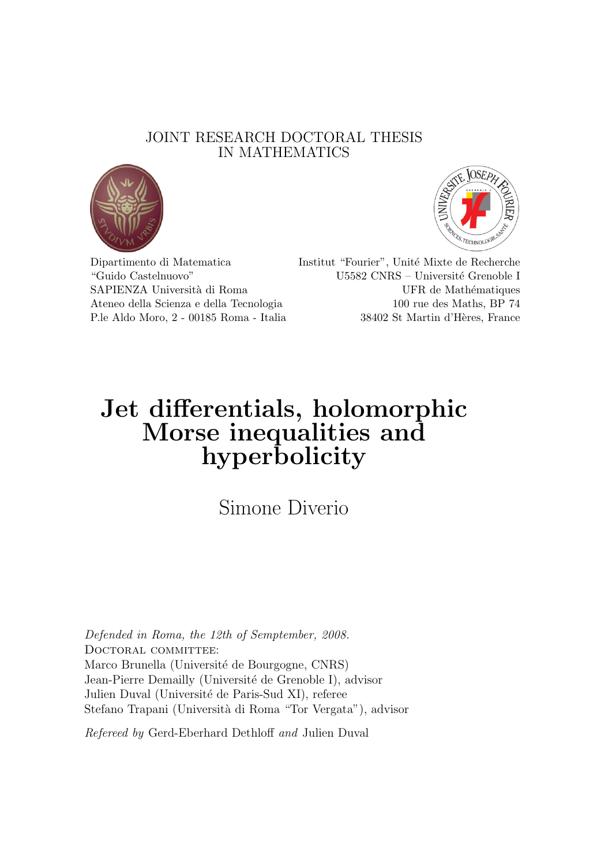### JOINT RESEARCH DOCTORAL THESIS IN MATHEMATICS





Dipartimento di Matematica Institut "Fourier", Unité Mixte de Recherche "Guido Castelnuovo" U5582 CNRS – Université Grenoble I SAPIENZA Università di Roma UFR de Mathématiques Ateneo della Scienza e della Tecnologia 100 rue des Maths, BP 74 P.le Aldo Moro, 2 - 00185 Roma - Italia 38402 St Martin d'Hères, France

## Jet differentials, holomorphic Morse inequalities and hyperbolicity

Simone Diverio

Defended in Roma, the 12th of Semptember, 2008. DOCTORAL COMMITTEE: Marco Brunella (Université de Bourgogne, CNRS) Jean-Pierre Demailly (Université de Grenoble I), advisor Julien Duval (Université de Paris-Sud XI), referee Stefano Trapani (Università di Roma "Tor Vergata"), advisor

Refereed by Gerd-Eberhard Dethloff and Julien Duval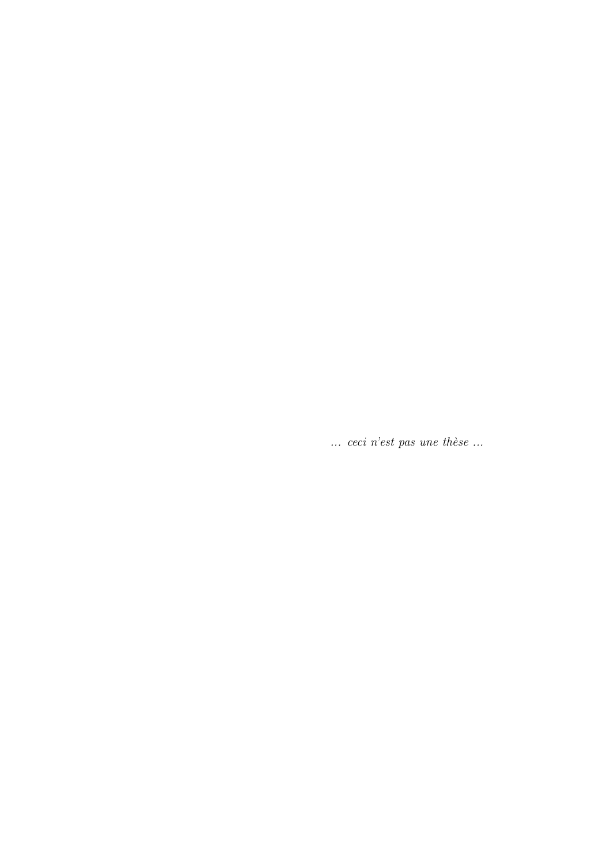$\ldots$  ceci n'est pas une thèse  $\ldots$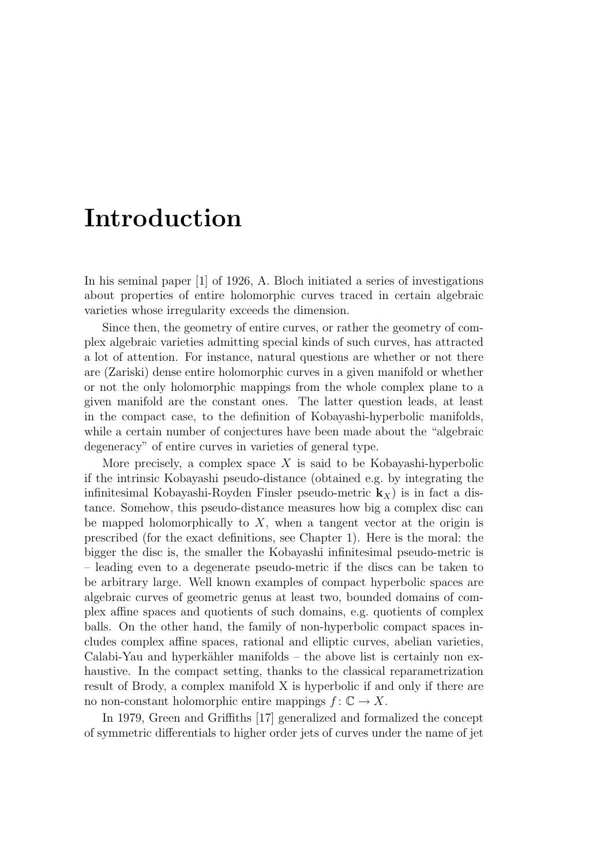## Introduction

In his seminal paper [1] of 1926, A. Bloch initiated a series of investigations about properties of entire holomorphic curves traced in certain algebraic varieties whose irregularity exceeds the dimension.

Since then, the geometry of entire curves, or rather the geometry of complex algebraic varieties admitting special kinds of such curves, has attracted a lot of attention. For instance, natural questions are whether or not there are (Zariski) dense entire holomorphic curves in a given manifold or whether or not the only holomorphic mappings from the whole complex plane to a given manifold are the constant ones. The latter question leads, at least in the compact case, to the definition of Kobayashi-hyperbolic manifolds, while a certain number of conjectures have been made about the "algebraic degeneracy" of entire curves in varieties of general type.

More precisely, a complex space  $X$  is said to be Kobayashi-hyperbolic if the intrinsic Kobayashi pseudo-distance (obtained e.g. by integrating the infinitesimal Kobayashi-Royden Finsler pseudo-metric  $\mathbf{k}_x$ ) is in fact a distance. Somehow, this pseudo-distance measures how big a complex disc can be mapped holomorphically to  $X$ , when a tangent vector at the origin is prescribed (for the exact definitions, see Chapter 1). Here is the moral: the bigger the disc is, the smaller the Kobayashi infinitesimal pseudo-metric is – leading even to a degenerate pseudo-metric if the discs can be taken to be arbitrary large. Well known examples of compact hyperbolic spaces are algebraic curves of geometric genus at least two, bounded domains of complex affine spaces and quotients of such domains, e.g. quotients of complex balls. On the other hand, the family of non-hyperbolic compact spaces includes complex affine spaces, rational and elliptic curves, abelian varieties, Calabi-Yau and hyperkähler manifolds – the above list is certainly non exhaustive. In the compact setting, thanks to the classical reparametrization result of Brody, a complex manifold X is hyperbolic if and only if there are no non-constant holomorphic entire mappings  $f: \mathbb{C} \to X$ .

In 1979, Green and Griffiths [17] generalized and formalized the concept of symmetric differentials to higher order jets of curves under the name of jet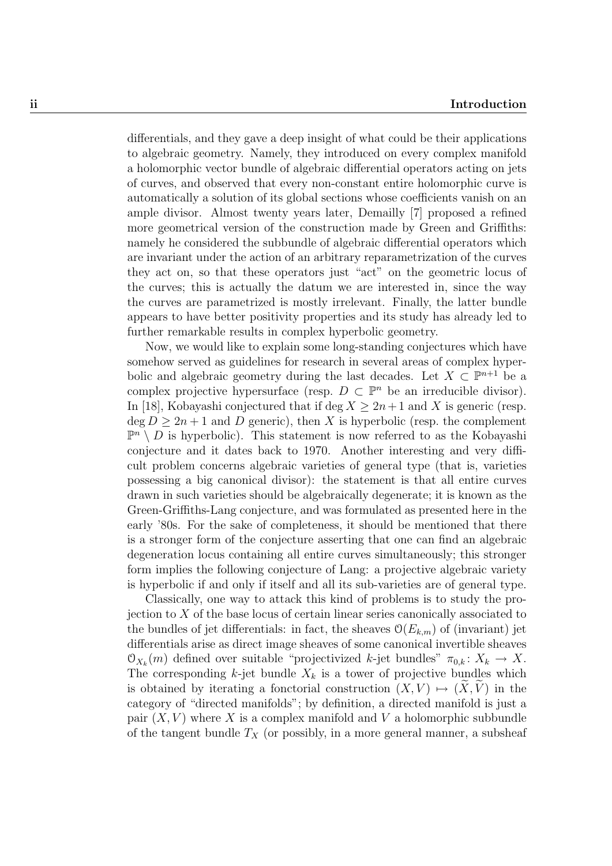differentials, and they gave a deep insight of what could be their applications to algebraic geometry. Namely, they introduced on every complex manifold a holomorphic vector bundle of algebraic differential operators acting on jets of curves, and observed that every non-constant entire holomorphic curve is automatically a solution of its global sections whose coefficients vanish on an ample divisor. Almost twenty years later, Demailly [7] proposed a refined more geometrical version of the construction made by Green and Griffiths: namely he considered the subbundle of algebraic differential operators which are invariant under the action of an arbitrary reparametrization of the curves they act on, so that these operators just "act" on the geometric locus of the curves; this is actually the datum we are interested in, since the way the curves are parametrized is mostly irrelevant. Finally, the latter bundle appears to have better positivity properties and its study has already led to further remarkable results in complex hyperbolic geometry.

Now, we would like to explain some long-standing conjectures which have somehow served as guidelines for research in several areas of complex hyperbolic and algebraic geometry during the last decades. Let  $X \subset \mathbb{P}^{n+1}$  be a complex projective hypersurface (resp.  $D \subset \mathbb{P}^n$  be an irreducible divisor). In [18], Kobayashi conjectured that if deg  $X \geq 2n+1$  and X is generic (resp.  $\deg D \geq 2n+1$  and D generic), then X is hyperbolic (resp. the complement  $\mathbb{P}^n \setminus D$  is hyperbolic). This statement is now referred to as the Kobayashi conjecture and it dates back to 1970. Another interesting and very difficult problem concerns algebraic varieties of general type (that is, varieties possessing a big canonical divisor): the statement is that all entire curves drawn in such varieties should be algebraically degenerate; it is known as the Green-Griffiths-Lang conjecture, and was formulated as presented here in the early '80s. For the sake of completeness, it should be mentioned that there is a stronger form of the conjecture asserting that one can find an algebraic degeneration locus containing all entire curves simultaneously; this stronger form implies the following conjecture of Lang: a projective algebraic variety is hyperbolic if and only if itself and all its sub-varieties are of general type.

Classically, one way to attack this kind of problems is to study the projection to  $X$  of the base locus of certain linear series canonically associated to the bundles of jet differentials: in fact, the sheaves  $\mathcal{O}(E_{k,m})$  of (invariant) jet differentials arise as direct image sheaves of some canonical invertible sheaves  $\mathfrak{O}_{X_k}(m)$  defined over suitable "projectivized k-jet bundles"  $\pi_{0,k} : X_k \to X$ . The corresponding  $k$ -jet bundle  $X_k$  is a tower of projective bundles which is obtained by iterating a fonctorial construction  $(X, V) \mapsto (X, V)$  in the category of "directed manifolds"; by definition, a directed manifold is just a pair  $(X, V)$  where X is a complex manifold and V a holomorphic subbundle of the tangent bundle  $T_X$  (or possibly, in a more general manner, a subsheaf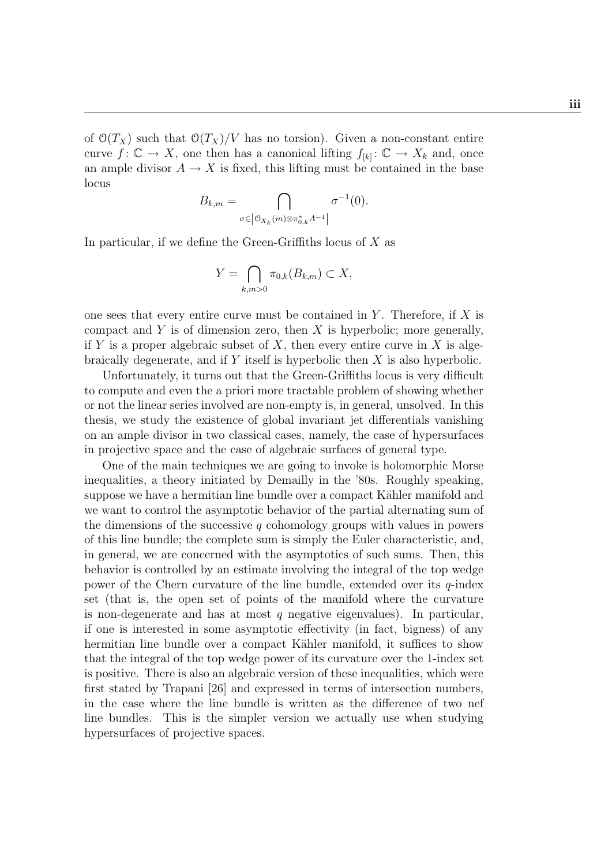of  $\mathcal{O}(T_X)$  such that  $\mathcal{O}(T_X)/V$  has no torsion). Given a non-constant entire curve  $f: \mathbb{C} \to X$ , one then has a canonical lifting  $f_{[k]} : \mathbb{C} \to X_k$  and, once an ample divisor  $A \to X$  is fixed, this lifting must be contained in the base locus

$$
B_{k,m} = \bigcap_{\sigma \in \left|\mathfrak{O}_{X_k}(m)\otimes \pi_{0,k}^* A^{-1}\right|} \sigma^{-1}(0).
$$

In particular, if we define the Green-Griffiths locus of  $X$  as

$$
Y = \bigcap_{k,m>0} \pi_{0,k}(B_{k,m}) \subset X,
$$

one sees that every entire curve must be contained in  $Y$ . Therefore, if  $X$  is compact and  $Y$  is of dimension zero, then  $X$  is hyperbolic; more generally, if Y is a proper algebraic subset of X, then every entire curve in X is algebraically degenerate, and if Y itself is hyperbolic then X is also hyperbolic.

Unfortunately, it turns out that the Green-Griffiths locus is very difficult to compute and even the a priori more tractable problem of showing whether or not the linear series involved are non-empty is, in general, unsolved. In this thesis, we study the existence of global invariant jet differentials vanishing on an ample divisor in two classical cases, namely, the case of hypersurfaces in projective space and the case of algebraic surfaces of general type.

One of the main techniques we are going to invoke is holomorphic Morse inequalities, a theory initiated by Demailly in the '80s. Roughly speaking, suppose we have a hermitian line bundle over a compact Kähler manifold and we want to control the asymptotic behavior of the partial alternating sum of the dimensions of the successive  $q$  cohomology groups with values in powers of this line bundle; the complete sum is simply the Euler characteristic, and, in general, we are concerned with the asymptotics of such sums. Then, this behavior is controlled by an estimate involving the integral of the top wedge power of the Chern curvature of the line bundle, extended over its q-index set (that is, the open set of points of the manifold where the curvature is non-degenerate and has at most q negative eigenvalues). In particular, if one is interested in some asymptotic effectivity (in fact, bigness) of any hermitian line bundle over a compact Kähler manifold, it suffices to show that the integral of the top wedge power of its curvature over the 1-index set is positive. There is also an algebraic version of these inequalities, which were first stated by Trapani [26] and expressed in terms of intersection numbers, in the case where the line bundle is written as the difference of two nef line bundles. This is the simpler version we actually use when studying hypersurfaces of projective spaces.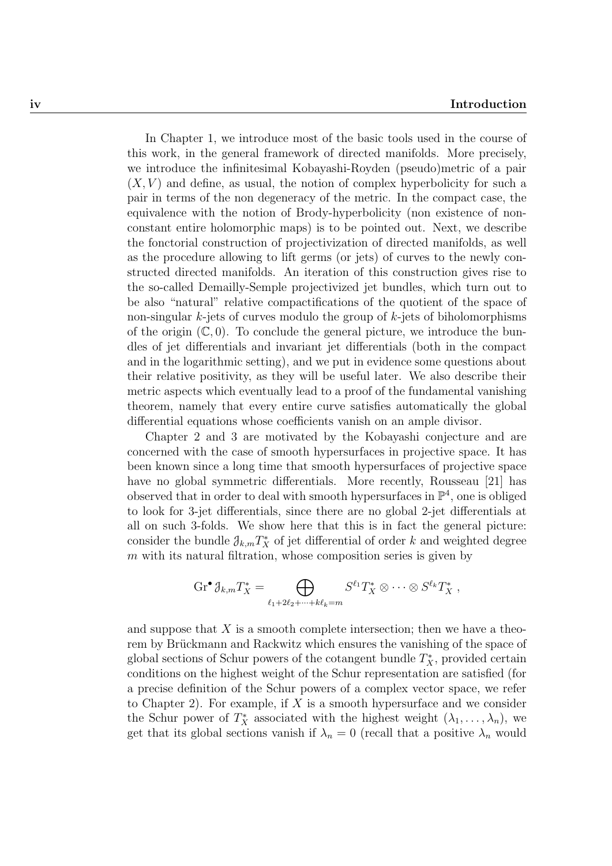In Chapter 1, we introduce most of the basic tools used in the course of this work, in the general framework of directed manifolds. More precisely, we introduce the infinitesimal Kobayashi-Royden (pseudo)metric of a pair  $(X, V)$  and define, as usual, the notion of complex hyperbolicity for such a pair in terms of the non degeneracy of the metric. In the compact case, the equivalence with the notion of Brody-hyperbolicity (non existence of nonconstant entire holomorphic maps) is to be pointed out. Next, we describe the fonctorial construction of projectivization of directed manifolds, as well as the procedure allowing to lift germs (or jets) of curves to the newly constructed directed manifolds. An iteration of this construction gives rise to the so-called Demailly-Semple projectivized jet bundles, which turn out to be also "natural" relative compactifications of the quotient of the space of non-singular  $k$ -jets of curves modulo the group of  $k$ -jets of biholomorphisms of the origin  $(\mathbb{C}, 0)$ . To conclude the general picture, we introduce the bundles of jet differentials and invariant jet differentials (both in the compact and in the logarithmic setting), and we put in evidence some questions about their relative positivity, as they will be useful later. We also describe their metric aspects which eventually lead to a proof of the fundamental vanishing theorem, namely that every entire curve satisfies automatically the global differential equations whose coefficients vanish on an ample divisor.

Chapter 2 and 3 are motivated by the Kobayashi conjecture and are concerned with the case of smooth hypersurfaces in projective space. It has been known since a long time that smooth hypersurfaces of projective space have no global symmetric differentials. More recently, Rousseau [21] has observed that in order to deal with smooth hypersurfaces in  $\mathbb{P}^4$ , one is obliged to look for 3-jet differentials, since there are no global 2-jet differentials at all on such 3-folds. We show here that this is in fact the general picture: consider the bundle  $\mathcal{J}_{k,m}T_X^*$  of jet differential of order k and weighted degree  $m$  with its natural filtration, whose composition series is given by

$$
\operatorname{Gr}^{\bullet} \mathcal{J}_{k,m} T_X^* = \bigoplus_{\ell_1 + 2\ell_2 + \dots + k\ell_k = m} S^{\ell_1} T_X^* \otimes \dots \otimes S^{\ell_k} T_X^* ,
$$

and suppose that  $X$  is a smooth complete intersection; then we have a theorem by Brückmann and Rackwitz which ensures the vanishing of the space of global sections of Schur powers of the cotangent bundle  $T_X^*$ , provided certain conditions on the highest weight of the Schur representation are satisfied (for a precise definition of the Schur powers of a complex vector space, we refer to Chapter 2). For example, if X is a smooth hypersurface and we consider the Schur power of  $T_X^*$  associated with the highest weight  $(\lambda_1, \ldots, \lambda_n)$ , we get that its global sections vanish if  $\lambda_n = 0$  (recall that a positive  $\lambda_n$  would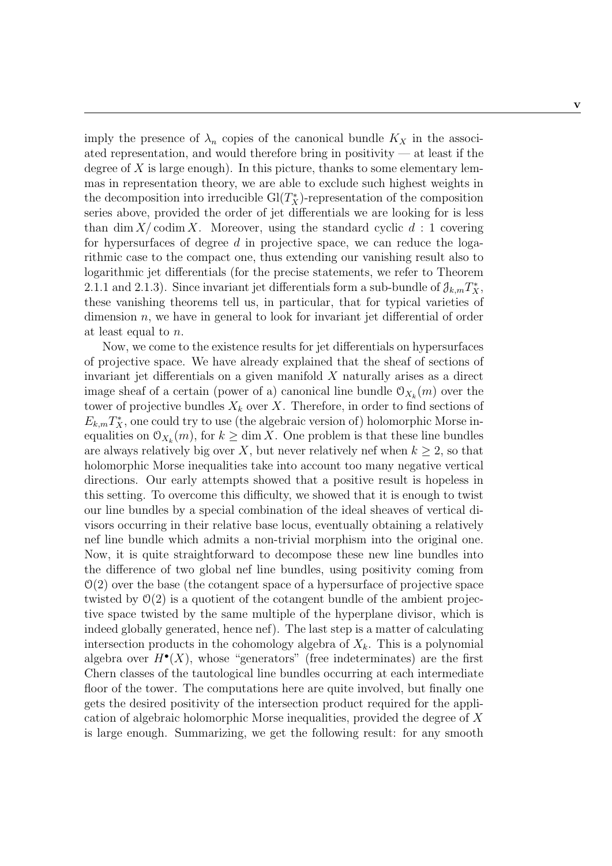imply the presence of  $\lambda_n$  copies of the canonical bundle  $K_X$  in the associated representation, and would therefore bring in positivity — at least if the degree of  $X$  is large enough). In this picture, thanks to some elementary lemmas in representation theory, we are able to exclude such highest weights in the decomposition into irreducible  $Gl(T_X^*)$ -representation of the composition series above, provided the order of jet differentials we are looking for is less than dim  $X/\text{codim } X$ . Moreover, using the standard cyclic  $d: 1$  covering for hypersurfaces of degree  $d$  in projective space, we can reduce the logarithmic case to the compact one, thus extending our vanishing result also to logarithmic jet differentials (for the precise statements, we refer to Theorem 2.1.1 and 2.1.3). Since invariant jet differentials form a sub-bundle of  $\partial_{k,m}T_X^*$ , these vanishing theorems tell us, in particular, that for typical varieties of dimension n, we have in general to look for invariant jet differential of order at least equal to n.

Now, we come to the existence results for jet differentials on hypersurfaces of projective space. We have already explained that the sheaf of sections of invariant jet differentials on a given manifold  $X$  naturally arises as a direct image sheaf of a certain (power of a) canonical line bundle  $\mathcal{O}_{X_k}(m)$  over the tower of projective bundles  $X_k$  over X. Therefore, in order to find sections of  $E_{k,m}T_X^*$ , one could try to use (the algebraic version of) holomorphic Morse inequalities on  $\mathcal{O}_{X_k}(m)$ , for  $k \geq \dim X$ . One problem is that these line bundles are always relatively big over X, but never relatively nef when  $k \geq 2$ , so that holomorphic Morse inequalities take into account too many negative vertical directions. Our early attempts showed that a positive result is hopeless in this setting. To overcome this difficulty, we showed that it is enough to twist our line bundles by a special combination of the ideal sheaves of vertical divisors occurring in their relative base locus, eventually obtaining a relatively nef line bundle which admits a non-trivial morphism into the original one. Now, it is quite straightforward to decompose these new line bundles into the difference of two global nef line bundles, using positivity coming from  $\mathcal{O}(2)$  over the base (the cotangent space of a hypersurface of projective space twisted by  $\mathcal{O}(2)$  is a quotient of the cotangent bundle of the ambient projective space twisted by the same multiple of the hyperplane divisor, which is indeed globally generated, hence nef). The last step is a matter of calculating intersection products in the cohomology algebra of  $X_k$ . This is a polynomial algebra over  $H^{\bullet}(X)$ , whose "generators" (free indeterminates) are the first Chern classes of the tautological line bundles occurring at each intermediate floor of the tower. The computations here are quite involved, but finally one gets the desired positivity of the intersection product required for the application of algebraic holomorphic Morse inequalities, provided the degree of X is large enough. Summarizing, we get the following result: for any smooth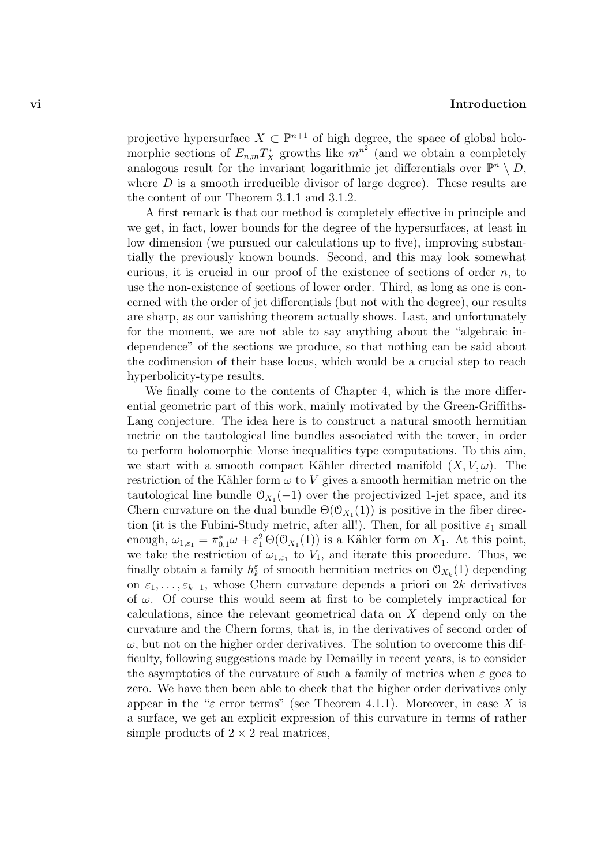projective hypersurface  $X \subset \mathbb{P}^{n+1}$  of high degree, the space of global holomorphic sections of  $E_{n,m}T_X^*$  growths like  $m^{n^2}$  (and we obtain a completely analogous result for the invariant logarithmic jet differentials over  $\mathbb{P}^n \setminus D$ , where  $D$  is a smooth irreducible divisor of large degree). These results are the content of our Theorem 3.1.1 and 3.1.2.

A first remark is that our method is completely effective in principle and we get, in fact, lower bounds for the degree of the hypersurfaces, at least in low dimension (we pursued our calculations up to five), improving substantially the previously known bounds. Second, and this may look somewhat curious, it is crucial in our proof of the existence of sections of order  $n$ , to use the non-existence of sections of lower order. Third, as long as one is concerned with the order of jet differentials (but not with the degree), our results are sharp, as our vanishing theorem actually shows. Last, and unfortunately for the moment, we are not able to say anything about the "algebraic independence" of the sections we produce, so that nothing can be said about the codimension of their base locus, which would be a crucial step to reach hyperbolicity-type results.

We finally come to the contents of Chapter 4, which is the more differential geometric part of this work, mainly motivated by the Green-Griffiths-Lang conjecture. The idea here is to construct a natural smooth hermitian metric on the tautological line bundles associated with the tower, in order to perform holomorphic Morse inequalities type computations. To this aim, we start with a smooth compact Kähler directed manifold  $(X, V, \omega)$ . The restriction of the Kähler form  $\omega$  to V gives a smooth hermitian metric on the tautological line bundle  $\mathcal{O}_{X_1}(-1)$  over the projectivized 1-jet space, and its Chern curvature on the dual bundle  $\Theta(\mathcal{O}_{X_1}(1))$  is positive in the fiber direction (it is the Fubini-Study metric, after all!). Then, for all positive  $\varepsilon_1$  small enough,  $\omega_{1,\epsilon_1} = \pi_{0,1}^* \omega + \epsilon_1^2 \Theta(\mathcal{O}_{X_1}(1))$  is a Kähler form on  $X_1$ . At this point, we take the restriction of  $\omega_{1,\epsilon_1}$  to  $V_1$ , and iterate this procedure. Thus, we finally obtain a family  $h_k^{\varepsilon}$  of smooth hermitian metrics on  $\mathcal{O}_{X_k}(1)$  depending on  $\varepsilon_1, \ldots, \varepsilon_{k-1}$ , whose Chern curvature depends a priori on 2k derivatives of  $\omega$ . Of course this would seem at first to be completely impractical for calculations, since the relevant geometrical data on X depend only on the curvature and the Chern forms, that is, in the derivatives of second order of  $\omega$ , but not on the higher order derivatives. The solution to overcome this difficulty, following suggestions made by Demailly in recent years, is to consider the asymptotics of the curvature of such a family of metrics when  $\varepsilon$  goes to zero. We have then been able to check that the higher order derivatives only appear in the " $\varepsilon$  error terms" (see Theorem 4.1.1). Moreover, in case X is a surface, we get an explicit expression of this curvature in terms of rather simple products of  $2 \times 2$  real matrices,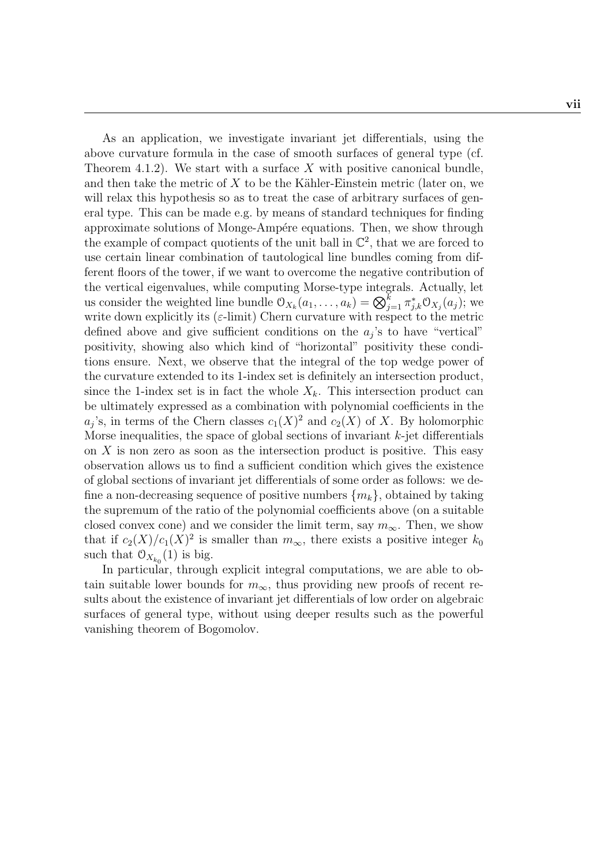As an application, we investigate invariant jet differentials, using the above curvature formula in the case of smooth surfaces of general type (cf. Theorem 4.1.2). We start with a surface  $X$  with positive canonical bundle, and then take the metric of  $X$  to be the Kähler-Einstein metric (later on, we will relax this hypothesis so as to treat the case of arbitrary surfaces of general type. This can be made e.g. by means of standard techniques for finding approximate solutions of Monge-Ampére equations. Then, we show through the example of compact quotients of the unit ball in  $\mathbb{C}^2$ , that we are forced to use certain linear combination of tautological line bundles coming from different floors of the tower, if we want to overcome the negative contribution of the vertical eigenvalues, while computing Morse-type integrals. Actually, let us consider the weighted line bundle  $\mathcal{O}_{X_k}(a_1,\ldots,a_k) = \bigotimes_{j=1}^k \pi_{j,k}^* \mathcal{O}_{X_j}(a_j)$ ; we write down explicitly its ( $\varepsilon$ -limit) Chern curvature with respect to the metric defined above and give sufficient conditions on the  $a_j$ 's to have "vertical" positivity, showing also which kind of "horizontal" positivity these conditions ensure. Next, we observe that the integral of the top wedge power of the curvature extended to its 1-index set is definitely an intersection product, since the 1-index set is in fact the whole  $X_k$ . This intersection product can be ultimately expressed as a combination with polynomial coefficients in the  $a_j$ 's, in terms of the Chern classes  $c_1(X)^2$  and  $c_2(X)$  of X. By holomorphic Morse inequalities, the space of global sections of invariant  $k$ -jet differentials on  $X$  is non zero as soon as the intersection product is positive. This easy observation allows us to find a sufficient condition which gives the existence of global sections of invariant jet differentials of some order as follows: we define a non-decreasing sequence of positive numbers  $\{m_k\}$ , obtained by taking the supremum of the ratio of the polynomial coefficients above (on a suitable closed convex cone) and we consider the limit term, say  $m_{\infty}$ . Then, we show that if  $c_2(X)/c_1(X)^2$  is smaller than  $m_{\infty}$ , there exists a positive integer  $k_0$ such that  $\mathcal{O}_{X_{k_0}}(1)$  is big.

In particular, through explicit integral computations, we are able to obtain suitable lower bounds for  $m_{\infty}$ , thus providing new proofs of recent results about the existence of invariant jet differentials of low order on algebraic surfaces of general type, without using deeper results such as the powerful vanishing theorem of Bogomolov.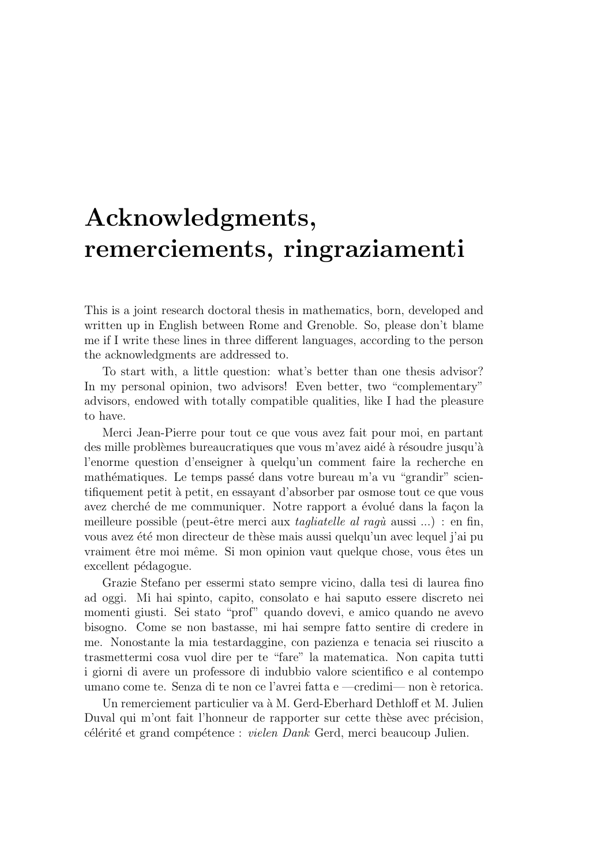# Acknowledgments, remerciements, ringraziamenti

This is a joint research doctoral thesis in mathematics, born, developed and written up in English between Rome and Grenoble. So, please don't blame me if I write these lines in three different languages, according to the person the acknowledgments are addressed to.

To start with, a little question: what's better than one thesis advisor? In my personal opinion, two advisors! Even better, two "complementary" advisors, endowed with totally compatible qualities, like I had the pleasure to have.

Merci Jean-Pierre pour tout ce que vous avez fait pour moi, en partant des mille problèmes bureaucratiques que vous m'avez aidé à résoudre jusqu'à l'enorme question d'enseigner à quelqu'un comment faire la recherche en mathématiques. Le temps passé dans votre bureau m'a vu "grandir" scientifiquement petit `a petit, en essayant d'absorber par osmose tout ce que vous avez cherché de me communiquer. Notre rapport a évolué dans la façon la meilleure possible (peut-être merci aux *tagliatelle al ragù* aussi ...) : en fin, vous avez été mon directeur de thèse mais aussi quelqu'un avec lequel j'ai pu vraiment être moi même. Si mon opinion vaut quelque chose, vous êtes un excellent pédagogue.

Grazie Stefano per essermi stato sempre vicino, dalla tesi di laurea fino ad oggi. Mi hai spinto, capito, consolato e hai saputo essere discreto nei momenti giusti. Sei stato "prof" quando dovevi, e amico quando ne avevo bisogno. Come se non bastasse, mi hai sempre fatto sentire di credere in me. Nonostante la mia testardaggine, con pazienza e tenacia sei riuscito a trasmettermi cosa vuol dire per te "fare" la matematica. Non capita tutti i giorni di avere un professore di indubbio valore scientifico e al contempo umano come te. Senza di te non ce l'avrei fatta e —credimi— non è retorica.

Un remerciement particulier va à M. Gerd-Eberhard Dethloff et M. Julien Duval qui m'ont fait l'honneur de rapporter sur cette thèse avec précision, célérité et grand compétence : *vielen Dank* Gerd, merci beaucoup Julien.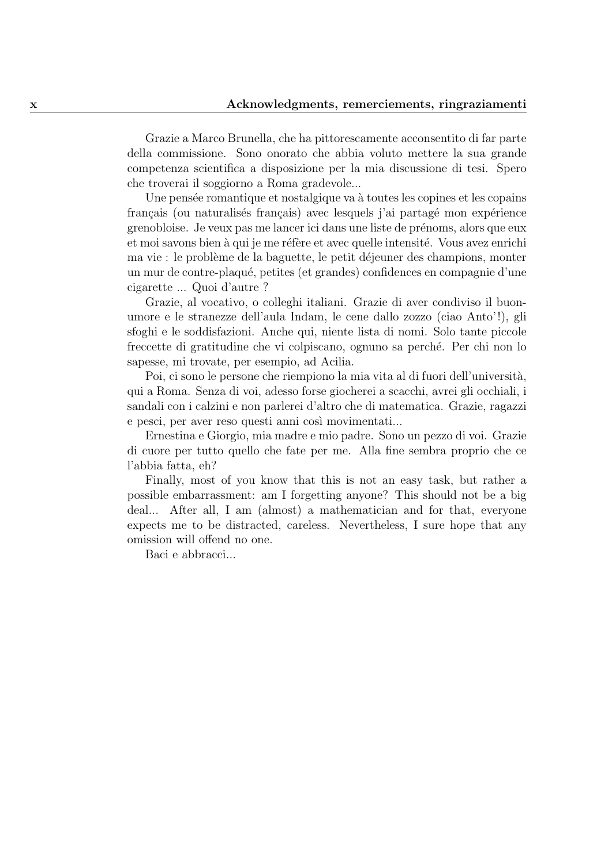Grazie a Marco Brunella, che ha pittorescamente acconsentito di far parte della commissione. Sono onorato che abbia voluto mettere la sua grande competenza scientifica a disposizione per la mia discussione di tesi. Spero che troverai il soggiorno a Roma gradevole...

Une pensée romantique et nostalgique va à toutes les copines et les copains français (ou naturalisés français) avec lesquels j'ai partagé mon expérience grenobloise. Je veux pas me lancer ici dans une liste de prénoms, alors que eux et moi savons bien à qui je me réfère et avec quelle intensité. Vous avez enrichi ma vie : le problème de la baguette, le petit déjeuner des champions, monter un mur de contre-plaqué, petites (et grandes) confidences en compagnie d'une cigarette ... Quoi d'autre ?

Grazie, al vocativo, o colleghi italiani. Grazie di aver condiviso il buonumore e le stranezze dell'aula Indam, le cene dallo zozzo (ciao Anto'!), gli sfoghi e le soddisfazioni. Anche qui, niente lista di nomi. Solo tante piccole freccette di gratitudine che vi colpiscano, ognuno sa perch´e. Per chi non lo sapesse, mi trovate, per esempio, ad Acilia.

Poi, ci sono le persone che riempiono la mia vita al di fuori dell'università, qui a Roma. Senza di voi, adesso forse giocherei a scacchi, avrei gli occhiali, i sandali con i calzini e non parlerei d'altro che di matematica. Grazie, ragazzi e pesci, per aver reso questi anni così movimentati...

Ernestina e Giorgio, mia madre e mio padre. Sono un pezzo di voi. Grazie di cuore per tutto quello che fate per me. Alla fine sembra proprio che ce l'abbia fatta, eh?

Finally, most of you know that this is not an easy task, but rather a possible embarrassment: am I forgetting anyone? This should not be a big deal... After all, I am (almost) a mathematician and for that, everyone expects me to be distracted, careless. Nevertheless, I sure hope that any omission will offend no one.

Baci e abbracci...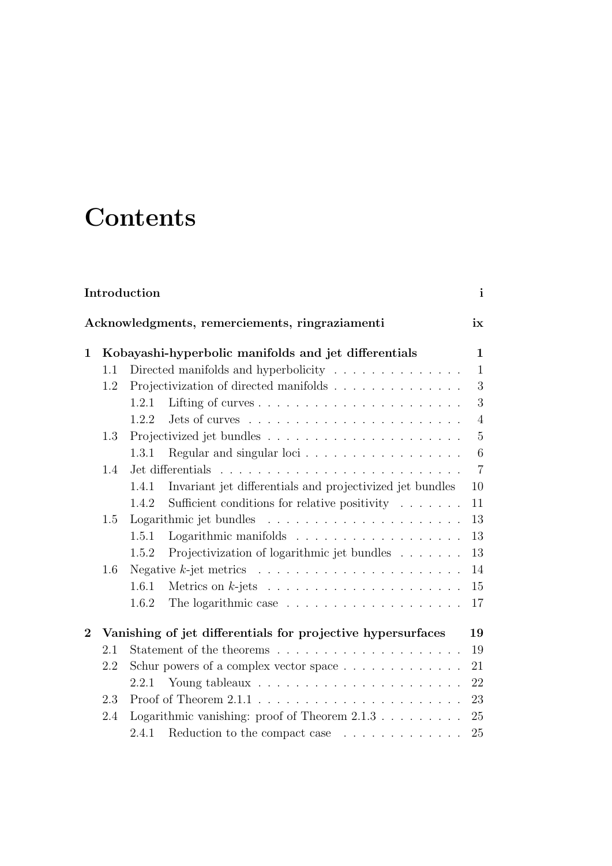# **Contents**

| Introduction<br>$\mathbf{i}$                         |     |                                                                              |  |  |
|------------------------------------------------------|-----|------------------------------------------------------------------------------|--|--|
| Acknowledgments, remerciements, ringraziamenti<br>ix |     |                                                                              |  |  |
| 1                                                    |     | Kobayashi-hyperbolic manifolds and jet differentials<br>$\mathbf{1}$         |  |  |
|                                                      | 1.1 | Directed manifolds and hyperbolicity $\ldots \ldots \ldots \ldots$<br>1      |  |  |
|                                                      | 1.2 | Projectivization of directed manifolds<br>3                                  |  |  |
|                                                      |     | 3<br>1.2.1                                                                   |  |  |
|                                                      |     | $\overline{4}$<br>1.2.2                                                      |  |  |
|                                                      | 1.3 | $\overline{5}$                                                               |  |  |
|                                                      |     | 6<br>1.3.1                                                                   |  |  |
|                                                      | 1.4 | $\overline{7}$                                                               |  |  |
|                                                      |     | Invariant jet differentials and projectivized jet bundles<br>1.4.1<br>10     |  |  |
|                                                      |     | Sufficient conditions for relative positivity $\ldots \ldots$<br>1.4.2<br>11 |  |  |
|                                                      | 1.5 | 13                                                                           |  |  |
|                                                      |     | 13<br>1.5.1                                                                  |  |  |
|                                                      |     | Projectivization of logarithmic jet bundles<br>13<br>1.5.2                   |  |  |
|                                                      | 1.6 | 14                                                                           |  |  |
|                                                      |     | 15<br>1.6.1                                                                  |  |  |
|                                                      |     | 1.6.2<br>17                                                                  |  |  |
| $\overline{2}$                                       |     | Vanishing of jet differentials for projective hypersurfaces<br>19            |  |  |
|                                                      | 2.1 | 19                                                                           |  |  |
|                                                      | 2.2 | 21<br>Schur powers of a complex vector space $\dots \dots \dots \dots$       |  |  |
|                                                      |     | 22                                                                           |  |  |
|                                                      | 2.3 | 23                                                                           |  |  |
|                                                      | 2.4 | Logarithmic vanishing: proof of Theorem $2.1.3 \ldots \ldots \ldots$<br>25   |  |  |
|                                                      |     | 2.4.1<br>Reduction to the compact case<br>25                                 |  |  |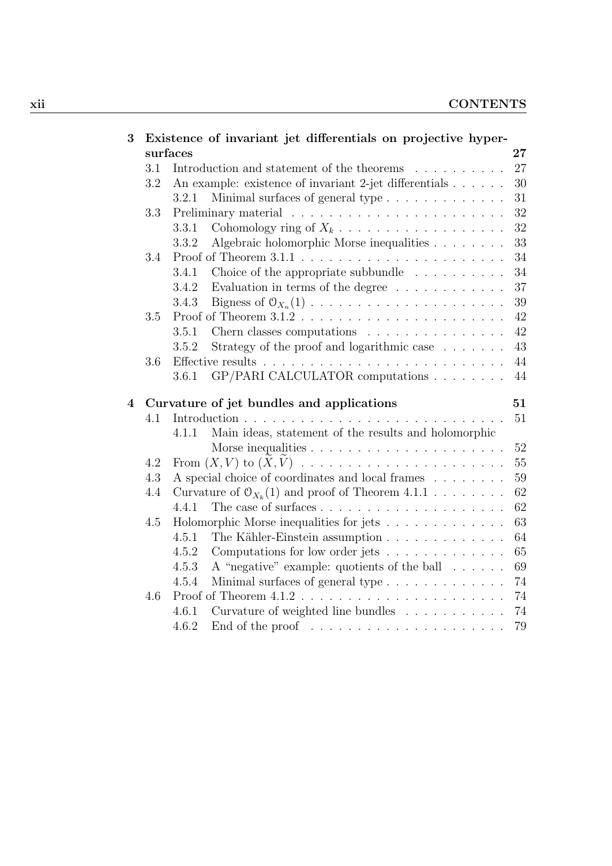| 3              |     | Existence of invariant jet differentials on projective hyper-               |        |
|----------------|-----|-----------------------------------------------------------------------------|--------|
|                |     | surfaces                                                                    | $27\,$ |
|                | 3.1 | Introduction and statement of the theorems                                  | 27     |
|                | 3.2 | An example: existence of invariant 2-jet differentials                      | 30     |
|                |     | Minimal surfaces of general type<br>3.2.1                                   | 31     |
|                | 3.3 |                                                                             | 32     |
|                |     | Cohomology ring of $X_k$<br>3.3.1                                           | 32     |
|                |     | Algebraic holomorphic Morse inequalities<br>3.3.2                           | 33     |
|                | 3.4 |                                                                             | 34     |
|                |     | Choice of the appropriate subbundle $\ldots \ldots \ldots$<br>3.4.1         | 34     |
|                |     | 3.4.2<br>Evaluation in terms of the degree                                  | 37     |
|                |     | Bigness of $\mathcal{O}_{X_n}(1)$<br>3.4.3                                  | 39     |
|                | 3.5 |                                                                             | 42     |
|                |     | Chern classes computations<br>3.5.1                                         | 42     |
|                |     | Strategy of the proof and logarithmic case $\ldots \ldots$<br>3.5.2         | 43     |
|                | 3.6 |                                                                             | 44     |
|                |     | GP/PARI CALCULATOR computations<br>3.6.1                                    | 44     |
| $\overline{4}$ |     |                                                                             | 51     |
|                | 4.1 | Curvature of jet bundles and applications                                   | 51     |
|                |     | Main ideas, statement of the results and holomorphic<br>4.1.1               |        |
|                |     |                                                                             | 52     |
|                | 4.2 |                                                                             | 55     |
|                | 4.3 | A special choice of coordinates and local frames                            | 59     |
|                | 4.4 |                                                                             | 62     |
|                |     | Curvature of $O_{X_k}(1)$ and proof of Theorem 4.1.1<br>4.4.1               | 62     |
|                |     |                                                                             | 63     |
|                | 4.5 | Holomorphic Morse inequalities for jets<br>4.5.1                            | 64     |
|                |     | The Kähler-Einstein assumption                                              |        |
|                |     | Computations for low order jets<br>4.5.2                                    | 65     |
|                |     | A "negative" example: quotients of the ball<br>4.5.3                        | 69     |
|                |     | Minimal surfaces of general type<br>4.5.4                                   | 74     |
|                | 4.6 |                                                                             | 74     |
|                |     | Curvature of weighted line bundles $\ldots \ldots \ldots$<br>4.6.1          | 74     |
|                |     | 4.6.2<br>End of the proof $\dots \dots \dots \dots \dots \dots \dots \dots$ | 79     |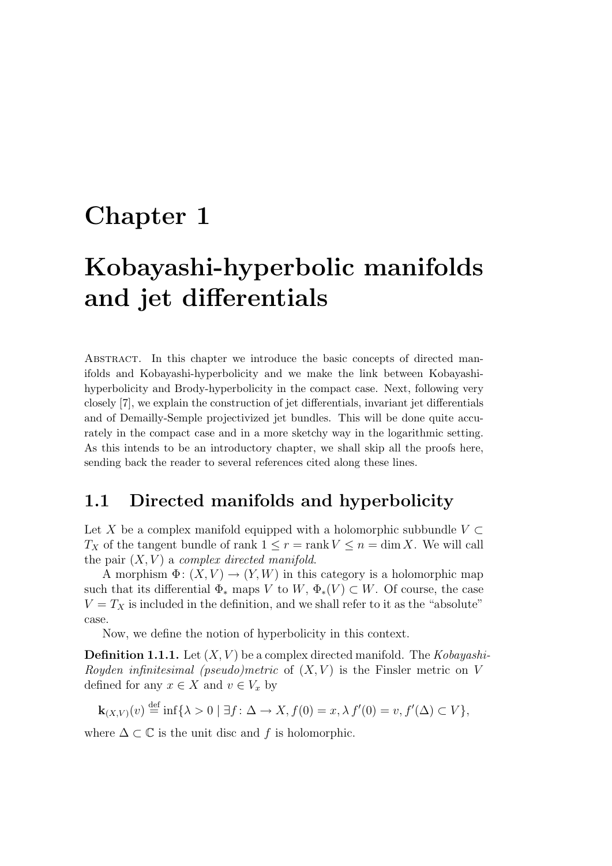## Chapter 1

# Kobayashi-hyperbolic manifolds and jet differentials

Abstract. In this chapter we introduce the basic concepts of directed manifolds and Kobayashi-hyperbolicity and we make the link between Kobayashihyperbolicity and Brody-hyperbolicity in the compact case. Next, following very closely [7], we explain the construction of jet differentials, invariant jet differentials and of Demailly-Semple projectivized jet bundles. This will be done quite accurately in the compact case and in a more sketchy way in the logarithmic setting. As this intends to be an introductory chapter, we shall skip all the proofs here, sending back the reader to several references cited along these lines.

## 1.1 Directed manifolds and hyperbolicity

Let X be a complex manifold equipped with a holomorphic subbundle  $V \subset$  $T_X$  of the tangent bundle of rank  $1 \leq r = \text{rank } V \leq n = \dim X$ . We will call the pair  $(X, V)$  a *complex directed manifold.* 

A morphism  $\Phi: (X, V) \to (Y, W)$  in this category is a holomorphic map such that its differential  $\Phi_*$  maps V to W,  $\Phi_*(V) \subset W$ . Of course, the case  $V = T_X$  is included in the definition, and we shall refer to it as the "absolute" case.

Now, we define the notion of hyperbolicity in this context.

**Definition 1.1.1.** Let  $(X, V)$  be a complex directed manifold. The *Kobayashi-*Royden infinitesimal (pseudo)metric of  $(X, V)$  is the Finsler metric on V defined for any  $x \in X$  and  $v \in V_x$  by

$$
\mathbf{k}_{(X,V)}(v) \stackrel{\text{def}}{=} \inf \{ \lambda > 0 \mid \exists f \colon \Delta \to X, f(0) = x, \lambda f'(0) = v, f'(\Delta) \subset V \},
$$

where  $\Delta \subset \mathbb{C}$  is the unit disc and f is holomorphic.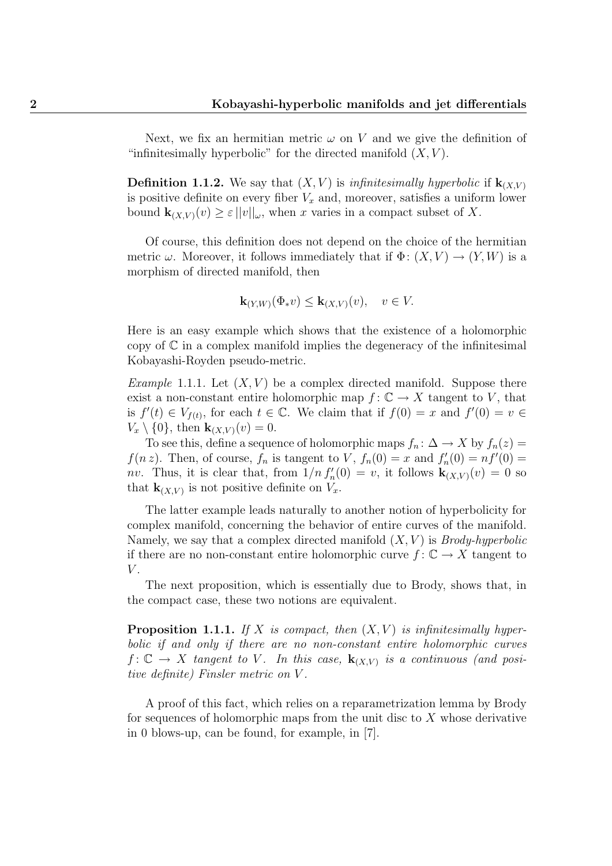Next, we fix an hermitian metric  $\omega$  on V and we give the definition of "infinitesimally hyperbolic" for the directed manifold  $(X, V)$ .

**Definition 1.1.2.** We say that  $(X, V)$  is *infinitesimally hyperbolic* if  $\mathbf{k}_{(X, V)}$ is positive definite on every fiber  $V_x$  and, moreover, satisfies a uniform lower bound  $\mathbf{k}_{(X,V)}(v) \geq \varepsilon ||v||_{\omega}$ , when x varies in a compact subset of X.

Of course, this definition does not depend on the choice of the hermitian metric  $\omega$ . Moreover, it follows immediately that if  $\Phi: (X, V) \to (Y, W)$  is a morphism of directed manifold, then

$$
\mathbf{k}_{(Y,W)}(\Phi_* v) \leq \mathbf{k}_{(X,V)}(v), \quad v \in V.
$$

Here is an easy example which shows that the existence of a holomorphic copy of  $\mathbb C$  in a complex manifold implies the degeneracy of the infinitesimal Kobayashi-Royden pseudo-metric.

*Example* 1.1.1. Let  $(X, V)$  be a complex directed manifold. Suppose there exist a non-constant entire holomorphic map  $f: \mathbb{C} \to X$  tangent to V, that is  $f'(t) \in V_{f(t)}$ , for each  $t \in \mathbb{C}$ . We claim that if  $f(0) = x$  and  $f'(0) = v \in$  $V_x \setminus \{0\}$ , then  $\mathbf{k}_{(X,V)}(v) = 0$ .

To see this, define a sequence of holomorphic maps  $f_n: \Delta \to X$  by  $f_n(z) =$  $f(n z)$ . Then, of course,  $f_n$  is tangent to V,  $f_n(0) = x$  and  $f'_n(0) = nf'(0) =$ nv. Thus, it is clear that, from  $1/n f'_n(0) = v$ , it follows  $\mathbf{k}_{(X,V)}(v) = 0$  so that  $\mathbf{k}_{(X,V)}$  is not positive definite on  $V_x$ .

The latter example leads naturally to another notion of hyperbolicity for complex manifold, concerning the behavior of entire curves of the manifold. Namely, we say that a complex directed manifold  $(X, V)$  is *Brody-hyperbolic* if there are no non-constant entire holomorphic curve  $f: \mathbb{C} \to X$  tangent to  $V$ .

The next proposition, which is essentially due to Brody, shows that, in the compact case, these two notions are equivalent.

**Proposition 1.1.1.** If X is compact, then  $(X, V)$  is infinitesimally hyperbolic if and only if there are no non-constant entire holomorphic curves  $f: \mathbb{C} \to X$  tangent to V. In this case,  $\mathbf{k}_{(X,V)}$  is a continuous (and positive definite) Finsler metric on V .

A proof of this fact, which relies on a reparametrization lemma by Brody for sequences of holomorphic maps from the unit disc to  $X$  whose derivative in 0 blows-up, can be found, for example, in [7].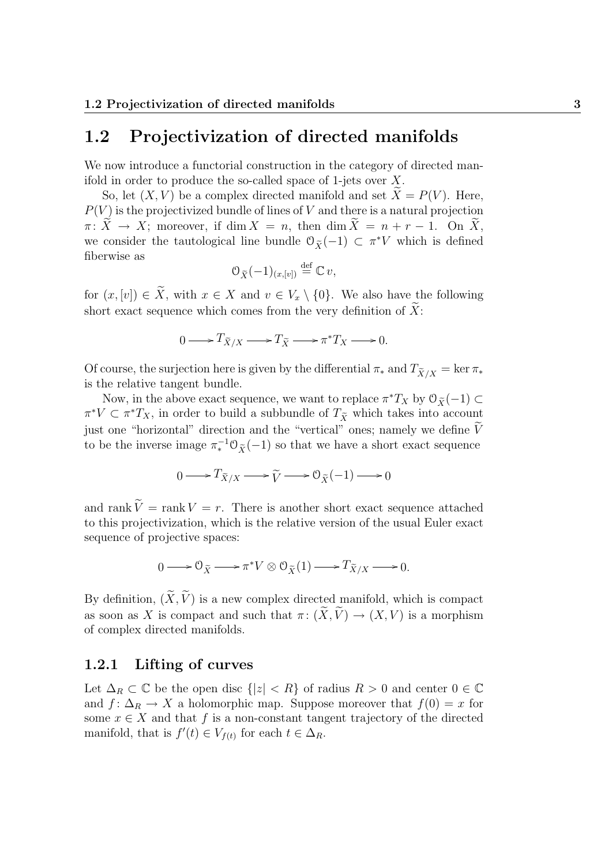## 1.2 Projectivization of directed manifolds

We now introduce a functorial construction in the category of directed manifold in order to produce the so-called space of 1-jets over X.

So, let  $(X, V)$  be a complex directed manifold and set  $X = P(V)$ . Here,  $P(V)$  is the projectivized bundle of lines of V and there is a natural projection  $\pi: \widetilde{X} \to X$ ; moreover, if dim  $X = n$ , then dim  $\widetilde{X} = n + r - 1$ . On  $\widetilde{X}$ , we consider the tautological line bundle  $\mathcal{O}_{\tilde{X}}(-1) \subset \pi^*V$  which is defined fiberwise as

$$
\mathcal{O}_{\widetilde{X}}(-1)_{(x,[v])} \stackrel{\text{def}}{=} \mathbb{C} v,
$$

for  $(x,[v]) \in \widetilde{X}$ , with  $x \in X$  and  $v \in V_x \setminus \{0\}$ . We also have the following short exact sequence which comes from the very definition of  $\widetilde{X}$ :

$$
0 \longrightarrow T_{\widetilde{X}/X} \longrightarrow T_{\widetilde{X}} \longrightarrow \pi^* T_X \longrightarrow 0.
$$

Of course, the surjection here is given by the differential  $\pi_*$  and  $T_{\widetilde{X}/X} = \ker \pi_*$ is the relative tangent bundle.

Now, in the above exact sequence, we want to replace  $\pi^*T_X$  by  $\mathcal{O}_{\tilde{X}}(-1) \subset$  $\pi^* V \subset \pi^* T_X$ , in order to build a subbundle of  $T_{\tilde{X}}$  which takes into account just one "horizontal" direction and the "vertical" ones; namely we define  $V$ to be the inverse image  $\pi_*^{-1} \mathcal{O}_{\tilde{X}}(-1)$  so that we have a short exact sequence

$$
0 \longrightarrow T_{\widetilde{X}/X} \longrightarrow \widetilde{V} \longrightarrow 0_{\widetilde{X}}(-1) \longrightarrow 0
$$

and rank  $\widetilde{V}$  = rank  $V = r$ . There is another short exact sequence attached to this projectivization, which is the relative version of the usual Euler exact sequence of projective spaces:

$$
0 \longrightarrow \mathcal{O}_{\widetilde{X}} \longrightarrow \pi^* V \otimes \mathcal{O}_{\widetilde{X}}(1) \longrightarrow T_{\widetilde{X}/X} \longrightarrow 0.
$$

By definition,  $(\widetilde{X}, \widetilde{V})$  is a new complex directed manifold, which is compact as soon as X is compact and such that  $\pi: (\widetilde{X}, \widetilde{V}) \to (X, V)$  is a morphism of complex directed manifolds.

#### 1.2.1 Lifting of curves

Let  $\Delta_R \subset \mathbb{C}$  be the open disc  $\{|z| < R\}$  of radius  $R > 0$  and center  $0 \in \mathbb{C}$ and  $f: \Delta_R \to X$  a holomorphic map. Suppose moreover that  $f(0) = x$  for some  $x \in X$  and that f is a non-constant tangent trajectory of the directed manifold, that is  $f'(t) \in V_{f(t)}$  for each  $t \in \Delta_R$ .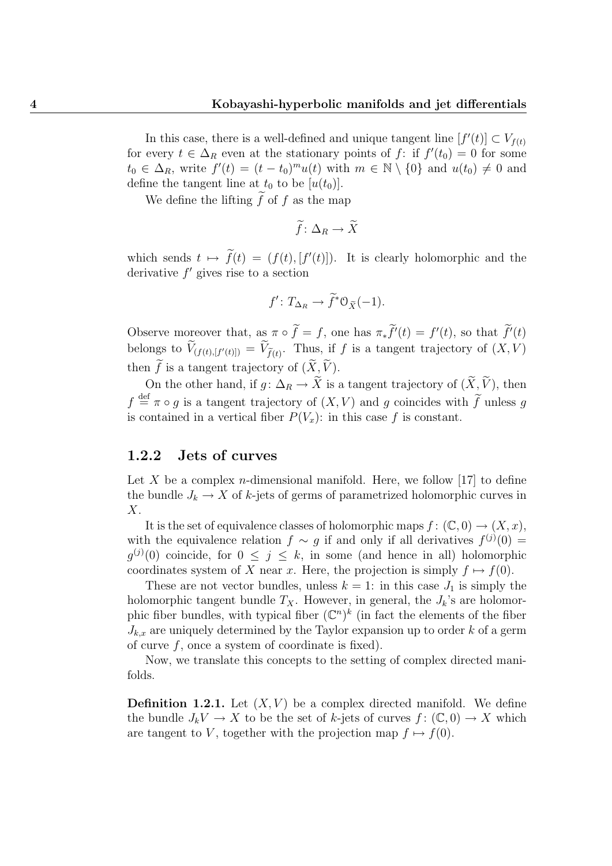In this case, there is a well-defined and unique tangent line  $[f'(t)] \subset V_{f(t)}$ for every  $t \in \Delta_R$  even at the stationary points of f: if  $f'(t_0) = 0$  for some  $t_0 \in \Delta_R$ , write  $f'(t) = (t - t_0)^m u(t)$  with  $m \in \mathbb{N} \setminus \{0\}$  and  $u(t_0) \neq 0$  and define the tangent line at  $t_0$  to be  $[u(t_0)].$ 

We define the lifting  $\tilde{f}$  of f as the map

$$
\widetilde{f} \colon \Delta_R \to \widetilde{X}
$$

which sends  $t \mapsto f(t) = (f(t), [f'(t)])$ . It is clearly holomorphic and the derivative  $f'$  gives rise to a section

$$
f': T_{\Delta_R} \to \widetilde{f}^* \mathcal{O}_{\widetilde{X}}(-1).
$$

Observe moreover that, as  $\pi \circ f = f$ , one has  $\pi * f'(t) = f'(t)$ , so that  $f'(t)$ belongs to  $V_{(f(t),[f'(t)])} = V_{\tilde{f}(t)}$ . Thus, if f is a tangent trajectory of  $(X, V)$ then  $\widetilde{f}$  is a tangent trajectory of  $(\widetilde{X}, \widetilde{V})$ .

On the other hand, if  $g: \Delta_R \to \tilde{X}$  is a tangent trajectory of  $(\tilde{X}, \tilde{V})$ , then  $f \stackrel{\text{def}}{=} \pi \circ g$  is a tangent trajectory of  $(X, V)$  and g coincides with  $\widetilde{f}$  unless g is contained in a vertical fiber  $P(V_x)$ : in this case f is constant.

#### 1.2.2 Jets of curves

Let X be a complex *n*-dimensional manifold. Here, we follow [17] to define the bundle  $J_k \to X$  of k-jets of germs of parametrized holomorphic curves in X.

It is the set of equivalence classes of holomorphic maps  $f: (\mathbb{C},0) \to (X,x)$ , with the equivalence relation  $f \sim g$  if and only if all derivatives  $f^{(j)}(0) =$  $g^{(j)}(0)$  coincide, for  $0 \leq j \leq k$ , in some (and hence in all) holomorphic coordinates system of X near x. Here, the projection is simply  $f \mapsto f(0)$ .

These are not vector bundles, unless  $k = 1$ : in this case  $J_1$  is simply the holomorphic tangent bundle  $T_X$ . However, in general, the  $J_k$ 's are holomorphic fiber bundles, with typical fiber  $(\mathbb{C}^n)^k$  (in fact the elements of the fiber  $J_{k,x}$  are uniquely determined by the Taylor expansion up to order k of a germ of curve  $f$ , once a system of coordinate is fixed).

Now, we translate this concepts to the setting of complex directed manifolds.

**Definition 1.2.1.** Let  $(X, V)$  be a complex directed manifold. We define the bundle  $J_kV \to X$  to be the set of k-jets of curves  $f: (\mathbb{C},0) \to X$  which are tangent to V, together with the projection map  $f \mapsto f(0)$ .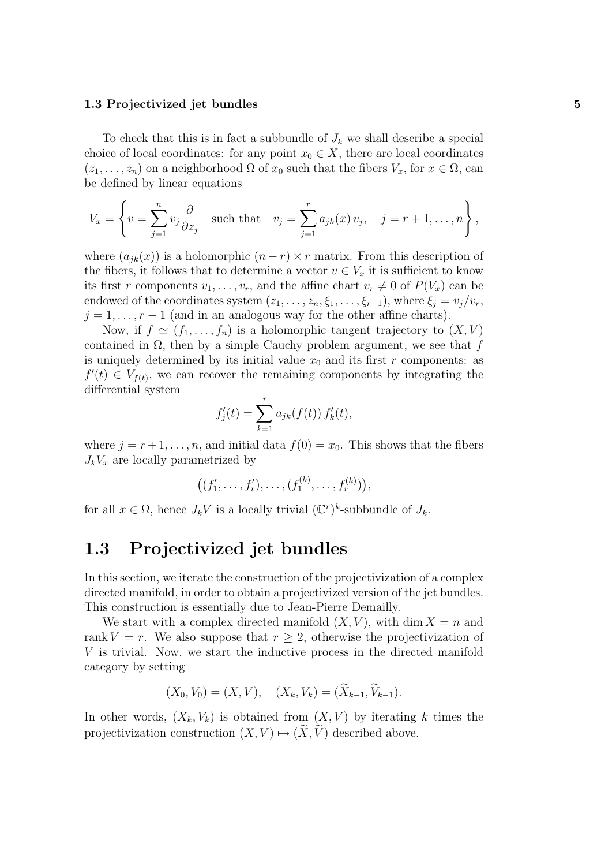To check that this is in fact a subbundle of  $J_k$  we shall describe a special choice of local coordinates: for any point  $x_0 \in X$ , there are local coordinates  $(z_1, \ldots, z_n)$  on a neighborhood  $\Omega$  of  $x_0$  such that the fibers  $V_x$ , for  $x \in \Omega$ , can be defined by linear equations

$$
V_x = \left\{ v = \sum_{j=1}^n v_j \frac{\partial}{\partial z_j} \quad \text{such that} \quad v_j = \sum_{j=1}^r a_{jk}(x) v_j, \quad j = r+1, \dots, n \right\},\,
$$

where  $(a_{ik}(x))$  is a holomorphic  $(n - r) \times r$  matrix. From this description of the fibers, it follows that to determine a vector  $v \in V_x$  it is sufficient to know its first r components  $v_1, \ldots, v_r$ , and the affine chart  $v_r \neq 0$  of  $P(V_x)$  can be endowed of the coordinates system  $(z_1, \ldots, z_n, \xi_1, \ldots, \xi_{r-1})$ , where  $\xi_i = v_i/v_r$ ,  $j = 1, \ldots, r - 1$  (and in an analogous way for the other affine charts).

Now, if  $f \simeq (f_1, \ldots, f_n)$  is a holomorphic tangent trajectory to  $(X, V)$ contained in  $\Omega$ , then by a simple Cauchy problem argument, we see that f is uniquely determined by its initial value  $x_0$  and its first r components: as  $f'(t) \in V_{f(t)}$ , we can recover the remaining components by integrating the differential system

$$
f'_{j}(t) = \sum_{k=1}^{r} a_{jk}(f(t)) f'_{k}(t),
$$

where  $j = r + 1, \ldots, n$ , and initial data  $f(0) = x_0$ . This shows that the fibers  $J_kV_x$  are locally parametrized by

$$
((f'_1,\ldots,f'_r),\ldots,(f_1^{(k)},\ldots,f_r^{(k)})),
$$

for all  $x \in \Omega$ , hence  $J_k V$  is a locally trivial  $(\mathbb{C}^r)^k$ -subbundle of  $J_k$ .

## 1.3 Projectivized jet bundles

In this section, we iterate the construction of the projectivization of a complex directed manifold, in order to obtain a projectivized version of the jet bundles. This construction is essentially due to Jean-Pierre Demailly.

We start with a complex directed manifold  $(X, V)$ , with dim  $X = n$  and rank  $V = r$ . We also suppose that  $r > 2$ , otherwise the projectivization of V is trivial. Now, we start the inductive process in the directed manifold category by setting

$$
(X_0, V_0) = (X, V), \quad (X_k, V_k) = (\widetilde{X}_{k-1}, \widetilde{V}_{k-1}).
$$

In other words,  $(X_k, V_k)$  is obtained from  $(X, V)$  by iterating k times the projectivization construction  $(X, V) \mapsto (\widetilde{X}, \widetilde{V})$  described above.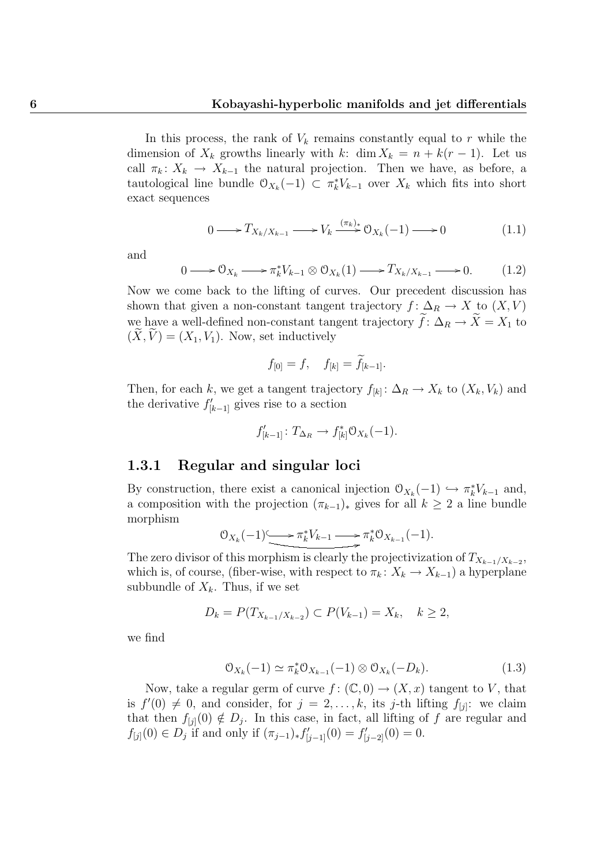In this process, the rank of  $V_k$  remains constantly equal to r while the dimension of  $X_k$  growths linearly with k: dim  $X_k = n + k(r - 1)$ . Let us call  $\pi_k: X_k \to X_{k-1}$  the natural projection. Then we have, as before, a tautological line bundle  $\mathcal{O}_{X_k}(-1) \subset \pi_k^* V_{k-1}$  over  $X_k$  which fits into short exact sequences

$$
0 \longrightarrow T_{X_k/X_{k-1}} \longrightarrow V_k \xrightarrow{(\pi_k)_*} 0_{X_k}(-1) \longrightarrow 0 \tag{1.1}
$$

and

$$
0 \longrightarrow \mathcal{O}_{X_k} \longrightarrow \pi_k^* V_{k-1} \otimes \mathcal{O}_{X_k}(1) \longrightarrow T_{X_k/X_{k-1}} \longrightarrow 0. \tag{1.2}
$$

Now we come back to the lifting of curves. Our precedent discussion has shown that given a non-constant tangent trajectory  $f: \Delta_R \to X$  to  $(X, V)$ we have a well-defined non-constant tangent trajectory  $\widetilde{f}: \Delta_R \to \widetilde{X} = X_1$  to  $(\widetilde{X}, \widetilde{V}) = (X_1, V_1)$ . Now, set inductively

$$
f_{[0]} = f, \quad f_{[k]} = f_{[k-1]}.
$$

Then, for each k, we get a tangent trajectory  $f_{[k]} : \Delta_R \to X_k$  to  $(X_k, V_k)$  and the derivative  $f'_{[k-1]}$  gives rise to a section

$$
f'_{[k-1]} \colon T_{\Delta_R} \to f_{[k]}^* \mathcal{O}_{X_k}(-1).
$$

#### 1.3.1 Regular and singular loci

By construction, there exist a canonical injection  $\mathcal{O}_{X_k}(-1) \hookrightarrow \pi_k^* V_{k-1}$  and, a composition with the projection  $(\pi_{k-1})_*$  gives for all  $k \geq 2$  a line bundle morphism

$$
\mathcal{O}_{X_k}(-1) \longrightarrow \pi_k^* V_{k-1} \longrightarrow \pi_k^* \mathcal{O}_{X_{k-1}}(-1).
$$

The zero divisor of this morphism is clearly the projectivization of  $T_{X_{k-1}/X_{k-2}}$ , which is, of course, (fiber-wise, with respect to  $\pi_k: X_k \to X_{k-1}$ ) a hyperplane subbundle of  $X_k$ . Thus, if we set

$$
D_k = P(T_{X_{k-1}/X_{k-2}}) \subset P(V_{k-1}) = X_k, \quad k \ge 2,
$$

we find

$$
\mathcal{O}_{X_k}(-1) \simeq \pi_k^* \mathcal{O}_{X_{k-1}}(-1) \otimes \mathcal{O}_{X_k}(-D_k). \tag{1.3}
$$

Now, take a regular germ of curve  $f: (\mathbb{C}, 0) \to (X, x)$  tangent to V, that is  $f'(0) \neq 0$ , and consider, for  $j = 2, ..., k$ , its j-th lifting  $f_{[j]}$ : we claim that then  $f_{[j]}(0) \notin D_j$ . In this case, in fact, all lifting of f are regular and  $f_{[j]}(0) \in D_j$  if and only if  $(\pi_{j-1})_* f'_{[j-1]}(0) = f'_{[j-2]}(0) = 0$ .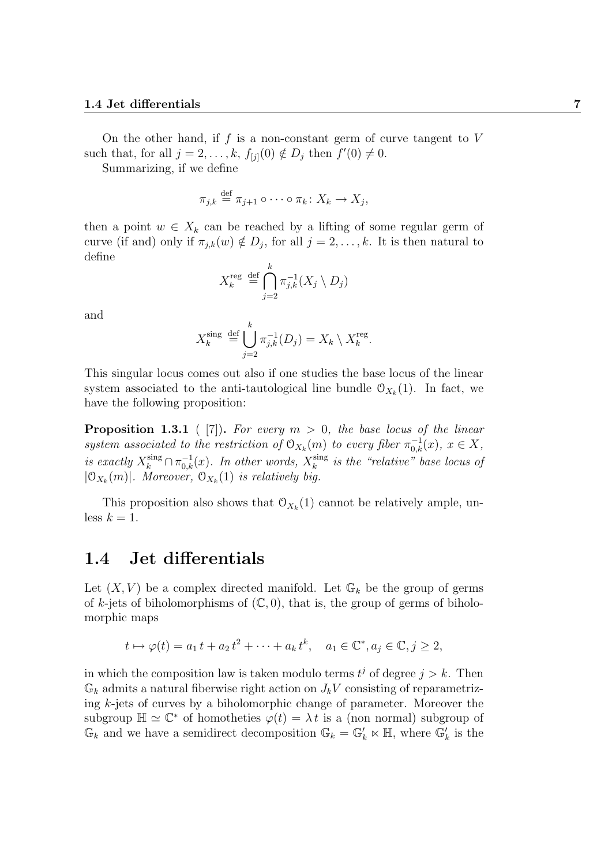On the other hand, if  $f$  is a non-constant germ of curve tangent to  $V$ such that, for all  $j = 2, \ldots, k$ ,  $f_{[j]}(0) \notin D_j$  then  $f'(0) \neq 0$ .

Summarizing, if we define

$$
\pi_{j,k} \stackrel{\text{def}}{=} \pi_{j+1} \circ \cdots \circ \pi_k \colon X_k \to X_j,
$$

then a point  $w \in X_k$  can be reached by a lifting of some regular germ of curve (if and) only if  $\pi_{j,k}(w) \notin D_j$ , for all  $j = 2, \ldots, k$ . It is then natural to define

$$
X_k^{\text{reg}} \stackrel{\text{def}}{=} \bigcap_{j=2}^k \pi_{j,k}^{-1}(X_j \setminus D_j)
$$

and

$$
X_k^{\text{sing}} \stackrel{\text{def}}{=} \bigcup_{j=2}^k \pi_{j,k}^{-1}(D_j) = X_k \setminus X_k^{\text{reg}}.
$$

This singular locus comes out also if one studies the base locus of the linear system associated to the anti-tautological line bundle  $\mathcal{O}_{X_k}(1)$ . In fact, we have the following proposition:

**Proposition 1.3.1** ( [7]). For every  $m > 0$ , the base locus of the linear system associated to the restriction of  $\mathcal{O}_{X_k}(m)$  to every fiber  $\pi_{0,k}^{-1}(x)$ ,  $x \in X$ , is exactly  $X_k^{\text{sing}} \cap \pi_{0,k}^{-1}(x)$ . In other words,  $X_k^{\text{sing}}$  $\sum_{k}^{\text{sing}}$  is the "relative" base locus of  $|\mathfrak{O}_{X_k}(m)|$ . Moreover,  $\mathfrak{O}_{X_k}(1)$  is relatively big.

This proposition also shows that  $\mathcal{O}_{X_k}(1)$  cannot be relatively ample, unless  $k = 1$ .

### 1.4 Jet differentials

Let  $(X, V)$  be a complex directed manifold. Let  $\mathbb{G}_k$  be the group of germs of k-jets of biholomorphisms of  $(\mathbb{C}, 0)$ , that is, the group of germs of biholomorphic maps

$$
t \mapsto \varphi(t) = a_1 t + a_2 t^2 + \dots + a_k t^k, \quad a_1 \in \mathbb{C}^*, a_j \in \mathbb{C}, j \ge 2,
$$

in which the composition law is taken modulo terms  $t^j$  of degree  $j > k$ . Then  $\mathbb{G}_k$  admits a natural fiberwise right action on  $J_kV$  consisting of reparametrizing  $k$ -jets of curves by a biholomorphic change of parameter. Moreover the subgroup  $\mathbb{H} \simeq \mathbb{C}^*$  of homotheties  $\varphi(t) = \lambda t$  is a (non normal) subgroup of  $\mathbb{G}_k$  and we have a semidirect decomposition  $\mathbb{G}_k = \mathbb{G}'_k \ltimes \mathbb{H}$ , where  $\mathbb{G}'_k$  is the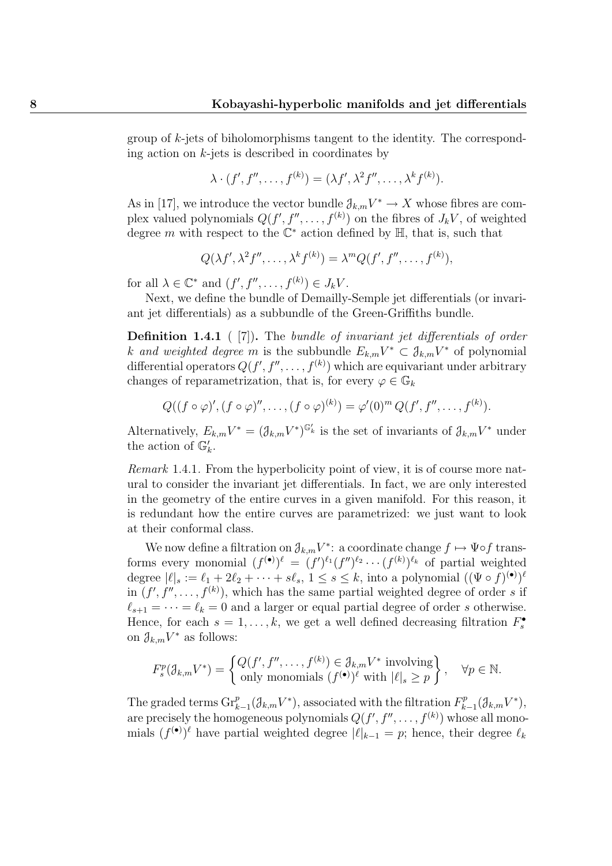group of k-jets of biholomorphisms tangent to the identity. The corresponding action on  $k$ -jets is described in coordinates by

$$
\lambda \cdot (f', f'', \dots, f^{(k)}) = (\lambda f', \lambda^2 f'', \dots, \lambda^k f^{(k)}).
$$

As in [17], we introduce the vector bundle  $\partial_{k,m}V^* \to X$  whose fibres are complex valued polynomials  $Q(f', f'', \ldots, f^{(k)})$  on the fibres of  $J_kV$ , of weighted degree m with respect to the  $\mathbb{C}^*$  action defined by  $\mathbb{H}$ , that is, such that

$$
Q(\lambda f', \lambda^2 f'', \dots, \lambda^k f^{(k)}) = \lambda^m Q(f', f'', \dots, f^{(k)}),
$$

for all  $\lambda \in \mathbb{C}^*$  and  $(f', f'', \ldots, f^{(k)}) \in J_k V$ .

Next, we define the bundle of Demailly-Semple jet differentials (or invariant jet differentials) as a subbundle of the Green-Griffiths bundle.

Definition 1.4.1 ( [7]). The bundle of invariant jet differentials of order k and weighted degree m is the subbundle  $E_{k,m}V^* \subset \mathcal{J}_{k,m}V^*$  of polynomial differential operators  $Q(f', f'', \ldots, f^{(k)})$  which are equivariant under arbitrary changes of reparametrization, that is, for every  $\varphi \in \mathbb{G}_k$ 

$$
Q((f\circ\varphi)',(f\circ\varphi)'',\ldots,(f\circ\varphi)^{(k)})=\varphi'(0)^m Q(f',f'',\ldots,f^{(k)}).
$$

Alternatively,  $E_{k,m}V^* = (\mathcal{J}_{k,m}V^*)^{\mathbb{G}'_k}$  is the set of invariants of  $\mathcal{J}_{k,m}V^*$  under the action of  $\mathbb{G}_k'$ .

Remark 1.4.1. From the hyperbolicity point of view, it is of course more natural to consider the invariant jet differentials. In fact, we are only interested in the geometry of the entire curves in a given manifold. For this reason, it is redundant how the entire curves are parametrized: we just want to look at their conformal class.

We now define a filtration on  $\mathcal{J}_{k,m}V^*$ : a coordinate change  $f \mapsto \Psi \circ f$  transforms every monomial  $(f^{(\bullet)})^{\ell} = (f')^{\ell_1}(f'')^{\ell_2} \cdots (f^{(k)})^{\ell_k}$  of partial weighted degree  $|\ell|_s := \ell_1 + 2\ell_2 + \cdots + s\ell_s, 1 \le s \le k$ , into a polynomial  $((\Psi \circ f)^{(\bullet)})^{\ell}$ in  $(f', f'', \ldots, f^{(k)})$ , which has the same partial weighted degree of order s if  $\ell_{s+1} = \cdots = \ell_k = 0$  and a larger or equal partial degree of order s otherwise. Hence, for each  $s = 1, ..., k$ , we get a well defined decreasing filtration  $F_s^{\bullet}$ on  $\mathcal{J}_{k,m}V^*$  as follows:

$$
F_s^p(\mathcal{J}_{k,m}V^*) = \left\{ \begin{matrix} Q(f', f'', \dots, f^{(k)}) \in \mathcal{J}_{k,m}V^* \text{ involving} \\ \text{only monomials } (f^{(\bullet)})^{\ell} \text{ with } |\ell|_s \ge p \end{matrix} \right\}, \quad \forall p \in \mathbb{N}.
$$

The graded terms  $\text{Gr}_{k-1}^p(\mathcal{J}_{k,m}V^*)$ , associated with the filtration  $F_k^p$  $E_{k-1}^{p}(\mathcal{J}_{k,m}V^{*}),$ are precisely the homogeneous polynomials  $Q(f', f'', \ldots, f^{(k)})$  whose all monomials  $(f^{(\bullet)})^{\ell}$  have partial weighted degree  $|\ell|_{k-1} = p$ ; hence, their degree  $\ell_k$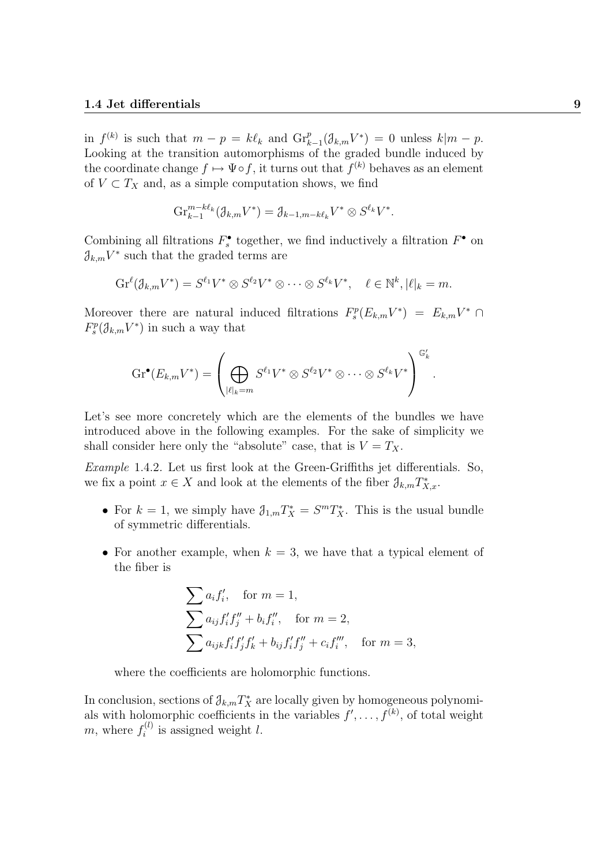in  $f^{(k)}$  is such that  $m - p = k\ell_k$  and  $\mathrm{Gr}_{k-1}^p(\mathcal{J}_{k,m}V^*) = 0$  unless  $k|m - p$ . Looking at the transition automorphisms of the graded bundle induced by the coordinate change  $f \mapsto \Psi \circ f$ , it turns out that  $f^{(k)}$  behaves as an element of  $V \subset T_X$  and, as a simple computation shows, we find

$$
\mathrm{Gr}_{k-1}^{m-k\ell_k}(\mathfrak{J}_{k,m}V^*)=\mathfrak{J}_{k-1,m-k\ell_k}V^*\otimes S^{\ell_k}V^*.
$$

Combining all filtrations  $F_s^{\bullet}$  together, we find inductively a filtration  $F^{\bullet}$  on  $\mathcal{J}_{k,m}V^*$  such that the graded terms are

$$
\mathrm{Gr}^{\ell}(\mathcal{J}_{k,m}V^*)=S^{\ell_1}V^*\otimes S^{\ell_2}V^*\otimes\cdots\otimes S^{\ell_k}V^*,\quad \ell\in\mathbb{N}^k,|\ell|_k=m.
$$

Moreover there are natural induced filtrations  $F_s^p(E_{k,m}V^*) = E_{k,m}V^* \cap$  $F_s^p(\mathcal{J}_{k,m}V^*)$  in such a way that

$$
\mathrm{Gr}^{\bullet}(E_{k,m}V^*)=\left(\bigoplus_{|\ell|_k=m}S^{\ell_1}V^*\otimes S^{\ell_2}V^*\otimes\cdots\otimes S^{\ell_k}V^*\right)^{\mathbb{G}'_k}.
$$

Let's see more concretely which are the elements of the bundles we have introduced above in the following examples. For the sake of simplicity we shall consider here only the "absolute" case, that is  $V = T_X$ .

Example 1.4.2. Let us first look at the Green-Griffiths jet differentials. So, we fix a point  $x \in X$  and look at the elements of the fiber  $\mathcal{J}_{k,m}T^*_{X,x}$ .

- For  $k = 1$ , we simply have  $\mathcal{J}_{1,m} T_X^* = S^m T_X^*$ . This is the usual bundle of symmetric differentials.
- For another example, when  $k = 3$ , we have that a typical element of the fiber is

$$
\sum a_i f'_i, \text{ for } m = 1,
$$
  
\n
$$
\sum a_{ij} f'_i f''_j + b_i f''_i, \text{ for } m = 2,
$$
  
\n
$$
\sum a_{ijk} f'_i f'_j f'_k + b_{ij} f'_i f''_j + c_i f'''_i, \text{ for } m = 3,
$$

where the coefficients are holomorphic functions.

In conclusion, sections of  $\mathcal{J}_{k,m}T_X^*$  are locally given by homogeneous polynomials with holomorphic coefficients in the variables  $f', \ldots, f^{(k)}$ , of total weight m, where  $f_i^{(l)}$  $i^{(l)}$  is assigned weight l.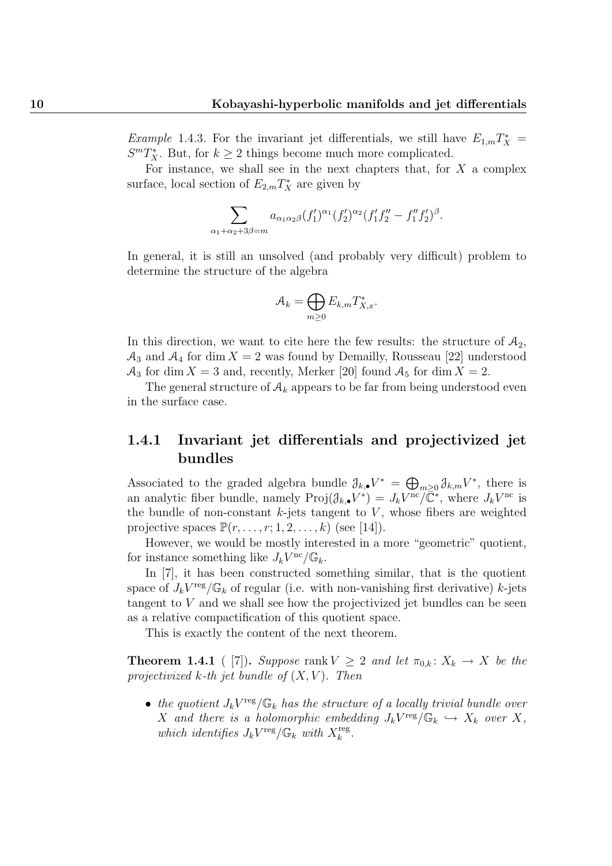*Example* 1.4.3. For the invariant jet differentials, we still have  $E_{1,m}T_X^* =$  $S<sup>m</sup>T<sub>X</sub><sup>*</sup>$ . But, for  $k \ge 2$  things become much more complicated.

For instance, we shall see in the next chapters that, for  $X$  a complex surface, local section of  $E_{2,m}T_X^*$  are given by

$$
\sum_{\alpha_1+\alpha_2+3\beta=m} a_{\alpha_1\alpha_2\beta}(f'_1)^{\alpha_1}(f'_2)^{\alpha_2}(f'_1f''_2-f''_1f'_2)^{\beta}.
$$

In general, it is still an unsolved (and probably very difficult) problem to determine the structure of the algebra

$$
\mathcal{A}_k = \bigoplus_{m \ge 0} E_{k,m} T^*_{X,x}.
$$

In this direction, we want to cite here the few results: the structure of  $A_2$ ,  $\mathcal{A}_3$  and  $\mathcal{A}_4$  for dim  $X = 2$  was found by Demailly, Rousseau [22] understood  $\mathcal{A}_3$  for dim  $X = 3$  and, recently, Merker [20] found  $\mathcal{A}_5$  for dim  $X = 2$ .

The general structure of  $A_k$  appears to be far from being understood even in the surface case.

### 1.4.1 Invariant jet differentials and projectivized jet bundles

Associated to the graded algebra bundle  $\partial_{k,\bullet} V^* = \bigoplus_{m\geq 0} \partial_{k,m} V^*$ , there is an analytic fiber bundle, namely  $\text{Proj}(\mathcal{J}_{k,\bullet}V^*) = J_kV^{\text{nc}}/\overline{\mathbb{C}}^*$ , where  $J_kV^{\text{nc}}$  is the bundle of non-constant  $k$ -jets tangent to  $V$ , whose fibers are weighted projective spaces  $\mathbb{P}(r, \ldots, r; 1, 2, \ldots, k)$  (see [14]).

However, we would be mostly interested in a more "geometric" quotient, for instance something like  $J_kV^{\text{nc}}/\mathbb{G}_k$ .

In [7], it has been constructed something similar, that is the quotient space of  $J_kV^{\text{reg}}/\mathbb{G}_k$  of regular (i.e. with non-vanishing first derivative) k-jets tangent to V and we shall see how the projectivized jet bundles can be seen as a relative compactification of this quotient space.

This is exactly the content of the next theorem.

**Theorem 1.4.1** ( [7]). Suppose rank  $V \geq 2$  and let  $\pi_{0,k} : X_k \to X$  be the projectivized  $k$ -th jet bundle of  $(X, V)$ . Then

• the quotient  $J_k V^{\text{reg}}/\mathbb{G}_k$  has the structure of a locally trivial bundle over X and there is a holomorphic embedding  $J_kV^{\text{reg}}/\mathbb{G}_k \hookrightarrow X_k$  over X, which identifies  $J_k V^{\text{reg}} / \mathbb{G}_k$  with  $X_k^{\text{reg}}$  $_k^{\text{reg}}$  .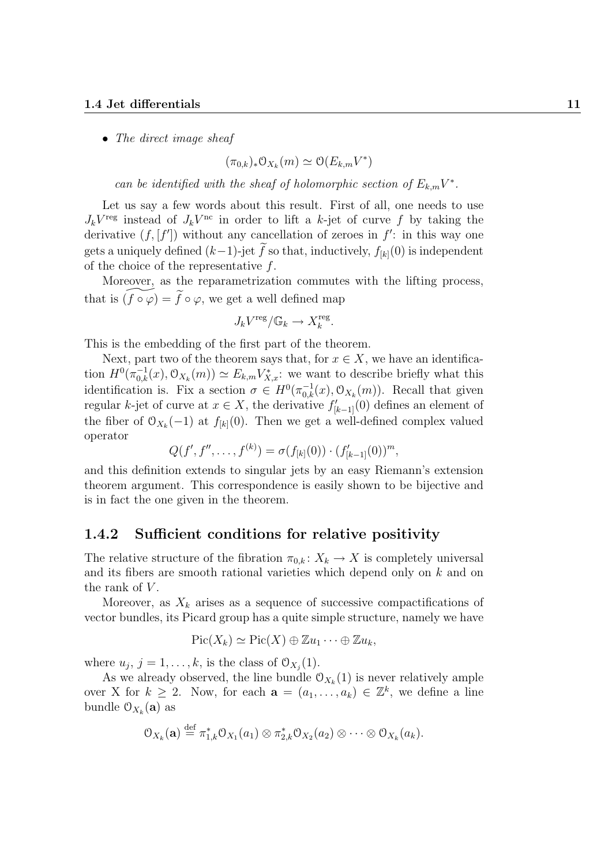#### 1.4 Jet differentials 11

• The direct image sheaf

$$
(\pi_{0,k})_* \mathcal{O}_{X_k}(m) \simeq \mathcal{O}(E_{k,m}V^*)
$$

can be identified with the sheaf of holomorphic section of  $E_{k,m}V^*$ .

Let us say a few words about this result. First of all, one needs to use  $J_kV^{\text{reg}}$  instead of  $J_kV^{\text{nc}}$  in order to lift a k-jet of curve f by taking the derivative  $(f, [f'])$  without any cancellation of zeroes in  $f'$ : in this way one gets a uniquely defined  $(k-1)$ -jet f so that, inductively,  $f_{[k]}(0)$  is independent of the choice of the representative  $f$ .

Moreover, as the reparametrization commutes with the lifting process, that is  $(f \circ \varphi) = \tilde{f} \circ \varphi$ , we get a well defined map

$$
J_kV^{\text{reg}}/\mathbb{G}_k\to X_k^{\text{reg}}.
$$

This is the embedding of the first part of the theorem.

Next, part two of the theorem says that, for  $x \in X$ , we have an identification  $H^0(\pi_{0,k}^{-1}(x), \mathcal{O}_{X_k}(m)) \simeq E_{k,m} V_{X,x}^*$ : we want to describe briefly what this identification is. Fix a section  $\sigma \in H^0(\pi_{0,k}^{-1}(x), \mathcal{O}_{X_k}(m))$ . Recall that given regular k-jet of curve at  $x \in X$ , the derivative  $f'_{[k-1]}(0)$  defines an element of the fiber of  $\mathcal{O}_{X_k}(-1)$  at  $f_{[k]}(0)$ . Then we get a well-defined complex valued operator

$$
Q(f', f'', \ldots, f^{(k)}) = \sigma(f_{[k]}(0)) \cdot (f'_{[k-1]}(0))^m,
$$

and this definition extends to singular jets by an easy Riemann's extension theorem argument. This correspondence is easily shown to be bijective and is in fact the one given in the theorem.

#### 1.4.2 Sufficient conditions for relative positivity

The relative structure of the fibration  $\pi_{0,k}: X_k \to X$  is completely universal and its fibers are smooth rational varieties which depend only on k and on the rank of  $V$ .

Moreover, as  $X_k$  arises as a sequence of successive compactifications of vector bundles, its Picard group has a quite simple structure, namely we have

$$
Pic(X_k) \simeq Pic(X) \oplus \mathbb{Z} u_1 \cdots \oplus \mathbb{Z} u_k,
$$

where  $u_j$ ,  $j = 1, \ldots, k$ , is the class of  $\mathcal{O}_{X_j}(1)$ .

As we already observed, the line bundle  $\mathcal{O}_{X_k}(1)$  is never relatively ample over X for  $k \geq 2$ . Now, for each  $\mathbf{a} = (a_1, \ldots, a_k) \in \mathbb{Z}^k$ , we define a line bundle  $0_{X_k}(\mathbf{a})$  as

$$
\mathcal{O}_{X_k}(\mathbf{a}) \stackrel{\text{def}}{=} \pi_{1,k}^* \mathcal{O}_{X_1}(a_1) \otimes \pi_{2,k}^* \mathcal{O}_{X_2}(a_2) \otimes \cdots \otimes \mathcal{O}_{X_k}(a_k).
$$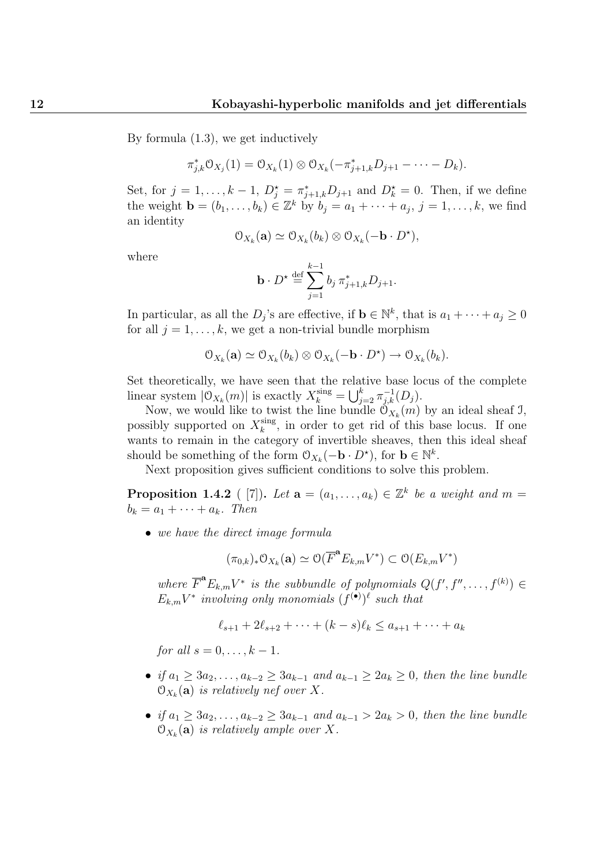By formula (1.3), we get inductively

$$
\pi_{j,k}^* \mathcal{O}_{X_j}(1) = \mathcal{O}_{X_k}(1) \otimes \mathcal{O}_{X_k}(-\pi_{j+1,k}^* D_{j+1} - \cdots - D_k).
$$

Set, for  $j = 1, \ldots, k - 1$ ,  $D_j^* = \pi_{j+1,k}^* D_{j+1}$  and  $D_k^* = 0$ . Then, if we define the weight  $\mathbf{b} = (b_1, \ldots, b_k) \in \mathbb{Z}^k$  by  $b_j = a_1 + \cdots + a_j$ ,  $j = 1, \ldots, k$ , we find an identity

$$
\mathcal{O}_{X_k}(\mathbf{a}) \simeq \mathcal{O}_{X_k}(b_k) \otimes \mathcal{O}_{X_k}(-\mathbf{b} \cdot D^{\star}),
$$

where

$$
\mathbf{b} \cdot D^{\star} \stackrel{\text{def}}{=} \sum_{j=1}^{k-1} b_j \, \pi_{j+1,k}^* D_{j+1}.
$$

In particular, as all the  $D_j$ 's are effective, if  $\mathbf{b} \in \mathbb{N}^k$ , that is  $a_1 + \cdots + a_j \geq 0$ for all  $j = 1, \ldots, k$ , we get a non-trivial bundle morphism

$$
\mathcal{O}_{X_k}(\mathbf{a}) \simeq \mathcal{O}_{X_k}(b_k) \otimes \mathcal{O}_{X_k}(-\mathbf{b} \cdot D^{\star}) \to \mathcal{O}_{X_k}(b_k).
$$

Set theoretically, we have seen that the relative base locus of the complete linear system  $|\mathcal{O}_{X_k}(m)|$  is exactly  $X_k^{\text{sing}} = \bigcup_{j=2}^k \pi_{j,k}^{-1}(D_j)$ .

Now, we would like to twist the line bundle  $\mathcal{O}_{X_k}(m)$  by an ideal sheaf J, possibly supported on  $X_k^{\text{sing}}$  $\frac{\text{sing}}{k}$ , in order to get rid of this base locus. If one wants to remain in the category of invertible sheaves, then this ideal sheaf should be something of the form  $\mathcal{O}_{X_k}(-\mathbf{b} \cdot D^*)$ , for  $\mathbf{b} \in \mathbb{N}^k$ .

Next proposition gives sufficient conditions to solve this problem.

**Proposition 1.4.2** ([7]). Let  $\mathbf{a} = (a_1, \ldots, a_k) \in \mathbb{Z}^k$  be a weight and  $m =$  $b_k = a_1 + \cdots + a_k$ . Then

• we have the direct image formula

$$
(\pi_{0,k})_*\mathcal{O}_{X_k}(\mathbf{a})\simeq \mathcal{O}(\overline{F}^{\mathbf{a}}E_{k,m}V^*)\subset \mathcal{O}(E_{k,m}V^*)
$$

where  $\overline{F}^{\mathbf{a}}E_{k,m}V^*$  is the subbundle of polynomials  $Q(f', f'', \ldots, f^{(k)}) \in$  $E_{k,m}V^*$  involving only monomials  $(f^{(\bullet)})^{\ell}$  such that

$$
\ell_{s+1} + 2\ell_{s+2} + \dots + (k - s)\ell_k \le a_{s+1} + \dots + a_k
$$

for all  $s = 0, \ldots, k-1$ .

- if  $a_1 \geq 3a_2, \ldots, a_{k-2} \geq 3a_{k-1}$  and  $a_{k-1} \geq 2a_k \geq 0$ , then the line bundle  $\mathcal{O}_{X_k}(\mathbf{a})$  is relatively nef over X.
- if  $a_1 \geq 3a_2, \ldots, a_{k-2} \geq 3a_{k-1}$  and  $a_{k-1} > 2a_k > 0$ , then the line bundle  $\mathcal{O}_{X_k}(\mathbf{a})$  is relatively ample over X.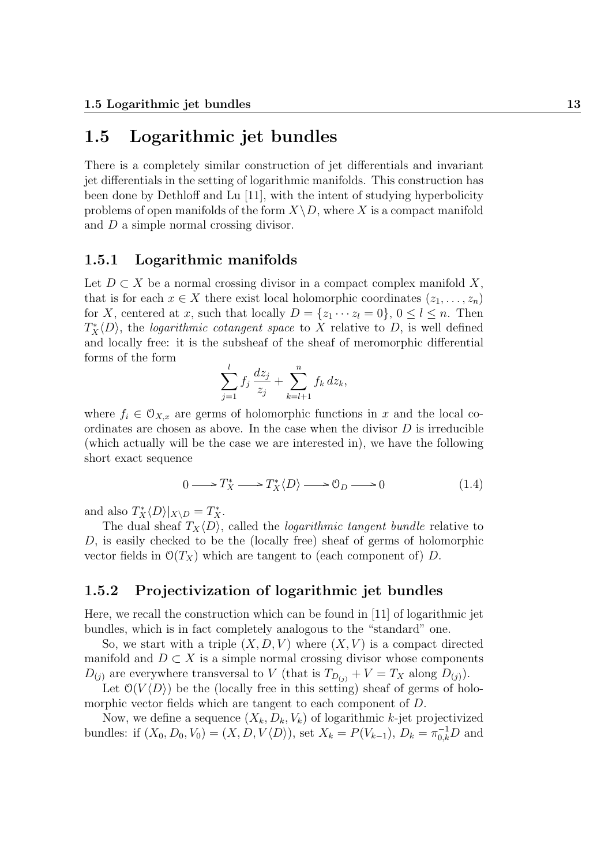## 1.5 Logarithmic jet bundles

There is a completely similar construction of jet differentials and invariant jet differentials in the setting of logarithmic manifolds. This construction has been done by Dethloff and Lu [11], with the intent of studying hyperbolicity problems of open manifolds of the form  $X\setminus D$ , where X is a compact manifold and D a simple normal crossing divisor.

#### 1.5.1 Logarithmic manifolds

Let  $D \subset X$  be a normal crossing divisor in a compact complex manifold X, that is for each  $x \in X$  there exist local holomorphic coordinates  $(z_1, \ldots, z_n)$ for X, centered at x, such that locally  $D = \{z_1 \cdots z_l = 0\}$ ,  $0 \le l \le n$ . Then  $T_X^*\langle D \rangle$ , the *logarithmic cotangent space* to X relative to D, is well defined and locally free: it is the subsheaf of the sheaf of meromorphic differential forms of the form

$$
\sum_{j=1}^{l} f_j \frac{dz_j}{z_j} + \sum_{k=l+1}^{n} f_k \, dz_k,
$$

where  $f_i \in \mathcal{O}_{X,x}$  are germs of holomorphic functions in x and the local coordinates are chosen as above. In the case when the divisor  $D$  is irreducible (which actually will be the case we are interested in), we have the following short exact sequence

$$
0 \longrightarrow T_X^* \longrightarrow T_X^*(D) \longrightarrow 0_D \longrightarrow 0 \tag{1.4}
$$

and also  $T_X^* \langle D \rangle |_{X \setminus D} = T_X^*$ .

The dual sheaf  $T_X\langle D \rangle$ , called the *logarithmic tangent bundle* relative to D, is easily checked to be the (locally free) sheaf of germs of holomorphic vector fields in  $\mathcal{O}(T_X)$  which are tangent to (each component of) D.

#### 1.5.2 Projectivization of logarithmic jet bundles

Here, we recall the construction which can be found in [11] of logarithmic jet bundles, which is in fact completely analogous to the "standard" one.

So, we start with a triple  $(X, D, V)$  where  $(X, V)$  is a compact directed manifold and  $D \subset X$  is a simple normal crossing divisor whose components  $D_{(j)}$  are everywhere transversal to V (that is  $T_{D_{(j)}} + V = T_X$  along  $D_{(j)}$ ).

Let  $\mathcal{O}(V \langle D \rangle)$  be the (locally free in this setting) sheaf of germs of holomorphic vector fields which are tangent to each component of D.

Now, we define a sequence  $(X_k, D_k, V_k)$  of logarithmic k-jet projectivized bundles: if  $(X_0, D_0, V_0) = (X, D, V \langle D \rangle)$ , set  $X_k = P(V_{k-1}), D_k = \pi_{0,k}^{-1}D$  and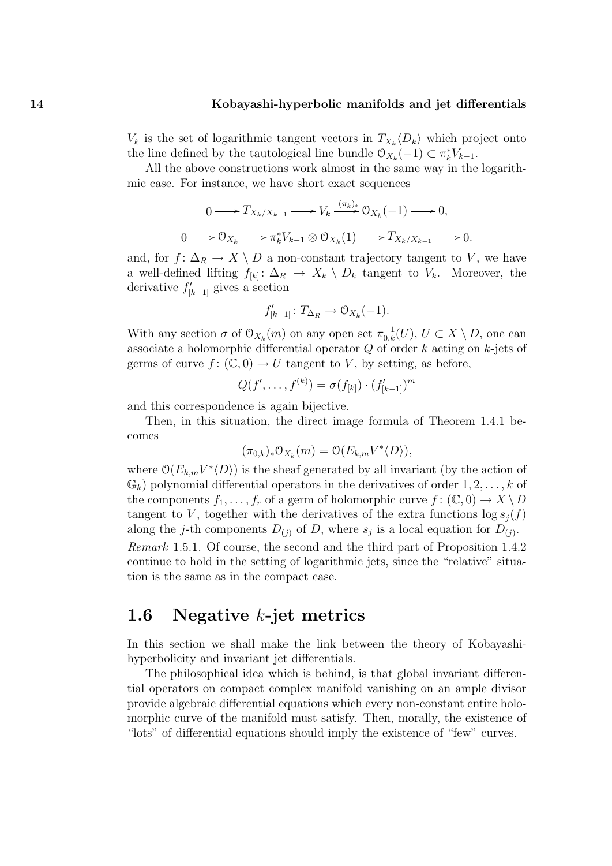$V_k$  is the set of logarithmic tangent vectors in  $T_{X_k}\langle D_k \rangle$  which project onto the line defined by the tautological line bundle  $\mathcal{O}_{X_k}(-1) \subset \pi_k^* V_{k-1}$ .

All the above constructions work almost in the same way in the logarithmic case. For instance, we have short exact sequences

$$
0 \longrightarrow T_{X_k/X_{k-1}} \longrightarrow V_k \stackrel{(\pi_k)_*}{\longrightarrow} \mathfrak{O}_{X_k}(-1) \longrightarrow 0,
$$
  

$$
0 \longrightarrow \mathfrak{O}_{X_k} \longrightarrow \pi_k^* V_{k-1} \otimes \mathfrak{O}_{X_k}(1) \longrightarrow T_{X_k/X_{k-1}} \longrightarrow 0.
$$

and, for  $f: \Delta_R \to X \setminus D$  a non-constant trajectory tangent to V, we have a well-defined lifting  $f_{[k]}: \Delta_R \to X_k \setminus D_k$  tangent to  $V_k$ . Moreover, the derivative  $f'_{[k-1]}$  gives a section

$$
f'_{[k-1]} \colon T_{\Delta_R} \to \mathcal{O}_{X_k}(-1).
$$

With any section  $\sigma$  of  $\mathcal{O}_{X_k}(m)$  on any open set  $\pi_{0,k}^{-1}(U)$ ,  $U \subset X \setminus D$ , one can associate a holomorphic differential operator Q of order k acting on k-jets of germs of curve  $f: (\mathbb{C}, 0) \to U$  tangent to V, by setting, as before,

$$
Q(f', \ldots, f^{(k)}) = \sigma(f_{[k]}) \cdot (f'_{[k-1]})^m
$$

and this correspondence is again bijective.

Then, in this situation, the direct image formula of Theorem 1.4.1 becomes

$$
(\pi_{0,k})_* \mathcal{O}_{X_k}(m) = \mathcal{O}(E_{k,m} V^* \langle D \rangle),
$$

where  $\mathcal{O}(E_{k,m}V^*\langle D\rangle)$  is the sheaf generated by all invariant (by the action of  $\mathbb{G}_k$ ) polynomial differential operators in the derivatives of order  $1, 2, \ldots, k$  of the components  $f_1, \ldots, f_r$  of a germ of holomorphic curve  $f : (\mathbb{C}, 0) \to X \setminus D$ tangent to V, together with the derivatives of the extra functions  $\log s_i(f)$ along the j-th components  $D_{(j)}$  of D, where  $s_j$  is a local equation for  $D_{(j)}$ . Remark 1.5.1. Of course, the second and the third part of Proposition 1.4.2 continue to hold in the setting of logarithmic jets, since the "relative" situation is the same as in the compact case.

## 1.6 Negative k-jet metrics

In this section we shall make the link between the theory of Kobayashihyperbolicity and invariant jet differentials.

The philosophical idea which is behind, is that global invariant differential operators on compact complex manifold vanishing on an ample divisor provide algebraic differential equations which every non-constant entire holomorphic curve of the manifold must satisfy. Then, morally, the existence of "lots" of differential equations should imply the existence of "few" curves.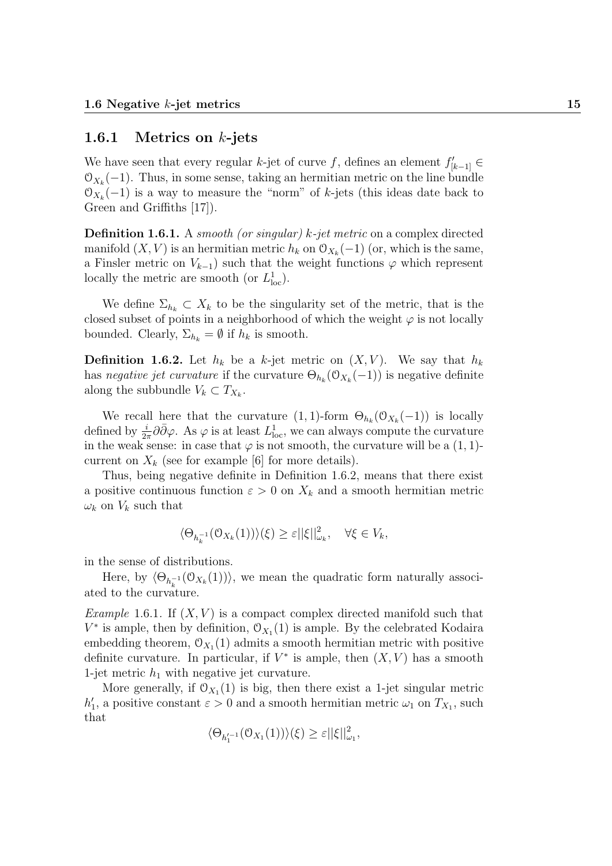#### 1.6.1 Metrics on  $k$ -jets

We have seen that every regular k-jet of curve f, defines an element  $f'_{[k-1]} \in$  $\mathfrak{O}_{X_k}(-1)$ . Thus, in some sense, taking an hermitian metric on the line bundle  $\mathcal{O}_{X_k}(-1)$  is a way to measure the "norm" of k-jets (this ideas date back to Green and Griffiths [17]).

**Definition 1.6.1.** A smooth (or singular) k-jet metric on a complex directed manifold  $(X, V)$  is an hermitian metric  $h_k$  on  $\mathcal{O}_{X_k}(-1)$  (or, which is the same, a Finsler metric on  $V_{k-1}$ ) such that the weight functions  $\varphi$  which represent locally the metric are smooth (or  $L^1_{loc}$ ).

We define  $\Sigma_{h_k} \subset X_k$  to be the singularity set of the metric, that is the closed subset of points in a neighborhood of which the weight  $\varphi$  is not locally bounded. Clearly,  $\Sigma_{h_k} = \emptyset$  if  $h_k$  is smooth.

**Definition 1.6.2.** Let  $h_k$  be a k-jet metric on  $(X, V)$ . We say that  $h_k$ has negative jet curvature if the curvature  $\Theta_{h_k}(\mathcal{O}_{X_k}(-1))$  is negative definite along the subbundle  $V_k \subset T_{X_k}$ .

We recall here that the curvature  $(1,1)$ -form  $\Theta_{h_k}(\mathcal{O}_{X_k}(-1))$  is locally defined by  $\frac{i}{2\pi}\partial\bar{\partial}\varphi$ . As  $\varphi$  is at least  $L^1_{loc}$ , we can always compute the curvature in the weak sense: in case that  $\varphi$  is not smooth, the curvature will be a (1, 1)current on  $X_k$  (see for example [6] for more details).

Thus, being negative definite in Definition 1.6.2, means that there exist a positive continuous function  $\varepsilon > 0$  on  $X_k$  and a smooth hermitian metric  $\omega_k$  on  $V_k$  such that

$$
\langle \Theta_{h_k^{-1}}(\mathbf{0}_{X_k}(1))\rangle(\xi) \ge \varepsilon ||\xi||_{\omega_k}^2, \quad \forall \xi \in V_k,
$$

in the sense of distributions.

Here, by  $\langle \Theta_{h_k^{-1}}(\mathcal{O}_{X_k}(1)) \rangle$ , we mean the quadratic form naturally associated to the curvature.

*Example* 1.6.1. If  $(X, V)$  is a compact complex directed manifold such that  $V^*$  is ample, then by definition,  $\mathcal{O}_{X_1}(1)$  is ample. By the celebrated Kodaira embedding theorem,  $\mathcal{O}_{X_1}(1)$  admits a smooth hermitian metric with positive definite curvature. In particular, if  $V^*$  is ample, then  $(X, V)$  has a smooth 1-jet metric  $h_1$  with negative jet curvature.

More generally, if  $O_{X_1}(1)$  is big, then there exist a 1-jet singular metric  $h'_1$ , a positive constant  $\varepsilon > 0$  and a smooth hermitian metric  $\omega_1$  on  $T_{X_1}$ , such that

$$
\langle \Theta_{h_1'^{-1}}(\mathbb{O}_{X_1}(1))\rangle(\xi) \geq \varepsilon ||\xi||_{\omega_1}^2,
$$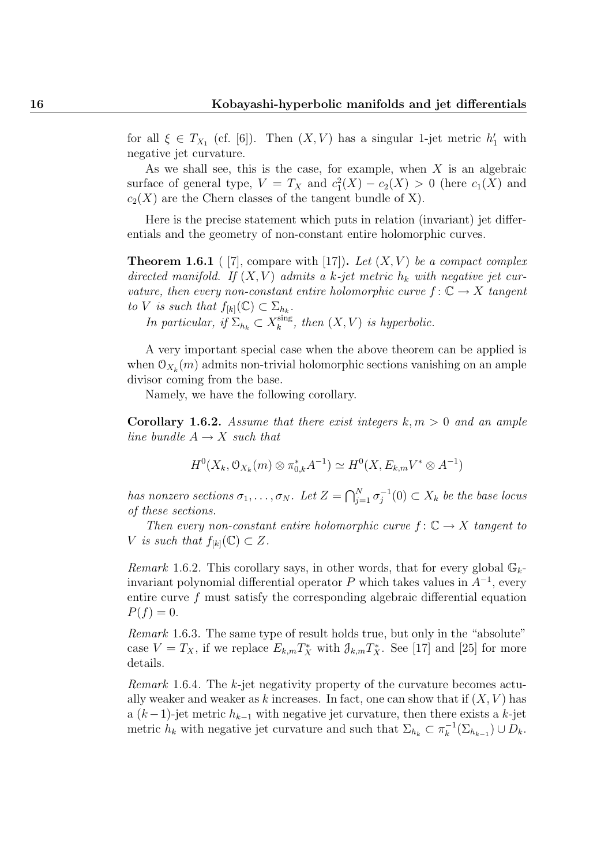for all  $\xi \in T_{X_1}$  (cf. [6]). Then  $(X, V)$  has a singular 1-jet metric  $h'_1$  with negative jet curvature.

As we shall see, this is the case, for example, when  $X$  is an algebraic surface of general type,  $V = T_X$  and  $c_1^2(X) - c_2(X) > 0$  (here  $c_1(X)$  and  $c_2(X)$  are the Chern classes of the tangent bundle of X).

Here is the precise statement which puts in relation (invariant) jet differentials and the geometry of non-constant entire holomorphic curves.

**Theorem 1.6.1** ( [7], compare with [17]). Let  $(X, V)$  be a compact complex directed manifold. If  $(X, V)$  admits a k-jet metric  $h_k$  with negative jet curvature, then every non-constant entire holomorphic curve  $f: \mathbb{C} \to X$  tangent to V is such that  $f_{[k]}(\mathbb{C}) \subset \Sigma_{h_k}$ .

In particular, if  $\Sigma_{h_k} \subset X_k^{\text{sing}}$  $\int_{k}^{\text{sing}}$ , then  $(X, V)$  is hyperbolic.

A very important special case when the above theorem can be applied is when  $\mathcal{O}_{X_k}(m)$  admits non-trivial holomorphic sections vanishing on an ample divisor coming from the base.

Namely, we have the following corollary.

**Corollary 1.6.2.** Assume that there exist integers  $k, m > 0$  and an ample line bundle  $A \rightarrow X$  such that

$$
H^{0}(X_{k}, \mathcal{O}_{X_{k}}(m) \otimes \pi_{0,k}^{*} A^{-1}) \simeq H^{0}(X, E_{k,m}V^{*} \otimes A^{-1})
$$

has nonzero sections  $\sigma_1, \ldots, \sigma_N$ . Let  $Z = \bigcap_{j=1}^N \sigma_j^{-1}$  $j_j^{-1}(0) \subset X_k$  be the base locus of these sections.

Then every non-constant entire holomorphic curve  $f: \mathbb{C} \to X$  tangent to V is such that  $f_{[k]}(\mathbb{C}) \subset Z$ .

Remark 1.6.2. This corollary says, in other words, that for every global  $\mathbb{G}_{k}$ invariant polynomial differential operator P which takes values in  $A^{-1}$ , every entire curve f must satisfy the corresponding algebraic differential equation  $P(f) = 0.$ 

Remark 1.6.3. The same type of result holds true, but only in the "absolute" case  $V = T_X$ , if we replace  $E_{k,m} T_X^*$  with  $\partial_{k,m} T_X^*$ . See [17] and [25] for more details.

Remark 1.6.4. The k-jet negativity property of the curvature becomes actually weaker and weaker as k increases. In fact, one can show that if  $(X, V)$  has a  $(k-1)$ -jet metric  $h_{k-1}$  with negative jet curvature, then there exists a k-jet metric  $h_k$  with negative jet curvature and such that  $\Sigma_{h_k} \subset \pi_k^{-1}$  $\frac{1}{k}(\Sigma_{h_{k-1}}) \cup D_k.$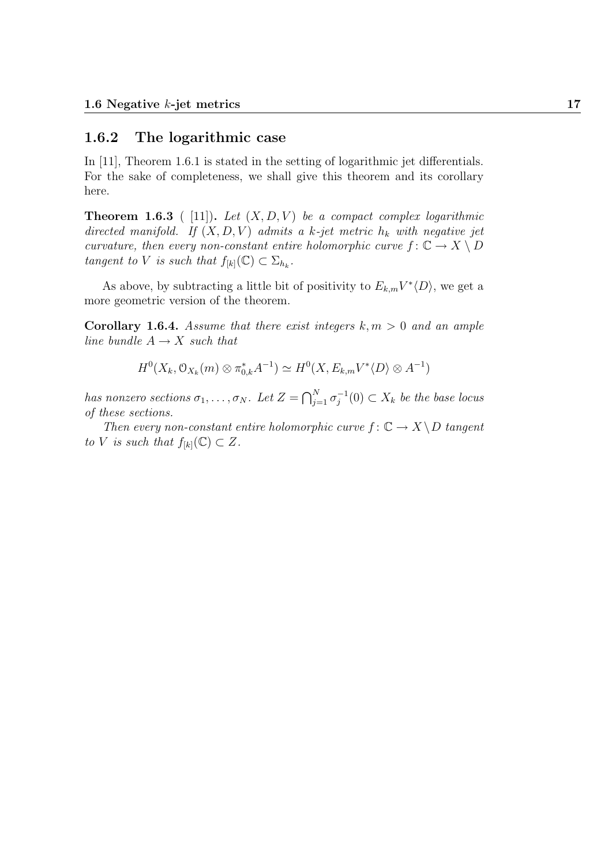#### 1.6.2 The logarithmic case

In [11], Theorem 1.6.1 is stated in the setting of logarithmic jet differentials. For the sake of completeness, we shall give this theorem and its corollary here.

**Theorem 1.6.3** ( [11]). Let  $(X, D, V)$  be a compact complex logarithmic directed manifold. If  $(X, D, V)$  admits a k-jet metric  $h_k$  with negative jet curvature, then every non-constant entire holomorphic curve  $f: \mathbb{C} \to X \setminus D$ tangent to V is such that  $f_{[k]}(\mathbb{C}) \subset \Sigma_{h_k}$ .

As above, by subtracting a little bit of positivity to  $E_{k,m}V^*\langle D \rangle$ , we get a more geometric version of the theorem.

**Corollary 1.6.4.** Assume that there exist integers  $k, m > 0$  and an ample line bundle  $A \rightarrow X$  such that

$$
H^0(X_k, \mathcal{O}_{X_k}(m) \otimes \pi_{0,k}^* A^{-1}) \simeq H^0(X, E_{k,m}V^* \langle D \rangle \otimes A^{-1})
$$

has nonzero sections  $\sigma_1, \ldots, \sigma_N$ . Let  $Z = \bigcap_{j=1}^N \sigma_j^{-1}$  $j_j^{-1}(0) \subset X_k$  be the base locus of these sections.

Then every non-constant entire holomorphic curve  $f: \mathbb{C} \to X \backslash D$  tangent to V is such that  $f_{[k]}(\mathbb{C}) \subset Z$ .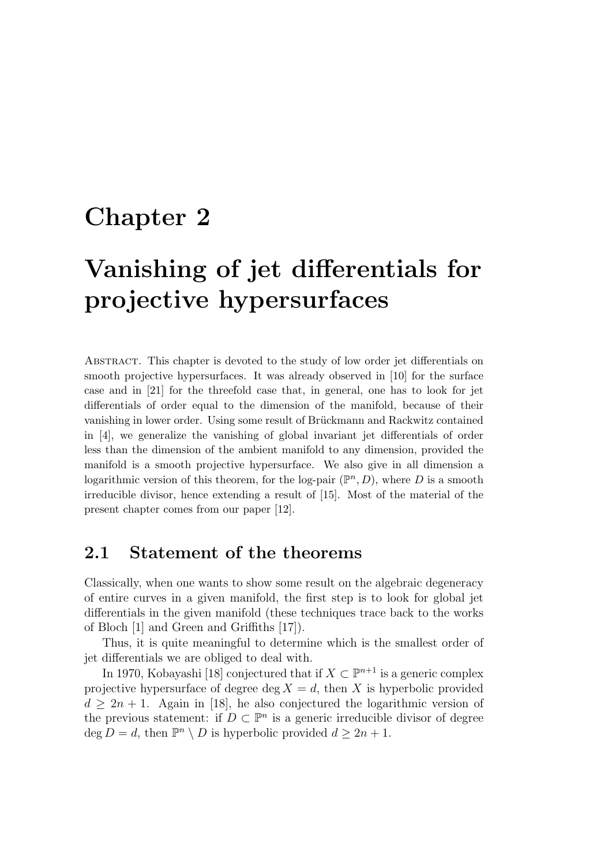## Chapter 2

# Vanishing of jet differentials for projective hypersurfaces

Abstract. This chapter is devoted to the study of low order jet differentials on smooth projective hypersurfaces. It was already observed in [10] for the surface case and in [21] for the threefold case that, in general, one has to look for jet differentials of order equal to the dimension of the manifold, because of their vanishing in lower order. Using some result of Brückmann and Rackwitz contained in [4], we generalize the vanishing of global invariant jet differentials of order less than the dimension of the ambient manifold to any dimension, provided the manifold is a smooth projective hypersurface. We also give in all dimension a logarithmic version of this theorem, for the log-pair  $(\mathbb{P}^n, D)$ , where D is a smooth irreducible divisor, hence extending a result of [15]. Most of the material of the present chapter comes from our paper [12].

### 2.1 Statement of the theorems

Classically, when one wants to show some result on the algebraic degeneracy of entire curves in a given manifold, the first step is to look for global jet differentials in the given manifold (these techniques trace back to the works of Bloch [1] and Green and Griffiths [17]).

Thus, it is quite meaningful to determine which is the smallest order of jet differentials we are obliged to deal with.

In 1970, Kobayashi [18] conjectured that if  $X \subset \mathbb{P}^{n+1}$  is a generic complex projective hypersurface of degree deg  $X = d$ , then X is hyperbolic provided  $d > 2n + 1$ . Again in [18], he also conjectured the logarithmic version of the previous statement: if  $D \subset \mathbb{P}^n$  is a generic irreducible divisor of degree deg  $D = d$ , then  $\mathbb{P}^n \setminus D$  is hyperbolic provided  $d \geq 2n + 1$ .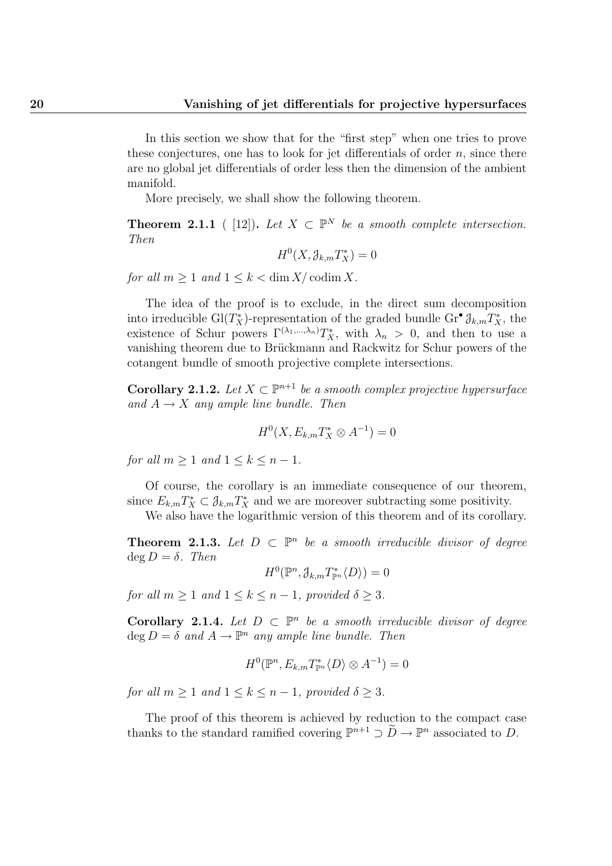In this section we show that for the "first step" when one tries to prove these conjectures, one has to look for jet differentials of order  $n$ , since there are no global jet differentials of order less then the dimension of the ambient manifold.

More precisely, we shall show the following theorem.

**Theorem 2.1.1** ( [12]). Let  $X \subset \mathbb{P}^N$  be a smooth complete intersection. Then

$$
H^0(X, \mathcal{J}_{k,m}T_X^*) = 0
$$

for all  $m \geq 1$  and  $1 \leq k < \dim X / \operatorname{codim} X$ .

The idea of the proof is to exclude, in the direct sum decomposition into irreducible Gl( $T_X^*$ )-representation of the graded bundle Gr<sup>•</sup>  $\mathcal{J}_{k,m}T_X^*$ , the existence of Schur powers  $\Gamma^{(\lambda_1,\ldots,\lambda_n)}T_X^*$ , with  $\lambda_n > 0$ , and then to use a vanishing theorem due to Brückmann and Rackwitz for Schur powers of the cotangent bundle of smooth projective complete intersections.

**Corollary 2.1.2.** Let  $X \subset \mathbb{P}^{n+1}$  be a smooth complex projective hypersurface and  $A \rightarrow X$  any ample line bundle. Then

$$
H^{0}(X, E_{k,m}T_{X}^{*} \otimes A^{-1}) = 0
$$

for all  $m > 1$  and  $1 \leq k \leq n-1$ .

Of course, the corollary is an immediate consequence of our theorem, since  $E_{k,m}T_X^* \subset \mathcal{J}_{k,m}T_X^*$  and we are moreover subtracting some positivity.

We also have the logarithmic version of this theorem and of its corollary.

**Theorem 2.1.3.** Let  $D \subset \mathbb{P}^n$  be a smooth irreducible divisor of degree  $\deg D = \delta$ . Then

 $H^0(\mathbb{P}^n, \mathcal{J}_{k,m}T_{\mathbb{P}^n}^*\langle D\rangle) = 0$ 

for all  $m \geq 1$  and  $1 \leq k \leq n-1$ , provided  $\delta \geq 3$ .

Corollary 2.1.4. Let  $D \subset \mathbb{P}^n$  be a smooth irreducible divisor of degree  $\deg D = \delta$  and  $A \to \mathbb{P}^n$  any ample line bundle. Then

$$
H^0(\mathbb{P}^n, E_{k,m}T_{\mathbb{P}^n}^*\langle D \rangle \otimes A^{-1}) = 0
$$

for all  $m > 1$  and  $1 \leq k \leq n-1$ , provided  $\delta > 3$ .

The proof of this theorem is achieved by reduction to the compact case thanks to the standard ramified covering  $\mathbb{P}^{n+1} \supset \widetilde{D} \to \mathbb{P}^n$  associated to D.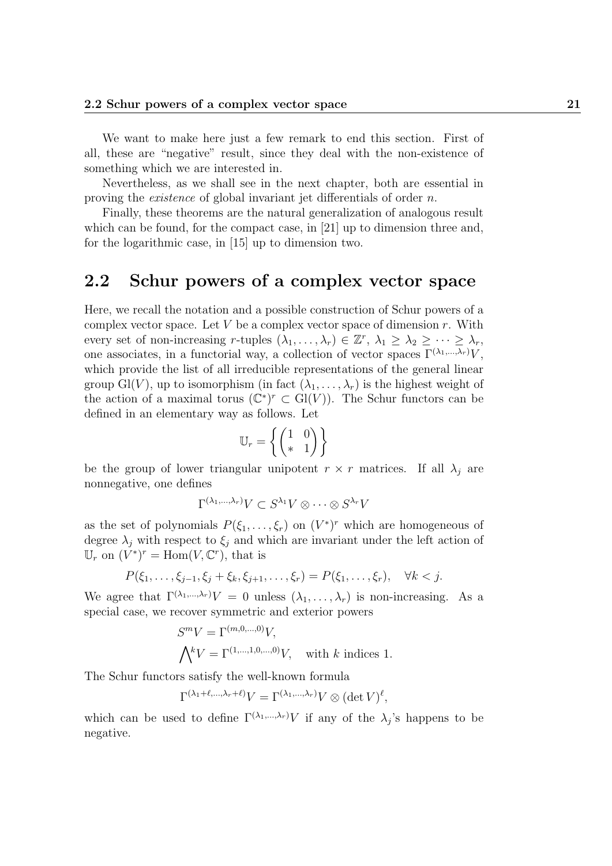We want to make here just a few remark to end this section. First of all, these are "negative" result, since they deal with the non-existence of something which we are interested in.

Nevertheless, as we shall see in the next chapter, both are essential in proving the existence of global invariant jet differentials of order n.

Finally, these theorems are the natural generalization of analogous result which can be found, for the compact case, in [21] up to dimension three and, for the logarithmic case, in [15] up to dimension two.

## 2.2 Schur powers of a complex vector space

Here, we recall the notation and a possible construction of Schur powers of a complex vector space. Let V be a complex vector space of dimension  $r$ . With every set of non-increasing r-tuples  $(\lambda_1, \ldots, \lambda_r) \in \mathbb{Z}^r$ ,  $\lambda_1 \geq \lambda_2 \geq \cdots \geq \lambda_r$ , one associates, in a functorial way, a collection of vector spaces  $\Gamma^{(\lambda_1,\ldots,\lambda_r)}V$ , which provide the list of all irreducible representations of the general linear group Gl(V), up to isomorphism (in fact  $(\lambda_1, \ldots, \lambda_r)$  is the highest weight of the action of a maximal torus  $(\mathbb{C}^*)^r \subset \mathrm{Gl}(V)$ ). The Schur functors can be defined in an elementary way as follows. Let

$$
\mathbb{U}_r = \left\{ \begin{pmatrix} 1 & 0 \\ * & 1 \end{pmatrix} \right\}
$$

be the group of lower triangular unipotent  $r \times r$  matrices. If all  $\lambda_i$  are nonnegative, one defines

$$
\Gamma^{(\lambda_1,\ldots,\lambda_r)}V\subset S^{\lambda_1}V\otimes\cdots\otimes S^{\lambda_r}V
$$

as the set of polynomials  $P(\xi_1,\ldots,\xi_r)$  on  $(V^*)^r$  which are homogeneous of degree  $\lambda_j$  with respect to  $\xi_j$  and which are invariant under the left action of  $\mathbb{U}_r$  on  $(\check{V}^*)^r = \text{Hom}(V, \mathbb{C}^r)$ , that is

$$
P(\xi_1,\ldots,\xi_{j-1},\xi_j+\xi_k,\xi_{j+1},\ldots,\xi_r)=P(\xi_1,\ldots,\xi_r), \quad \forall k < j.
$$

We agree that  $\Gamma^{(\lambda_1,\ldots,\lambda_r)}V = 0$  unless  $(\lambda_1,\ldots,\lambda_r)$  is non-increasing. As a special case, we recover symmetric and exterior powers

$$
S^{m}V = \Gamma^{(m,0,\dots,0)}V,
$$
  

$$
\bigwedge^{k}V = \Gamma^{(1,\dots,1,0,\dots,0)}V, \text{ with } k \text{ indices } 1.
$$

The Schur functors satisfy the well-known formula

$$
\Gamma^{(\lambda_1+\ell,\ldots,\lambda_r+\ell)}V=\Gamma^{(\lambda_1,\ldots,\lambda_r)}V\otimes (\det V)^{\ell},
$$

which can be used to define  $\Gamma^{(\lambda_1,\ldots,\lambda_r)}V$  if any of the  $\lambda_j$ 's happens to be negative.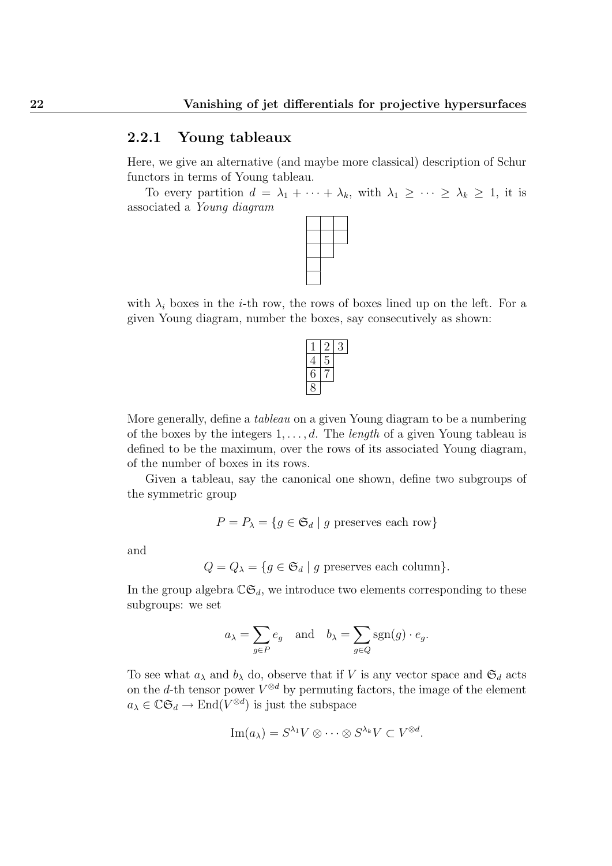#### 2.2.1 Young tableaux

Here, we give an alternative (and maybe more classical) description of Schur functors in terms of Young tableau.

To every partition  $d = \lambda_1 + \cdots + \lambda_k$ , with  $\lambda_1 \geq \cdots \geq \lambda_k \geq 1$ , it is associated a Young diagram



with  $\lambda_i$  boxes in the *i*-th row, the rows of boxes lined up on the left. For a given Young diagram, number the boxes, say consecutively as shown:

More generally, define a tableau on a given Young diagram to be a numbering of the boxes by the integers  $1, \ldots, d$ . The *length* of a given Young tableau is defined to be the maximum, over the rows of its associated Young diagram, of the number of boxes in its rows.

Given a tableau, say the canonical one shown, define two subgroups of the symmetric group

$$
P = P_{\lambda} = \{ g \in \mathfrak{S}_d \mid g \text{ preserves each row} \}
$$

and

$$
Q = Q_{\lambda} = \{ g \in \mathfrak{S}_d \mid g \text{ preserves each column} \}.
$$

In the group algebra  $\mathbb{C}\mathfrak{S}_d$ , we introduce two elements corresponding to these subgroups: we set

$$
a_{\lambda} = \sum_{g \in P} e_g
$$
 and  $b_{\lambda} = \sum_{g \in Q} sgn(g) \cdot e_g$ .

To see what  $a_{\lambda}$  and  $b_{\lambda}$  do, observe that if V is any vector space and  $\mathfrak{S}_d$  acts on the d-th tensor power  $V^{\otimes d}$  by permuting factors, the image of the element  $a_{\lambda} \in \mathbb{C} \mathfrak{S}_d \to \text{End}(V^{\otimes d})$  is just the subspace

$$
\operatorname{Im}(a_{\lambda}) = S^{\lambda_1} V \otimes \cdots \otimes S^{\lambda_k} V \subset V^{\otimes d}.
$$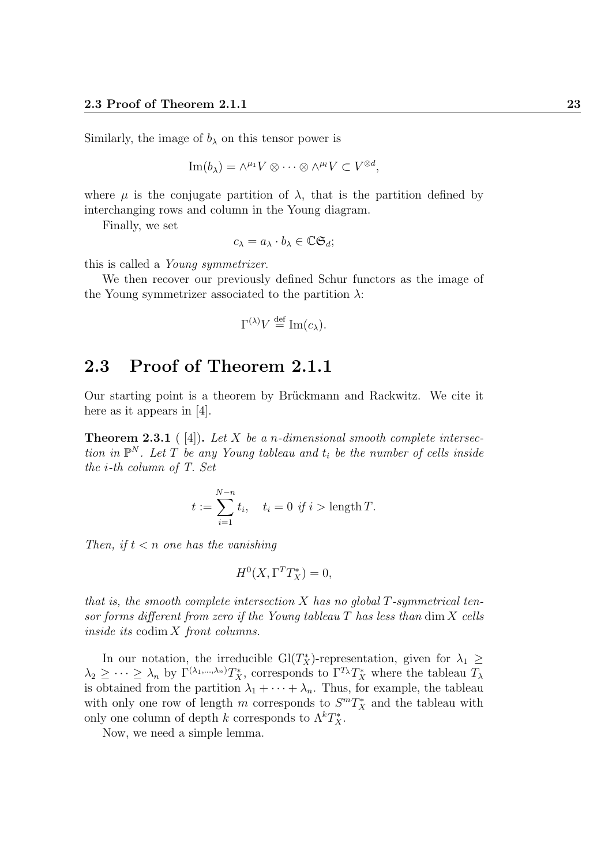Similarly, the image of  $b_{\lambda}$  on this tensor power is

$$
\operatorname{Im}(b_{\lambda}) = \wedge^{\mu_1} V \otimes \cdots \otimes \wedge^{\mu_l} V \subset V^{\otimes d},
$$

where  $\mu$  is the conjugate partition of  $\lambda$ , that is the partition defined by interchanging rows and column in the Young diagram.

Finally, we set

$$
c_{\lambda} = a_{\lambda} \cdot b_{\lambda} \in \mathbb{C} \mathfrak{S}_d;
$$

this is called a Young symmetrizer.

We then recover our previously defined Schur functors as the image of the Young symmetrizer associated to the partition  $\lambda$ :

$$
\Gamma^{(\lambda)}V \stackrel{\text{def}}{=} \text{Im}(c_{\lambda}).
$$

## 2.3 Proof of Theorem 2.1.1

Our starting point is a theorem by Brückmann and Rackwitz. We cite it here as it appears in [4].

**Theorem 2.3.1** ([4]). Let X be a n-dimensional smooth complete intersection in  $\mathbb{P}^N$ . Let T be any Young tableau and  $t_i$  be the number of cells inside the i-th column of T. Set

$$
t := \sum_{i=1}^{N-n} t_i, \quad t_i = 0 \text{ if } i > \text{length } T.
$$

Then, if  $t < n$  one has the vanishing

$$
H^0(X, \Gamma^T T_X^*) = 0,
$$

that is, the smooth complete intersection  $X$  has no global  $T$ -symmetrical tensor forms different from zero if the Young tableau  $T$  has less than dim  $X$  cells inside its codim X front columns.

In our notation, the irreducible  $Gl(T_X^*)$ -representation, given for  $\lambda_1 \geq$  $\lambda_2 \geq \cdots \geq \lambda_n$  by  $\Gamma^{(\lambda_1,\dots,\lambda_n)}T_X^*$ , corresponds to  $\Gamma^{T_\lambda}T_X^*$  where the tableau  $T_\lambda$ is obtained from the partition  $\lambda_1 + \cdots + \lambda_n$ . Thus, for example, the tableau with only one row of length m corresponds to  $S^m T_X^*$  and the tableau with only one column of depth  $k$  corresponds to  $\Lambda^k T^*_X$ .

Now, we need a simple lemma.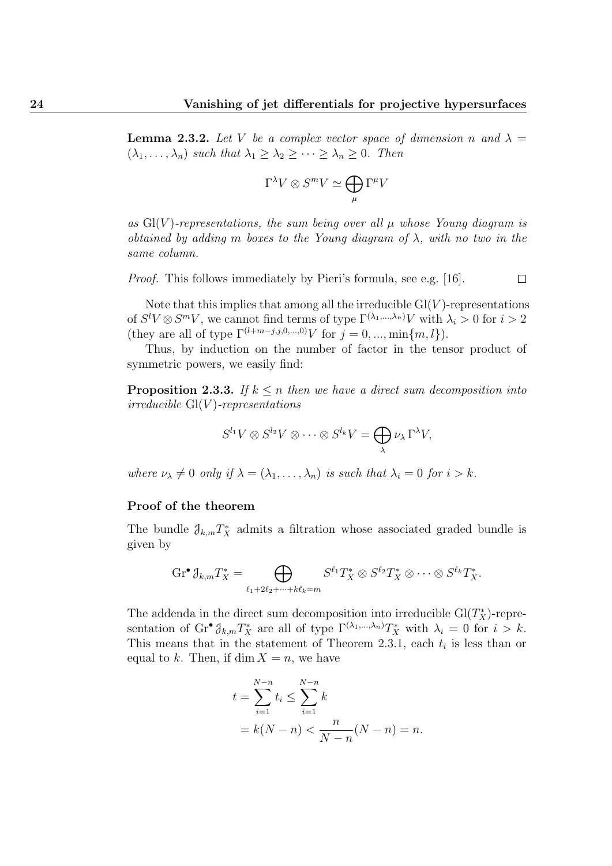$\Box$ 

**Lemma 2.3.2.** Let V be a complex vector space of dimension n and  $\lambda =$  $(\lambda_1, \ldots, \lambda_n)$  such that  $\lambda_1 \geq \lambda_2 \geq \cdots \geq \lambda_n \geq 0$ . Then

$$
\Gamma^{\lambda}V \otimes S^{m}V \simeq \bigoplus_{\mu} \Gamma^{\mu}V
$$

as  $Gl(V)$ -representations, the sum being over all  $\mu$  whose Young diagram is obtained by adding m boxes to the Young diagram of  $\lambda$ , with no two in the same column.

Proof. This follows immediately by Pieri's formula, see e.g. [16].

Note that this implies that among all the irreducible  $Gl(V)$ -representations of  $S^l V \otimes S^m V$ , we cannot find terms of type  $\Gamma^{(\lambda_1,...,\lambda_n)} V$  with  $\lambda_i > 0$  for  $i > 2$ (they are all of type  $\Gamma^{(l+m-j,j,0,...,0)}V$  for  $j = 0, ..., \min\{m, l\}$ ).

Thus, by induction on the number of factor in the tensor product of symmetric powers, we easily find:

**Proposition 2.3.3.** If  $k \leq n$  then we have a direct sum decomposition into irreducible  $Gl(V)$ -representations

$$
S^{l_1}V \otimes S^{l_2}V \otimes \cdots \otimes S^{l_k}V = \bigoplus_{\lambda} \nu_{\lambda} \Gamma^{\lambda}V,
$$

where  $\nu_{\lambda} \neq 0$  only if  $\lambda = (\lambda_1, \ldots, \lambda_n)$  is such that  $\lambda_i = 0$  for  $i > k$ .

#### Proof of the theorem

The bundle  $\partial_{k,m}T_X^*$  admits a filtration whose associated graded bundle is given by

$$
\operatorname{Gr}^{\bullet} \mathcal{J}_{k,m} T_X^* = \bigoplus_{\ell_1+2\ell_2+\cdots+k\ell_k=m} S^{\ell_1} T_X^* \otimes S^{\ell_2} T_X^* \otimes \cdots \otimes S^{\ell_k} T_X^*.
$$

The addenda in the direct sum decomposition into irreducible  $Gl(T_X^*)$ -representation of  $\mathrm{Gr}^{\bullet} \mathcal{J}_{k,m} T_X^*$  are all of type  $\Gamma^{(\lambda_1,...,\lambda_n)} T_X^*$  with  $\lambda_i = 0$  for  $i > k$ . This means that in the statement of Theorem 2.3.1, each  $t_i$  is less than or equal to k. Then, if  $\dim X = n$ , we have

$$
t = \sum_{i=1}^{N-n} t_i \le \sum_{i=1}^{N-n} k
$$
  
=  $k(N-n) < \frac{n}{N-n}(N-n) = n$ .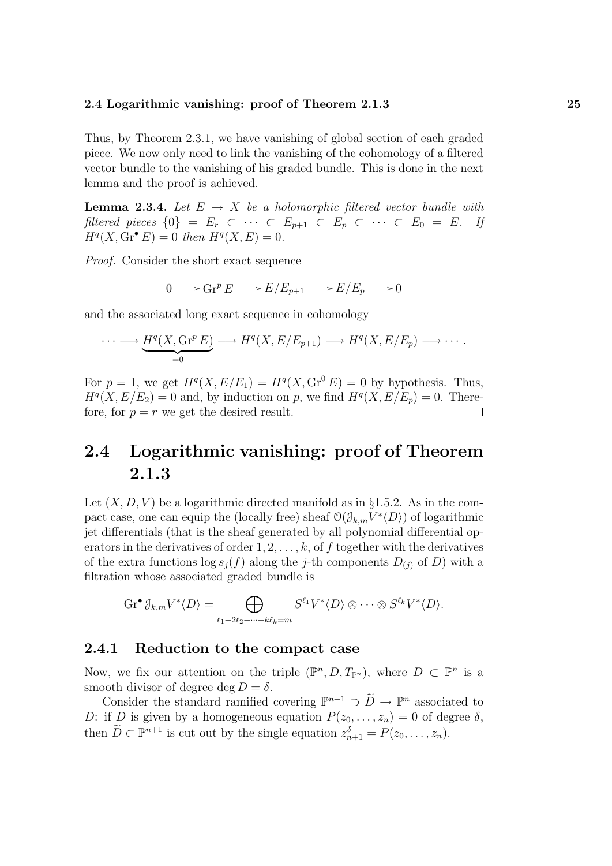Thus, by Theorem 2.3.1, we have vanishing of global section of each graded piece. We now only need to link the vanishing of the cohomology of a filtered vector bundle to the vanishing of his graded bundle. This is done in the next lemma and the proof is achieved.

**Lemma 2.3.4.** Let  $E \rightarrow X$  be a holomorphic filtered vector bundle with filtered pieces  $\{0\} = E_r \subset \cdots \subset E_{p+1} \subset E_p \subset \cdots \subset E_0 = E$ . If  $H^q(X, \text{Gr}^{\bullet} E) = 0$  then  $H^q(X, E) = 0$ .

Proof. Consider the short exact sequence

$$
0 \longrightarrow \operatorname{Gr}^p E \longrightarrow E/E_{p+1} \longrightarrow E/E_p \longrightarrow 0
$$

and the associated long exact sequence in cohomology

$$
\cdots \longrightarrow \underbrace{H^q(X, \operatorname{Gr}^p E)}_{=0} \longrightarrow H^q(X, E/E_{p+1}) \longrightarrow H^q(X, E/E_p) \longrightarrow \cdots.
$$

For  $p = 1$ , we get  $H^q(X, E/E_1) = H^q(X, Gr^0 E) = 0$  by hypothesis. Thus,  $H<sup>q</sup>(X, E/E<sub>2</sub>) = 0$  and, by induction on p, we find  $H<sup>q</sup>(X, E/E<sub>p</sub>) = 0$ . Therefore, for  $p = r$  we get the desired result.  $\Box$ 

## 2.4 Logarithmic vanishing: proof of Theorem 2.1.3

Let  $(X, D, V)$  be a logarithmic directed manifold as in §1.5.2. As in the compact case, one can equip the (locally free) sheaf  $\mathcal{O}(\mathcal{J}_{k,m}V^*\langle D\rangle)$  of logarithmic jet differentials (that is the sheaf generated by all polynomial differential operators in the derivatives of order  $1, 2, \ldots, k$ , of f together with the derivatives of the extra functions  $\log s_i(f)$  along the j-th components  $D_{(i)}$  of D) with a filtration whose associated graded bundle is

$$
\operatorname{Gr}^{\bullet} \mathcal{J}_{k,m} V^* \langle D \rangle = \bigoplus_{\ell_1 + 2\ell_2 + \dots + k\ell_k = m} S^{\ell_1} V^* \langle D \rangle \otimes \dots \otimes S^{\ell_k} V^* \langle D \rangle.
$$

#### 2.4.1 Reduction to the compact case

Now, we fix our attention on the triple  $(\mathbb{P}^n, D, T_{\mathbb{P}^n})$ , where  $D \subset \mathbb{P}^n$  is a smooth divisor of degree deg  $D = \delta$ .

Consider the standard ramified covering  $\mathbb{P}^{n+1} \supset \widetilde{D} \to \mathbb{P}^n$  associated to D: if D is given by a homogeneous equation  $P(z_0, \ldots, z_n) = 0$  of degree  $\delta$ , then  $\widetilde{D} \subset \mathbb{P}^{n+1}$  is cut out by the single equation  $z_{n+1}^{\delta} = P(z_0, \ldots, z_n)$ .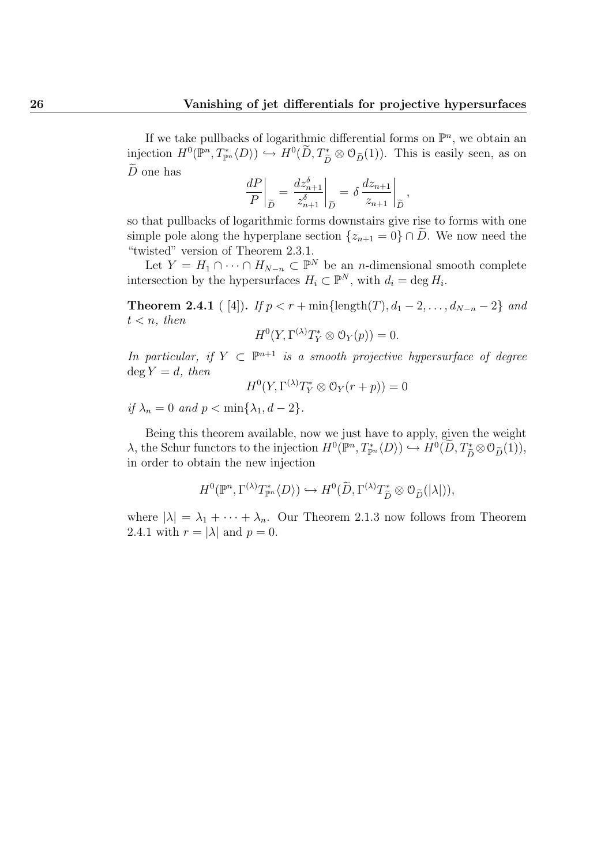If we take pullbacks of logarithmic differential forms on  $\mathbb{P}^n$ , we obtain an injection  $H^0(\mathbb{P}^n, T^*_{\mathbb{P}^n}\langle D\rangle) \hookrightarrow H^0(\widetilde{D}, T^*_{\widetilde{D}} \otimes \mathcal{O}_{\widetilde{D}}(1)).$  This is easily seen, as on  $\tilde{D}$  one has

$$
\left. \frac{dP}{P} \right|_{\widetilde{D}} = \left. \frac{dz_{n+1}^{\delta}}{z_{n+1}^{\delta}} \right|_{\widetilde{D}} = \left. \delta \frac{dz_{n+1}}{z_{n+1}} \right|_{\widetilde{D}},
$$

so that pullbacks of logarithmic forms downstairs give rise to forms with one simple pole along the hyperplane section  $\{z_{n+1} = 0\} \cap \tilde{D}$ . We now need the "twisted" version of Theorem 2.3.1.

Let  $Y = H_1 \cap \cdots \cap H_{N-n} \subset \mathbb{P}^N$  be an *n*-dimensional smooth complete intersection by the hypersurfaces  $H_i \subset \mathbb{P}^N$ , with  $d_i = \deg H_i$ .

**Theorem 2.4.1** ( [4]). If  $p < r + \min{\{\text{length}(T), d_1 - 2, ..., d_{N-n} - 2\}}$  and  $t < n$ , then

$$
H^0(Y, \Gamma^{(\lambda)} T_Y^* \otimes \mathcal{O}_Y(p)) = 0.
$$

In particular, if  $Y \subset \mathbb{P}^{n+1}$  is a smooth projective hypersurface of degree  $\deg Y = d$ , then

$$
H^0(Y, \Gamma^{(\lambda)} T_Y^* \otimes \mathcal{O}_Y(r+p)) = 0
$$

if  $\lambda_n = 0$  and  $p < \min{\lambda_1, d-2}$ .

Being this theorem available, now we just have to apply, given the weight  $\lambda$ , the Schur functors to the injection  $H^0(\mathbb{P}^n, T^*_{\mathbb{P}^n}\langle D\rangle) \hookrightarrow H^0(\widetilde{D}, T^*_{\widetilde{D}} \otimes \mathcal{O}_{\widetilde{D}}(1)),$ <br>in order to obtain the new injection in order to obtain the new injection

$$
H^0(\mathbb{P}^n, \Gamma^{(\lambda)}T^*_{\mathbb{P}^n}\langle D\rangle) \hookrightarrow H^0(\widetilde{D}, \Gamma^{(\lambda)}T^*_{\widetilde{D}} \otimes \mathcal{O}_{\widetilde{D}}(|\lambda|)),
$$

where  $|\lambda| = \lambda_1 + \cdots + \lambda_n$ . Our Theorem 2.1.3 now follows from Theorem 2.4.1 with  $r = |\lambda|$  and  $p = 0$ .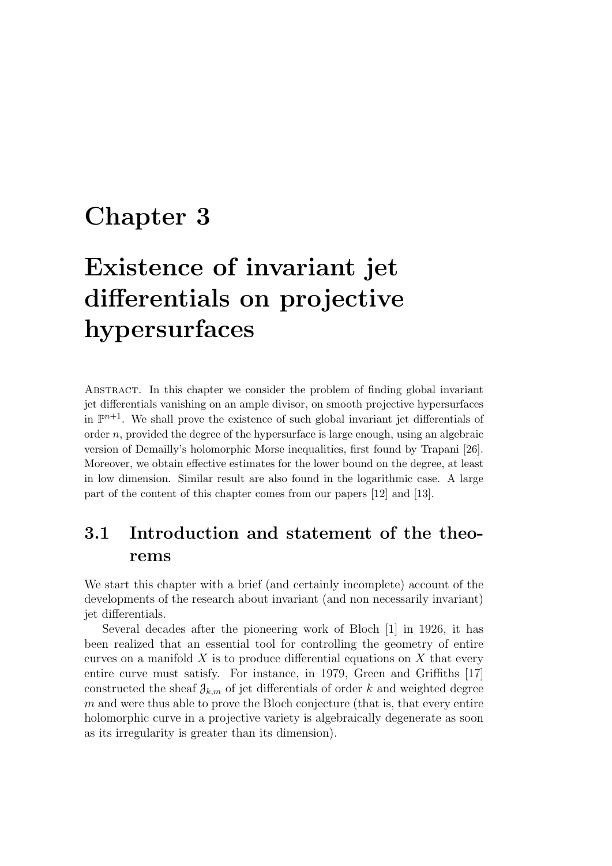## Chapter 3

# Existence of invariant jet differentials on projective hypersurfaces

Abstract. In this chapter we consider the problem of finding global invariant jet differentials vanishing on an ample divisor, on smooth projective hypersurfaces in  $\mathbb{P}^{n+1}$ . We shall prove the existence of such global invariant jet differentials of order  $n$ , provided the degree of the hypersurface is large enough, using an algebraic version of Demailly's holomorphic Morse inequalities, first found by Trapani [26]. Moreover, we obtain effective estimates for the lower bound on the degree, at least in low dimension. Similar result are also found in the logarithmic case. A large part of the content of this chapter comes from our papers [12] and [13].

## 3.1 Introduction and statement of the theorems

We start this chapter with a brief (and certainly incomplete) account of the developments of the research about invariant (and non necessarily invariant) jet differentials.

Several decades after the pioneering work of Bloch [1] in 1926, it has been realized that an essential tool for controlling the geometry of entire curves on a manifold  $X$  is to produce differential equations on  $X$  that every entire curve must satisfy. For instance, in 1979, Green and Griffiths [17] constructed the sheaf  $\mathcal{J}_{k,m}$  of jet differentials of order k and weighted degree m and were thus able to prove the Bloch conjecture (that is, that every entire holomorphic curve in a projective variety is algebraically degenerate as soon as its irregularity is greater than its dimension).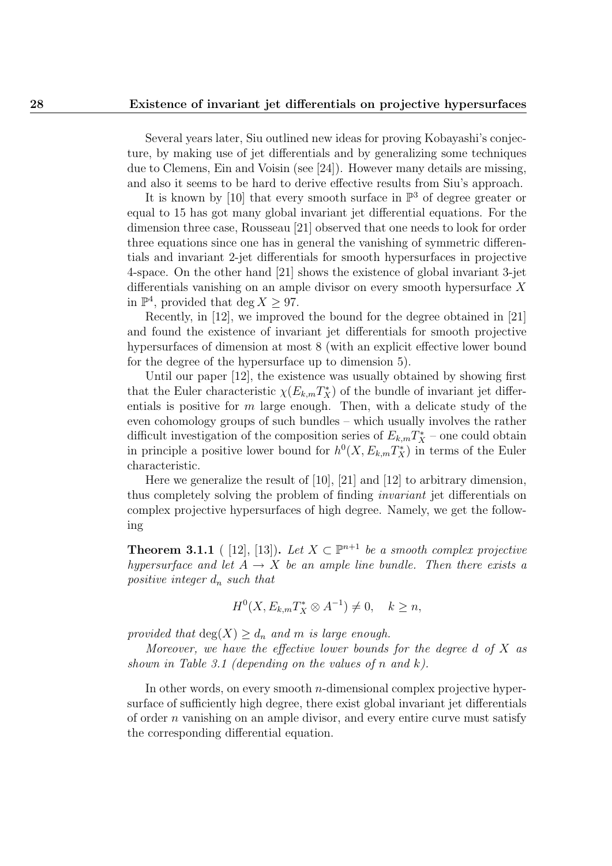Several years later, Siu outlined new ideas for proving Kobayashi's conjecture, by making use of jet differentials and by generalizing some techniques due to Clemens, Ein and Voisin (see [24]). However many details are missing, and also it seems to be hard to derive effective results from Siu's approach.

It is known by [10] that every smooth surface in  $\mathbb{P}^3$  of degree greater or equal to 15 has got many global invariant jet differential equations. For the dimension three case, Rousseau [21] observed that one needs to look for order three equations since one has in general the vanishing of symmetric differentials and invariant 2-jet differentials for smooth hypersurfaces in projective 4-space. On the other hand [21] shows the existence of global invariant 3-jet differentials vanishing on an ample divisor on every smooth hypersurface X in  $\mathbb{P}^4$ , provided that deg  $X \geq 97$ .

Recently, in [12], we improved the bound for the degree obtained in [21] and found the existence of invariant jet differentials for smooth projective hypersurfaces of dimension at most 8 (with an explicit effective lower bound for the degree of the hypersurface up to dimension 5).

Until our paper [12], the existence was usually obtained by showing first that the Euler characteristic  $\chi(E_{k,m}T_X^*)$  of the bundle of invariant jet differentials is positive for  $m$  large enough. Then, with a delicate study of the even cohomology groups of such bundles – which usually involves the rather difficult investigation of the composition series of  $E_{k,m}T_X^*$  – one could obtain in principle a positive lower bound for  $h^0(X, E_{k,m}T_X^*)$  in terms of the Euler characteristic.

Here we generalize the result of [10], [21] and [12] to arbitrary dimension, thus completely solving the problem of finding invariant jet differentials on complex projective hypersurfaces of high degree. Namely, we get the following

**Theorem 3.1.1** ( [12], [13]). Let  $X \subset \mathbb{P}^{n+1}$  be a smooth complex projective hypersurface and let  $A \rightarrow X$  be an ample line bundle. Then there exists a positive integer  $d_n$  such that

$$
H^0(X, E_{k,m}T_X^* \otimes A^{-1}) \neq 0, \quad k \geq n,
$$

provided that  $deg(X) \geq d_n$  and m is large enough.

Moreover, we have the effective lower bounds for the degree  $d$  of  $X$  as shown in Table 3.1 (depending on the values of n and k).

In other words, on every smooth *n*-dimensional complex projective hypersurface of sufficiently high degree, there exist global invariant jet differentials of order  $n$  vanishing on an ample divisor, and every entire curve must satisfy the corresponding differential equation.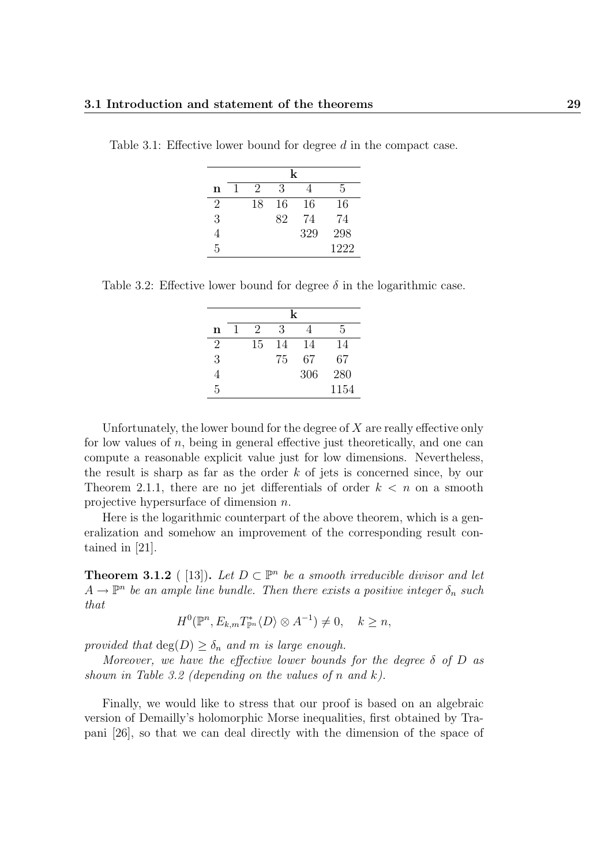|   | k |    |    |     |      |  |
|---|---|----|----|-----|------|--|
| n |   | 2  | 3  |     | 5    |  |
| 2 |   | 18 | 16 | 16  | 16   |  |
| 3 |   |    | 82 | 74  | 74   |  |
|   |   |    |    | 329 | 298  |  |
| 5 |   |    |    |     | 1222 |  |

Table 3.1: Effective lower bound for degree d in the compact case.

Table 3.2: Effective lower bound for degree  $\delta$  in the logarithmic case.

|   | k |    |    |     |      |  |
|---|---|----|----|-----|------|--|
| n |   | 2  | 3  |     | 5    |  |
| 2 |   | 15 | 14 | 14  | 14   |  |
| 3 |   |    | 75 | 67  | 67   |  |
|   |   |    |    | 306 | 280  |  |
| 5 |   |    |    |     | 1154 |  |

Unfortunately, the lower bound for the degree of  $X$  are really effective only for low values of  $n$ , being in general effective just theoretically, and one can compute a reasonable explicit value just for low dimensions. Nevertheless, the result is sharp as far as the order  $k$  of jets is concerned since, by our Theorem 2.1.1, there are no jet differentials of order  $k < n$  on a smooth projective hypersurface of dimension n.

Here is the logarithmic counterpart of the above theorem, which is a generalization and somehow an improvement of the corresponding result contained in [21].

**Theorem 3.1.2** ([13]). Let  $D \subset \mathbb{P}^n$  be a smooth irreducible divisor and let  $A \to \mathbb{P}^n$  be an ample line bundle. Then there exists a positive integer  $\delta_n$  such that

$$
H^{0}(\mathbb{P}^{n}, E_{k,m}T_{\mathbb{P}^{n}}^{*}\langle D \rangle \otimes A^{-1}) \neq 0, \quad k \geq n,
$$

provided that  $deg(D) \geq \delta_n$  and m is large enough.

Moreover, we have the effective lower bounds for the degree  $\delta$  of D as shown in Table 3.2 (depending on the values of n and  $k$ ).

Finally, we would like to stress that our proof is based on an algebraic version of Demailly's holomorphic Morse inequalities, first obtained by Trapani [26], so that we can deal directly with the dimension of the space of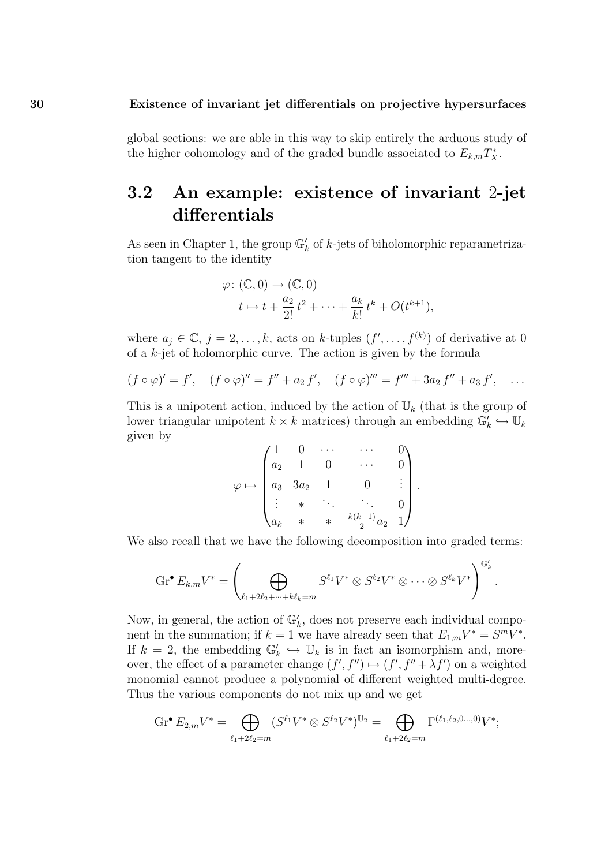global sections: we are able in this way to skip entirely the arduous study of the higher cohomology and of the graded bundle associated to  $E_{k,m}T_X^*$ .

## 3.2 An example: existence of invariant 2-jet differentials

As seen in Chapter 1, the group  $\mathbb{G}_k'$  of k-jets of biholomorphic reparametrization tangent to the identity

$$
\varphi \colon (\mathbb{C}, 0) \to (\mathbb{C}, 0)
$$
  

$$
t \mapsto t + \frac{a_2}{2!} t^2 + \dots + \frac{a_k}{k!} t^k + O(t^{k+1}),
$$

where  $a_j \in \mathbb{C}, j = 2, ..., k$ , acts on k-tuples  $(f', ..., f^{(k)})$  of derivative at 0 of a  $k$ -jet of holomorphic curve. The action is given by the formula

$$
(f \circ \varphi)' = f', \quad (f \circ \varphi)'' = f'' + a_2 f', \quad (f \circ \varphi)''' = f''' + 3a_2 f'' + a_3 f', \quad \dots
$$

This is a unipotent action, induced by the action of  $\mathbb{U}_k$  (that is the group of lower triangular unipotent  $k \times k$  matrices) through an embedding  $\mathbb{G}_k' \hookrightarrow \mathbb{U}_k$ given by

$$
\varphi \mapsto \begin{pmatrix} 1 & 0 & \cdots & \cdots & 0 \\ a_2 & 1 & 0 & \cdots & 0 \\ a_3 & 3a_2 & 1 & 0 & \vdots \\ \vdots & \ast & \ddots & \ddots & 0 \\ a_k & \ast & \ast & \frac{k(k-1)}{2}a_2 & 1 \end{pmatrix}.
$$

We also recall that we have the following decomposition into graded terms:

$$
\operatorname{Gr}^{\bullet} E_{k,m} V^{*} = \left( \bigoplus_{\ell_1+2\ell_2+\cdots+k\ell_k=m} S^{\ell_1} V^{*} \otimes S^{\ell_2} V^{*} \otimes \cdots \otimes S^{\ell_k} V^{*} \right)^{\mathbb{G}'_k}.
$$

Now, in general, the action of  $\mathbb{G}_k'$ , does not preserve each individual component in the summation; if  $k = 1$  we have already seen that  $E_{1,m}V^* = S^mV^*$ . If  $k = 2$ , the embedding  $\mathbb{G}_k' \hookrightarrow \mathbb{U}_k$  is in fact an isomorphism and, moreover, the effect of a parameter change  $(f', f'') \mapsto (f', f'' + \lambda f')$  on a weighted monomial cannot produce a polynomial of different weighted multi-degree. Thus the various components do not mix up and we get

$$
\operatorname{Gr}^{\bullet} E_{2,m} V^* = \bigoplus_{\ell_1+2\ell_2=m} (S^{\ell_1} V^* \otimes S^{\ell_2} V^*)^{\mathbb{U}_2} = \bigoplus_{\ell_1+2\ell_2=m} \Gamma^{(\ell_1,\ell_2,0...,0)} V^*;
$$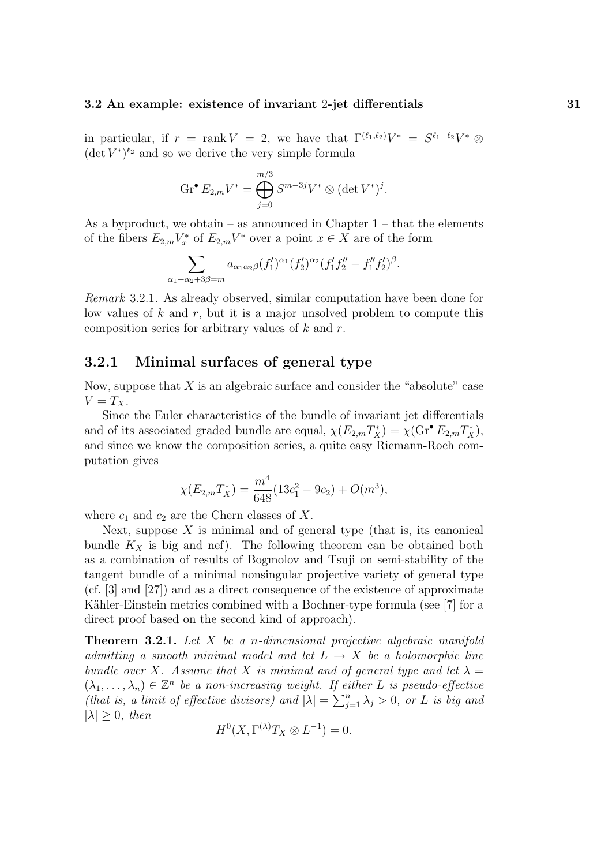in particular, if  $r = \text{rank } V = 2$ , we have that  $\Gamma^{(\ell_1,\ell_2)}V^* = S^{\ell_1-\ell_2}V^* \otimes$  $(\det V^*)^{\ell_2}$  and so we derive the very simple formula

$$
\operatorname{Gr}^{\bullet} E_{2,m} V^* = \bigoplus_{j=0}^{m/3} S^{m-3j} V^* \otimes (\det V^*)^j.
$$

As a byproduct, we obtain – as announced in Chapter  $1$  – that the elements of the fibers  $E_{2,m}V_x^*$  of  $E_{2,m}V^*$  over a point  $x \in X$  are of the form

$$
\sum_{\alpha_1+\alpha_2+3\beta=m} a_{\alpha_1\alpha_2\beta}(f'_1)^{\alpha_1}(f'_2)^{\alpha_2}(f'_1f''_2-f''_1f'_2)^{\beta}.
$$

Remark 3.2.1. As already observed, similar computation have been done for low values of  $k$  and  $r$ , but it is a major unsolved problem to compute this composition series for arbitrary values of  $k$  and  $r$ .

#### 3.2.1 Minimal surfaces of general type

Now, suppose that  $X$  is an algebraic surface and consider the "absolute" case  $V = T_X$ .

Since the Euler characteristics of the bundle of invariant jet differentials and of its associated graded bundle are equal,  $\chi(E_{2,m}T_X^*) = \chi(\text{Gr}^{\bullet} E_{2,m}T_X^*)$ , and since we know the composition series, a quite easy Riemann-Roch computation gives

$$
\chi(E_{2,m}T_X^*) = \frac{m^4}{648}(13c_1^2 - 9c_2) + O(m^3),
$$

where  $c_1$  and  $c_2$  are the Chern classes of X.

Next, suppose  $X$  is minimal and of general type (that is, its canonical bundle  $K_X$  is big and nef). The following theorem can be obtained both as a combination of results of Bogmolov and Tsuji on semi-stability of the tangent bundle of a minimal nonsingular projective variety of general type (cf. [3] and [27]) and as a direct consequence of the existence of approximate Kähler-Einstein metrics combined with a Bochner-type formula (see [7] for a direct proof based on the second kind of approach).

**Theorem 3.2.1.** Let  $X$  be a n-dimensional projective algebraic manifold admitting a smooth minimal model and let  $L \rightarrow X$  be a holomorphic line bundle over X. Assume that X is minimal and of general type and let  $\lambda =$  $(\lambda_1,\ldots,\lambda_n)\in\mathbb{Z}^n$  be a non-increasing weight. If either L is pseudo-effective (that is, a limit of effective divisors) and  $|\lambda| = \sum_{j=1}^n \lambda_j > 0$ , or L is big and  $|\lambda| > 0$ , then

$$
H^0(X, \Gamma^{(\lambda)} T_X \otimes L^{-1}) = 0.
$$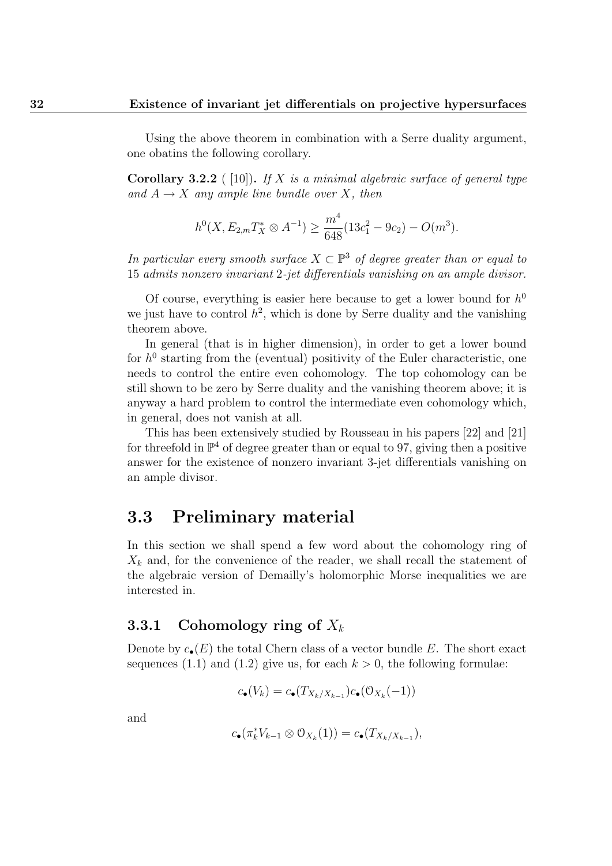Using the above theorem in combination with a Serre duality argument, one obatins the following corollary.

**Corollary 3.2.2** ( [10]). If X is a minimal algebraic surface of general type and  $A \rightarrow X$  any ample line bundle over X, then

$$
h^{0}(X, E_{2,m}T_{X}^{*} \otimes A^{-1}) \ge \frac{m^{4}}{648} (13c_{1}^{2} - 9c_{2}) - O(m^{3}).
$$

In particular every smooth surface  $X \subset \mathbb{P}^3$  of degree greater than or equal to 15 admits nonzero invariant 2-jet differentials vanishing on an ample divisor.

Of course, everything is easier here because to get a lower bound for  $h^0$ we just have to control  $h^2$ , which is done by Serre duality and the vanishing theorem above.

In general (that is in higher dimension), in order to get a lower bound for  $h^0$  starting from the (eventual) positivity of the Euler characteristic, one needs to control the entire even cohomology. The top cohomology can be still shown to be zero by Serre duality and the vanishing theorem above; it is anyway a hard problem to control the intermediate even cohomology which, in general, does not vanish at all.

This has been extensively studied by Rousseau in his papers [22] and [21] for threefold in  $\mathbb{P}^4$  of degree greater than or equal to 97, giving then a positive answer for the existence of nonzero invariant 3-jet differentials vanishing on an ample divisor.

## 3.3 Preliminary material

In this section we shall spend a few word about the cohomology ring of  $X_k$  and, for the convenience of the reader, we shall recall the statement of the algebraic version of Demailly's holomorphic Morse inequalities we are interested in.

#### 3.3.1 Cohomology ring of  $X_k$

Denote by  $c_{\bullet}(E)$  the total Chern class of a vector bundle E. The short exact sequences (1.1) and (1.2) give us, for each  $k > 0$ , the following formulae:

$$
c_{\bullet}(V_k) = c_{\bullet}(T_{X_k/X_{k-1}})c_{\bullet}(\mathcal{O}_{X_k}(-1))
$$

and

$$
c_{\bullet}(\pi_k^*V_{k-1}\otimes \mathcal{O}_{X_k}(1))=c_{\bullet}(T_{X_k/X_{k-1}}),
$$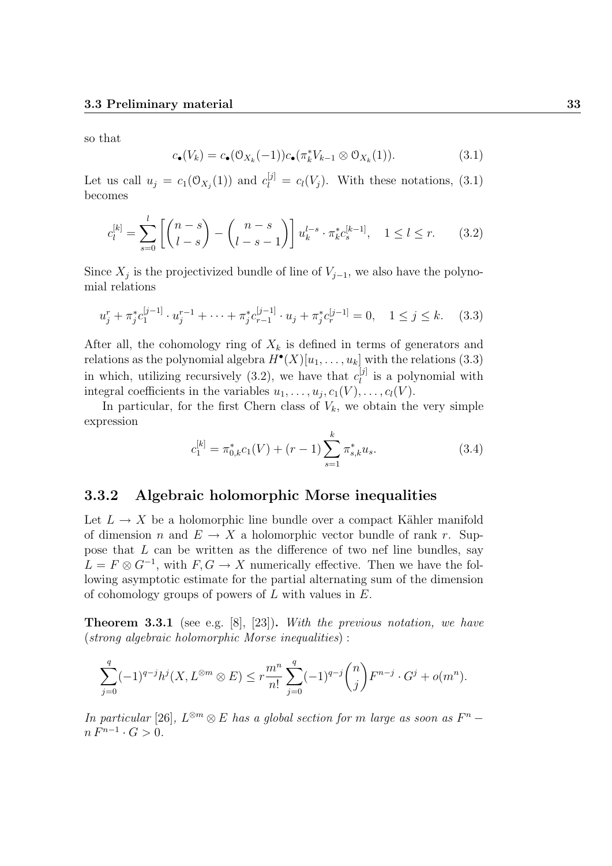so that

$$
c_{\bullet}(V_k) = c_{\bullet}(\mathcal{O}_{X_k}(-1))c_{\bullet}(\pi_k^* V_{k-1} \otimes \mathcal{O}_{X_k}(1)). \tag{3.1}
$$

Let us call  $u_j = c_1(\mathcal{O}_{X_j}(1))$  and  $c_l^{[j]} = c_l(V_j)$ . With these notations, (3.1) becomes

$$
c_l^{[k]} = \sum_{s=0}^l \left[ \binom{n-s}{l-s} - \binom{n-s}{l-s-1} \right] u_k^{l-s} \cdot \pi_k^* c_s^{[k-1]}, \quad 1 \le l \le r. \tag{3.2}
$$

Since  $X_j$  is the projectivized bundle of line of  $V_{j-1}$ , we also have the polynomial relations

$$
u_j^r + \pi_j^* c_1^{[j-1]} \cdot u_j^{r-1} + \dots + \pi_j^* c_{r-1}^{[j-1]} \cdot u_j + \pi_j^* c_r^{[j-1]} = 0, \quad 1 \le j \le k. \tag{3.3}
$$

After all, the cohomology ring of  $X_k$  is defined in terms of generators and relations as the polynomial algebra  $H^{\bullet}(X)[u_1, \ldots, u_k]$  with the relations (3.3) in which, utilizing recursively (3.2), we have that  $c_l^{[j]}$  $\ell_l^{\left[0\right]}$  is a polynomial with integral coefficients in the variables  $u_1, \ldots, u_j, c_1(V), \ldots, c_l(V)$ .

In particular, for the first Chern class of  $V_k$ , we obtain the very simple expression

$$
c_1^{[k]} = \pi_{0,k}^* c_1(V) + (r-1) \sum_{s=1}^k \pi_{s,k}^* u_s.
$$
 (3.4)

#### 3.3.2 Algebraic holomorphic Morse inequalities

Let  $L \to X$  be a holomorphic line bundle over a compact Kähler manifold of dimension n and  $E \to X$  a holomorphic vector bundle of rank r. Suppose that L can be written as the difference of two nef line bundles, say  $L = F \otimes G^{-1}$ , with  $F, G \to X$  numerically effective. Then we have the following asymptotic estimate for the partial alternating sum of the dimension of cohomology groups of powers of  $L$  with values in  $E$ .

**Theorem 3.3.1** (see e.g.  $[8]$ ,  $[23]$ ). With the previous notation, we have (strong algebraic holomorphic Morse inequalities) :

$$
\sum_{j=0}^q (-1)^{q-j} h^j(X,L^{\otimes m} \otimes E) \leq r \frac{m^n}{n!} \sum_{j=0}^q (-1)^{q-j} \binom{n}{j} F^{n-j} \cdot G^j + o(m^n).
$$

In particular [26],  $L^{\otimes m} \otimes E$  has a global section for m large as soon as  $F^n$  –  $n F^{n-1} \cdot G > 0.$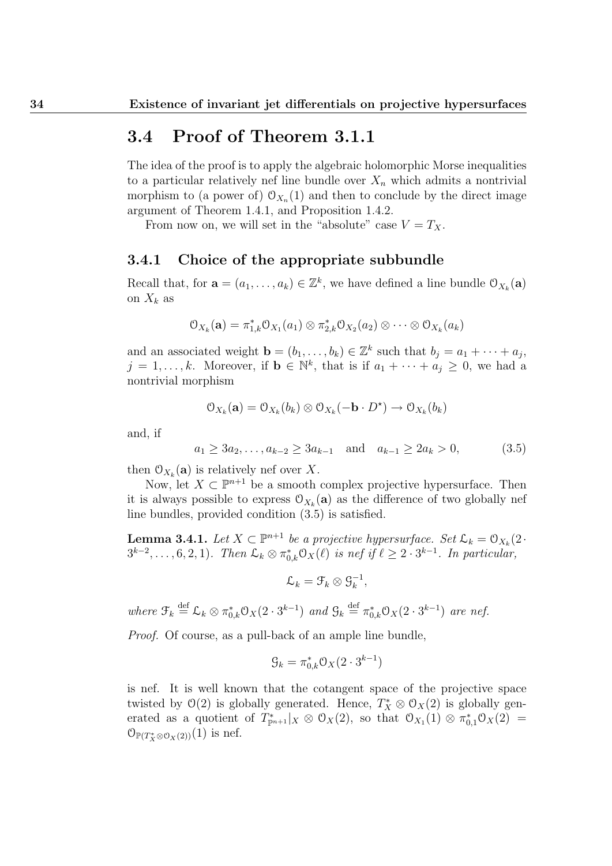## 3.4 Proof of Theorem 3.1.1

The idea of the proof is to apply the algebraic holomorphic Morse inequalities to a particular relatively nef line bundle over  $X_n$  which admits a nontrivial morphism to (a power of)  $\mathcal{O}_{X_n}(1)$  and then to conclude by the direct image argument of Theorem 1.4.1, and Proposition 1.4.2.

From now on, we will set in the "absolute" case  $V = T_X$ .

#### 3.4.1 Choice of the appropriate subbundle

Recall that, for  $\mathbf{a} = (a_1, \dots, a_k) \in \mathbb{Z}^k$ , we have defined a line bundle  $\mathcal{O}_{X_k}(\mathbf{a})$ on  $X_k$  as

$$
\mathcal{O}_{X_k}(\mathbf{a}) = \pi_{1,k}^* \mathcal{O}_{X_1}(a_1) \otimes \pi_{2,k}^* \mathcal{O}_{X_2}(a_2) \otimes \cdots \otimes \mathcal{O}_{X_k}(a_k)
$$

and an associated weight  $\mathbf{b} = (b_1, \ldots, b_k) \in \mathbb{Z}^k$  such that  $b_j = a_1 + \cdots + a_j$ ,  $j = 1, \ldots, k$ . Moreover, if  $\mathbf{b} \in \mathbb{N}^k$ , that is if  $a_1 + \cdots + a_j \geq 0$ , we had a nontrivial morphism

$$
\mathcal{O}_{X_k}(\mathbf{a}) = \mathcal{O}_{X_k}(b_k) \otimes \mathcal{O}_{X_k}(-\mathbf{b} \cdot D^*) \to \mathcal{O}_{X_k}(b_k)
$$

and, if

$$
a_1 \ge 3a_2, \dots, a_{k-2} \ge 3a_{k-1}
$$
 and  $a_{k-1} \ge 2a_k > 0,$  (3.5)

then  $\mathcal{O}_{X_k}(\mathbf{a})$  is relatively nef over X.

Now, let  $X \subset \mathbb{P}^{n+1}$  be a smooth complex projective hypersurface. Then it is always possible to express  $\mathcal{O}_{X_k}(\mathbf{a})$  as the difference of two globally nef line bundles, provided condition (3.5) is satisfied.

**Lemma 3.4.1.** Let  $X \subset \mathbb{P}^{n+1}$  be a projective hypersurface. Set  $\mathcal{L}_k = \mathcal{O}_{X_k}(2 \cdot$  $3^{k-2}, \ldots, 6, 2, 1$ . Then  $\mathcal{L}_k \otimes \pi_{0,k}^* \mathcal{O}_X(\ell)$  is nef if  $\ell \geq 2 \cdot 3^{k-1}$ . In particular,

$$
\mathcal{L}_k = \mathcal{F}_k \otimes \mathcal{G}_k^{-1},
$$

where  $\mathcal{F}_k \stackrel{\text{def}}{=} \mathcal{L}_k \otimes \pi_{0,k}^* \mathcal{O}_X(2 \cdot 3^{k-1})$  and  $\mathcal{G}_k \stackrel{\text{def}}{=} \pi_{0,k}^* \mathcal{O}_X(2 \cdot 3^{k-1})$  are nef.

Proof. Of course, as a pull-back of an ample line bundle,

$$
\mathcal{G}_k = \pi_{0,k}^* \mathcal{O}_X(2 \cdot 3^{k-1})
$$

is nef. It is well known that the cotangent space of the projective space twisted by  $\mathcal{O}(2)$  is globally generated. Hence,  $T_X^* \otimes \mathcal{O}_X(2)$  is globally generated as a quotient of  $T^*_{\mathbb{P}^{n+1}}|_X \otimes \mathcal{O}_X(2)$ , so that  $\mathcal{O}_{X_1}(1) \otimes \pi_{0,1}^* \mathcal{O}_X(2) =$  $\mathcal{O}_{\mathbb{P}(T^*_X\otimes \mathcal{O}_X(2))}(1)$  is nef.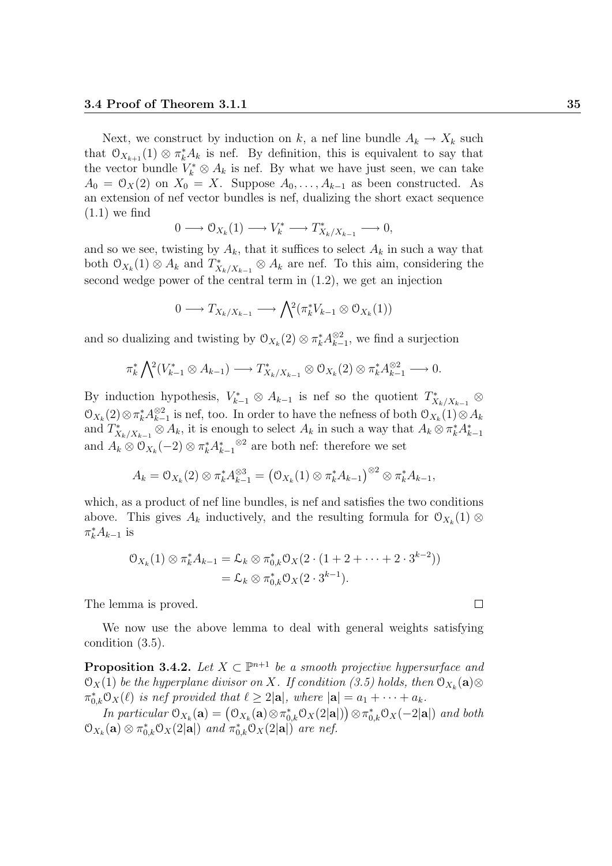Next, we construct by induction on k, a nef line bundle  $A_k \to X_k$  such that  $\mathcal{O}_{X_{k+1}}(1) \otimes \pi_k^* A_k$  is nef. By definition, this is equivalent to say that the vector bundle  $V_k^* \otimes A_k$  is nef. By what we have just seen, we can take  $A_0 = \mathcal{O}_X(2)$  on  $X_0 = X$ . Suppose  $A_0, \ldots, A_{k-1}$  as been constructed. As an extension of nef vector bundles is nef, dualizing the short exact sequence  $(1.1)$  we find

$$
0 \longrightarrow \mathcal{O}_{X_k}(1) \longrightarrow V_k^* \longrightarrow T_{X_k/X_{k-1}}^* \longrightarrow 0,
$$

and so we see, twisting by  $A_k$ , that it suffices to select  $A_k$  in such a way that both  $\mathcal{O}_{X_k}(1) \otimes A_k$  and  $T^*_{X_k/X_{k-1}} \otimes A_k$  are nef. To this aim, considering the second wedge power of the central term in (1.2), we get an injection

$$
0 \longrightarrow T_{X_k/X_{k-1}} \longrightarrow \bigwedge^2(\pi_k^*V_{k-1} \otimes \mathcal{O}_{X_k}(1))
$$

and so dualizing and twisting by  $\mathcal{O}_{X_k}(2) \otimes \pi_k^* A_{k-}^{\otimes 2}$  $\sum_{k=1}^{\infty}$ , we find a surjection

$$
\pi_k^* \bigwedge^2 (V_{k-1}^* \otimes A_{k-1}) \longrightarrow T_{X_k/X_{k-1}}^* \otimes \mathcal{O}_{X_k}(2) \otimes \pi_k^* A_{k-1}^{\otimes 2} \longrightarrow 0.
$$

By induction hypothesis,  $V_{k-1}^* \otimes A_{k-1}$  is nef so the quotient  $T_{X_k/X_{k-1}}^* \otimes$  $\mathfrak{O}_{X_k}(2) \otimes \pi_k^* A_{k-}^{\otimes 2}$  $\frac{\otimes 2}{k-1}$  is nef, too. In order to have the nefness of both  $\mathcal{O}_{X_k}(1) \otimes A_k$ and  $T^*_{X_k/X_{k-1}} \otimes A_k$ , it is enough to select  $A_k$  in such a way that  $A_k \otimes \pi_k^* A_{k-1}^*$ and  $A_k \otimes \mathcal{O}_{X_k}(-2) \otimes \pi_k^* A_{k-1}^*$ ⊗2 are both nef: therefore we set

$$
A_k = \mathcal{O}_{X_k}(2) \otimes \pi_k^* A_{k-1}^{\otimes 3} = (\mathcal{O}_{X_k}(1) \otimes \pi_k^* A_{k-1})^{\otimes 2} \otimes \pi_k^* A_{k-1},
$$

which, as a product of nef line bundles, is nef and satisfies the two conditions above. This gives  $A_k$  inductively, and the resulting formula for  $\mathcal{O}_{X_k}(1)$  ⊗  $\pi_k^* A_{k-1}$  is

$$
\mathcal{O}_{X_k}(1) \otimes \pi_k^* A_{k-1} = \mathcal{L}_k \otimes \pi_{0,k}^* \mathcal{O}_X(2 \cdot (1 + 2 + \dots + 2 \cdot 3^{k-2}))
$$
  
=  $\mathcal{L}_k \otimes \pi_{0,k}^* \mathcal{O}_X(2 \cdot 3^{k-1}).$ 

The lemma is proved.

We now use the above lemma to deal with general weights satisfying condition (3.5).

**Proposition 3.4.2.** Let  $X \subset \mathbb{P}^{n+1}$  be a smooth projective hypersurface and  $\mathfrak{O}_X(1)$  be the hyperplane divisor on X. If condition (3.5) holds, then  $\mathfrak{O}_{X_k}(\mathbf{a})\otimes$  $\pi_{0,k}^* \mathcal{O}_X(\ell)$  is nef provided that  $\ell \geq 2|\mathbf{a}|$ , where  $|\mathbf{a}| = a_1 + \cdots + a_k$ .

In particular  $\mathcal{O}_{X_k}(\mathbf{a}) = (\mathcal{O}_{X_k}(\mathbf{a}) \otimes \pi_{0,k}^* \mathcal{O}_X(2|\mathbf{a}|)) \otimes \pi_{0,k}^* \mathcal{O}_X(-2|\mathbf{a}|)$  and both  $\mathcal{O}_{X_k}(\mathbf{a}) \otimes \pi_{0,k}^* \mathcal{O}_X(2|\mathbf{a}|)$  and  $\pi_{0,k}^* \mathcal{O}_X(2|\mathbf{a}|)$  are nef.

 $\Box$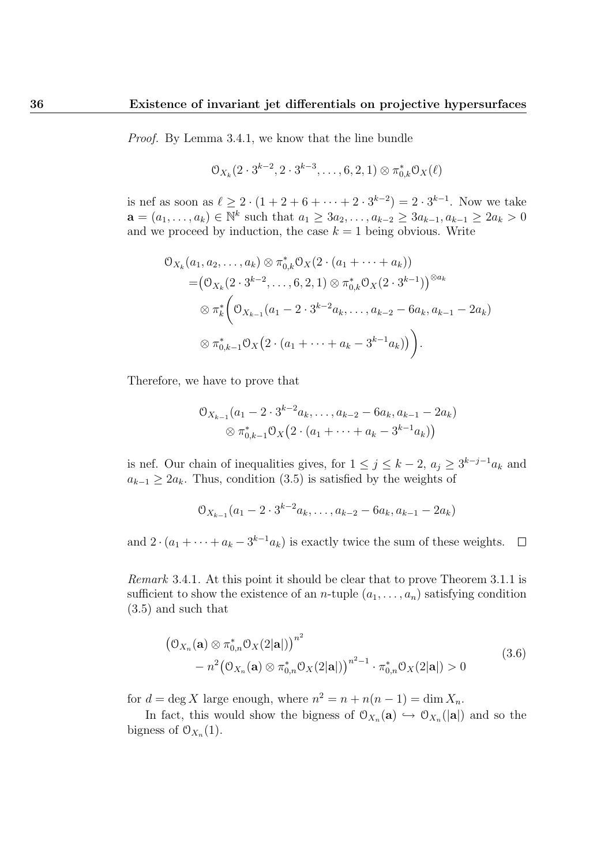Proof. By Lemma 3.4.1, we know that the line bundle

$$
\mathcal{O}_{X_k}(2\cdot 3^{k-2}, 2\cdot 3^{k-3}, \ldots, 6, 2, 1) \otimes \pi_{0,k}^* \mathcal{O}_X(\ell)
$$

is nef as soon as  $\ell \geq 2 \cdot (1 + 2 + 6 + \cdots + 2 \cdot 3^{k-2}) = 2 \cdot 3^{k-1}$ . Now we take  $\mathbf{a} = (a_1, \ldots, a_k) \in \mathbb{N}^k$  such that  $a_1 \geq 3a_2, \ldots, a_{k-2} \geq 3a_{k-1}, a_{k-1} \geq 2a_k > 0$ and we proceed by induction, the case  $k = 1$  being obvious. Write

$$
\begin{split} \mathbb{O}_{X_k}(a_1, a_2, \dots, a_k) &\otimes \pi_{0,k}^* \mathbb{O}_X(2 \cdot (a_1 + \dots + a_k)) \\ &= \left(\mathbb{O}_{X_k}(2 \cdot 3^{k-2}, \dots, 6, 2, 1) \otimes \pi_{0,k}^* \mathbb{O}_X(2 \cdot 3^{k-1})\right)^{\otimes a_k} \\ &\otimes \pi_k^* \left(\mathbb{O}_{X_{k-1}}(a_1 - 2 \cdot 3^{k-2} a_k, \dots, a_{k-2} - 6a_k, a_{k-1} - 2a_k)\right) \\ &\otimes \pi_{0,k-1}^* \mathbb{O}_X\left(2 \cdot (a_1 + \dots + a_k - 3^{k-1} a_k)\right)\right). \end{split}
$$

Therefore, we have to prove that

$$
\mathcal{O}_{X_{k-1}}(a_1 - 2 \cdot 3^{k-2} a_k, \dots, a_{k-2} - 6 a_k, a_{k-1} - 2 a_k)
$$
  
 
$$
\otimes \pi_{0,k-1}^* \mathcal{O}_X(2 \cdot (a_1 + \dots + a_k - 3^{k-1} a_k))
$$

is nef. Our chain of inequalities gives, for  $1 \leq j \leq k-2$ ,  $a_j \geq 3^{k-j-1}a_k$  and  $a_{k-1} \geq 2a_k$ . Thus, condition (3.5) is satisfied by the weights of

$$
\mathcal{O}_{X_{k-1}}(a_1 - 2 \cdot 3^{k-2} a_k, \dots, a_{k-2} - 6 a_k, a_{k-1} - 2 a_k)
$$

and  $2 \cdot (a_1 + \cdots + a_k - 3^{k-1} a_k)$  is exactly twice the sum of these weights.  $\Box$ 

Remark 3.4.1. At this point it should be clear that to prove Theorem 3.1.1 is sufficient to show the existence of an *n*-tuple  $(a_1, \ldots, a_n)$  satisfying condition (3.5) and such that

$$
(\mathcal{O}_{X_n}(\mathbf{a}) \otimes \pi_{0,n}^* \mathcal{O}_X(2|\mathbf{a}|))^{n^2} - n^2 (\mathcal{O}_{X_n}(\mathbf{a}) \otimes \pi_{0,n}^* \mathcal{O}_X(2|\mathbf{a}|))^{n^2-1} \cdot \pi_{0,n}^* \mathcal{O}_X(2|\mathbf{a}|) > 0
$$
\n(3.6)

for  $d = \deg X$  large enough, where  $n^2 = n + n(n-1) = \dim X_n$ .

In fact, this would show the bigness of  $\mathcal{O}_{X_n}(\mathbf{a}) \hookrightarrow \mathcal{O}_{X_n}(|\mathbf{a}|)$  and so the bigness of  $\mathfrak{O}_{X_n}(1)$ .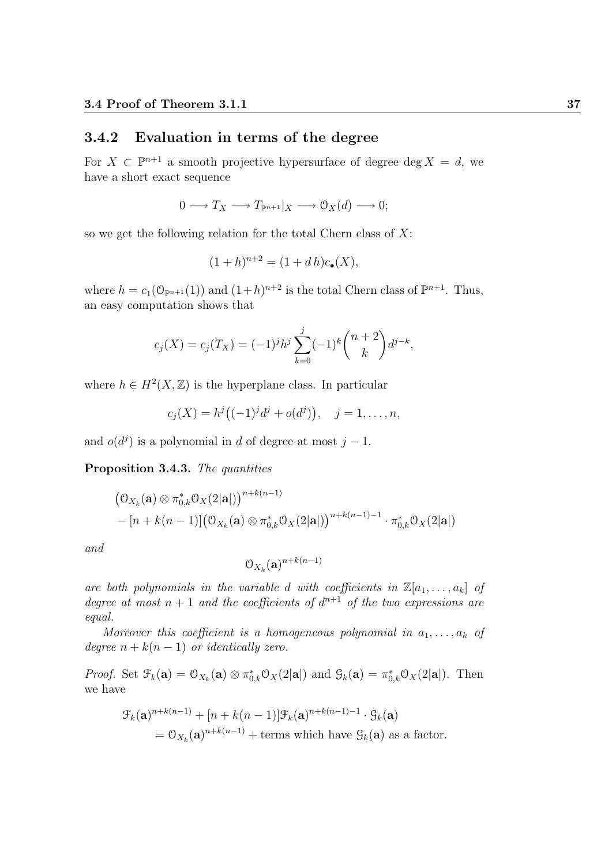### 3.4.2 Evaluation in terms of the degree

For  $X \subset \mathbb{P}^{n+1}$  a smooth projective hypersurface of degree deg  $X = d$ , we have a short exact sequence

$$
0 \longrightarrow T_X \longrightarrow T_{\mathbb{P}^{n+1}}|_X \longrightarrow \mathcal{O}_X(d) \longrightarrow 0;
$$

so we get the following relation for the total Chern class of  $X$ :

$$
(1+h)^{n+2} = (1+d h)c_{\bullet}(X),
$$

where  $h = c_1(\mathbb{O}_{\mathbb{P}^{n+1}}(1))$  and  $(1+h)^{n+2}$  is the total Chern class of  $\mathbb{P}^{n+1}$ . Thus, an easy computation shows that

$$
c_j(X) = c_j(T_X) = (-1)^j h^j \sum_{k=0}^j (-1)^k {n+2 \choose k} d^{j-k},
$$

where  $h \in H^2(X,\mathbb{Z})$  is the hyperplane class. In particular

$$
c_j(X) = h^{j}((-1)^{j}d^{j} + o(d^{j})), \quad j = 1, ..., n,
$$

and  $o(d^j)$  is a polynomial in d of degree at most  $j-1$ .

Proposition 3.4.3. The quantities

$$
(\mathcal{O}_{X_k}(\mathbf{a}) \otimes \pi_{0,k}^* \mathcal{O}_X(2|\mathbf{a}|))^{n+k(n-1)}
$$
  
– [n+k(n-1)] $(\mathcal{O}_{X_k}(\mathbf{a}) \otimes \pi_{0,k}^* \mathcal{O}_X(2|\mathbf{a}|))^{n+k(n-1)-1} \cdot \pi_{0,k}^* \mathcal{O}_X(2|\mathbf{a}|)$ 

and

$$
\mathfrak{O}_{X_k}(\mathbf{a})^{n+k(n-1)}
$$

are both polynomials in the variable d with coefficients in  $\mathbb{Z}[a_1, \ldots, a_k]$  of degree at most  $n + 1$  and the coefficients of  $d^{n+1}$  of the two expressions are equal.

Moreover this coefficient is a homogeneous polynomial in  $a_1, \ldots, a_k$  of degree  $n + k(n - 1)$  or identically zero.

*Proof.* Set  $\mathcal{F}_k(\mathbf{a}) = \mathcal{O}_{X_k}(\mathbf{a}) \otimes \pi_{0,k}^* \mathcal{O}_X(2|\mathbf{a}|)$  and  $\mathcal{G}_k(\mathbf{a}) = \pi_{0,k}^* \mathcal{O}_X(2|\mathbf{a}|)$ . Then we have

$$
\mathcal{F}_k(\mathbf{a})^{n+k(n-1)} + [n+k(n-1)]\mathcal{F}_k(\mathbf{a})^{n+k(n-1)-1} \cdot \mathcal{G}_k(\mathbf{a})
$$
  
=  $\mathcal{O}_{X_k}(\mathbf{a})^{n+k(n-1)} + \text{terms which have } \mathcal{G}_k(\mathbf{a}) \text{ as a factor.}$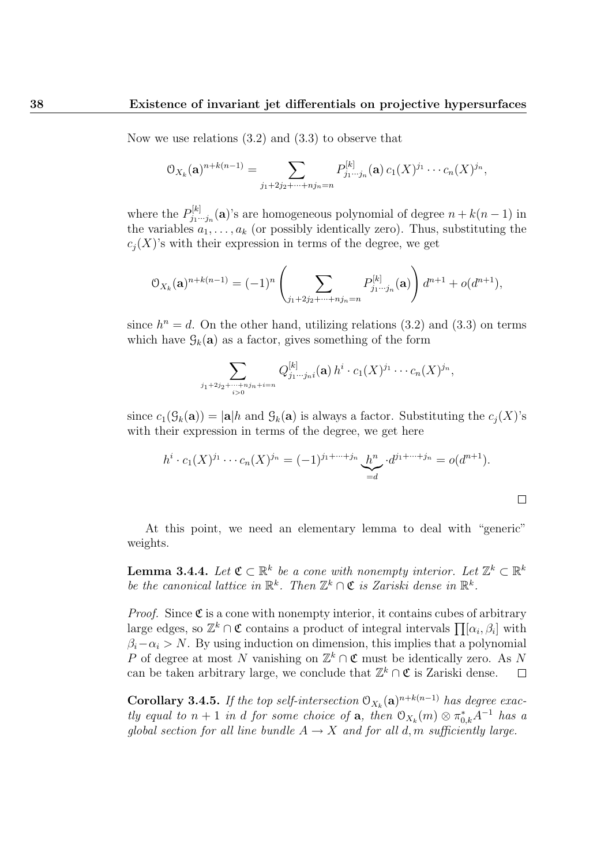Now we use relations (3.2) and (3.3) to observe that

$$
O_{X_k}(\mathbf{a})^{n+k(n-1)} = \sum_{j_1+2j_2+\cdots+j_n=n} P_{j_1\cdots j_n}^{[k]}(\mathbf{a}) c_1(X)^{j_1} \cdots c_n(X)^{j_n},
$$

where the  $P_{i_1}^{[k]}$  $j_1^{[k]}$ ,  $j_1^{[k]}$  are homogeneous polynomial of degree  $n + k(n-1)$  in the variables  $a_1, \ldots, a_k$  (or possibly identically zero). Thus, substituting the  $c_i(X)$ 's with their expression in terms of the degree, we get

$$
\mathcal{O}_{X_k}(\mathbf{a})^{n+k(n-1)} = (-1)^n \left( \sum_{j_1+2j_2+\cdots+j_n=n} P_{j_1\cdots j_n}^{[k]}(\mathbf{a}) \right) d^{n+1} + o(d^{n+1}),
$$

since  $h^n = d$ . On the other hand, utilizing relations (3.2) and (3.3) on terms which have  $\mathcal{G}_k(\mathbf{a})$  as a factor, gives something of the form

$$
\sum_{\substack{j_1+2j_2+\cdots+nj_n+i=n\\i>0}} Q^{[k]}_{j_1\cdots j_n i}(\mathbf{a}) h^i \cdot c_1(X)^{j_1} \cdots c_n(X)^{j_n},
$$

since  $c_1(\mathcal{G}_k(\mathbf{a})) = |\mathbf{a}|h$  and  $\mathcal{G}_k(\mathbf{a})$  is always a factor. Substituting the  $c_i(X)$ 's with their expression in terms of the degree, we get here

$$
h^{i} \cdot c_{1}(X)^{j_{1}} \cdots c_{n}(X)^{j_{n}} = (-1)^{j_{1} + \cdots + j_{n}} \underbrace{h^{n}}_{=d} \cdot d^{j_{1} + \cdots + j_{n}} = o(d^{n+1}).
$$

 $\Box$ 

At this point, we need an elementary lemma to deal with "generic" weights.

**Lemma 3.4.4.** Let  $\mathfrak{C} \subset \mathbb{R}^k$  be a cone with nonempty interior. Let  $\mathbb{Z}^k \subset \mathbb{R}^k$ be the canonical lattice in  $\mathbb{R}^k$ . Then  $\mathbb{Z}^k \cap \mathfrak{C}$  is Zariski dense in  $\mathbb{R}^k$ .

*Proof.* Since  $\mathfrak{C}$  is a cone with nonempty interior, it contains cubes of arbitrary large edges, so  $\mathbb{Z}^k \cap \mathfrak{C}$  contains a product of integral intervals  $\prod [\alpha_i, \beta_i]$  with  $\beta_i-\alpha_i > N$ . By using induction on dimension, this implies that a polynomial P of degree at most N vanishing on  $\mathbb{Z}^k \cap \mathfrak{C}$  must be identically zero. As N can be taken arbitrary large, we conclude that  $\mathbb{Z}^k \cap \mathfrak{C}$  is Zariski dense.  $\Box$ 

**Corollary 3.4.5.** If the top self-intersection  $O_{X_k}(\mathbf{a})^{n+k(n-1)}$  has degree exactly equal to  $n+1$  in d for some choice of **a**, then  $\mathcal{O}_{X_k}(m) \otimes \pi_{0,k}^* A^{-1}$  has a global section for all line bundle  $A \rightarrow X$  and for all d, m sufficiently large.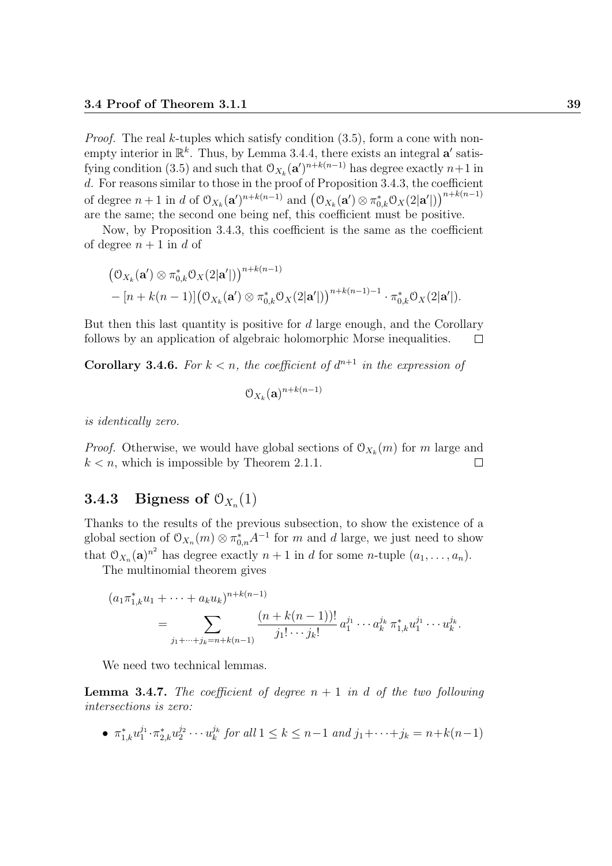*Proof.* The real k-tuples which satisfy condition  $(3.5)$ , form a cone with nonempty interior in  $\mathbb{R}^k$ . Thus, by Lemma 3.4.4, there exists an integral a' satisfying condition (3.5) and such that  $\mathcal{O}_{X_k}(\mathbf{a}')^{n+k(n-1)}$  has degree exactly  $n+1$  in d. For reasons similar to those in the proof of Proposition 3.4.3, the coefficient of degree  $n+1$  in d of  $\mathfrak{O}_{X_k}(\mathbf{a}')^{n+k(n-1)}$  and  $(\mathfrak{O}_{X_k}(\mathbf{a}') \otimes \pi_{0,k}^* \mathfrak{O}_X(2|\mathbf{a}'|))^{n+k(n-1)}$ are the same; the second one being nef, this coefficient must be positive.

Now, by Proposition 3.4.3, this coefficient is the same as the coefficient of degree  $n+1$  in d of

$$
(\mathcal{O}_{X_k}(\mathbf{a}') \otimes \pi_{0,k}^* \mathcal{O}_X(2|\mathbf{a}'|))^{n+k(n-1)} - [n+k(n-1)] (\mathcal{O}_{X_k}(\mathbf{a}') \otimes \pi_{0,k}^* \mathcal{O}_X(2|\mathbf{a}'|))^{n+k(n-1)-1} \cdot \pi_{0,k}^* \mathcal{O}_X(2|\mathbf{a}'|).
$$

But then this last quantity is positive for  $d$  large enough, and the Corollary follows by an application of algebraic holomorphic Morse inequalities.  $\Box$ 

**Corollary 3.4.6.** For  $k < n$ , the coefficient of  $d^{n+1}$  in the expression of

$$
\mathfrak{O}_{X_k}(\mathbf{a})^{n+k(n-1)}
$$

is identically zero.

*Proof.* Otherwise, we would have global sections of  $O_{X_k}(m)$  for m large and  $k < n$ , which is impossible by Theorem 2.1.1.  $\Box$ 

## **3.4.3** Bigness of  $O_{X_n}(1)$

Thanks to the results of the previous subsection, to show the existence of a global section of  $\mathcal{O}_{X_n}(m) \otimes \pi_{0,n}^* A^{-1}$  for m and d large, we just need to show that  $\mathfrak{O}_{X_n}(\mathbf{a})^{n^2}$  has degree exactly  $n+1$  in d for some n-tuple  $(a_1, \ldots, a_n)$ .

The multinomial theorem gives

$$
(a_1 \pi_{1,k}^* u_1 + \dots + a_k u_k)^{n+k(n-1)}
$$
  
= 
$$
\sum_{j_1 + \dots + j_k = n+k(n-1)} \frac{(n+k(n-1))!}{j_1! \cdots j_k!} a_1^{j_1} \cdots a_k^{j_k} \pi_{1,k}^* u_1^{j_1} \cdots u_k^{j_k}.
$$

We need two technical lemmas.

**Lemma 3.4.7.** The coefficient of degree  $n + 1$  in d of the two following intersections is zero:

•  $\pi_{1,k}^* u_1^{j_1} \cdot \pi_{2,k}^* u_2^{j_2} \cdot \cdot \cdot u_k^{j_k}$  $\sum_{k}^{j_k}$  for all  $1 \leq k \leq n-1$  and  $j_1 + \cdots + j_k = n+k(n-1)$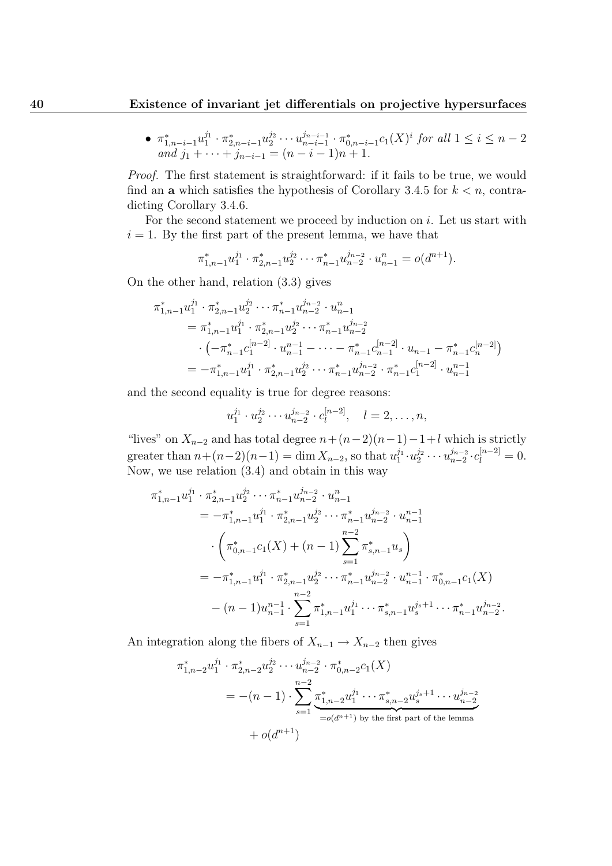$\bullet$   $\pi^*_{1,n-i-1}u^{j_1}_1 \cdot \pi^*_{2,n-i-1}u^{j_2}_2 \cdots u^{j_{n-i-1}}_{n-i-1}$  $\sum_{n-i-1}^{j_{n-i-1}} \cdot \pi_{0,n-i-1}^* c_1(X)^i$  for all  $1 \le i \le n-2$ and  $j_1 + \cdots + j_{n-i-1} = (n-i-1)n + 1$ .

Proof. The first statement is straightforward: if it fails to be true, we would find an **a** which satisfies the hypothesis of Corollary 3.4.5 for  $k < n$ , contradicting Corollary 3.4.6.

For the second statement we proceed by induction on  $i$ . Let us start with  $i = 1$ . By the first part of the present lemma, we have that

$$
\pi_{1,n-1}^* u_1^{j_1} \cdot \pi_{2,n-1}^* u_2^{j_2} \cdots \pi_{n-1}^* u_{n-2}^{j_{n-2}} \cdot u_{n-1}^n = o(d^{n+1}).
$$

On the other hand, relation (3.3) gives

$$
\pi_{1,n-1}^{*} u_1^{j_1} \cdot \pi_{2,n-1}^{*} u_2^{j_2} \cdots \pi_{n-1}^{*} u_{n-2}^{j_{n-2}} \cdot u_{n-1}^{n}
$$
\n
$$
= \pi_{1,n-1}^{*} u_1^{j_1} \cdot \pi_{2,n-1}^{*} u_2^{j_2} \cdots \pi_{n-1}^{*} u_{n-2}^{j_{n-2}}
$$
\n
$$
\cdot \left( -\pi_{n-1}^{*} c_1^{[n-2]} \cdot u_{n-1}^{n-1} - \cdots - \pi_{n-1}^{*} c_{n-1}^{[n-2]} \cdot u_{n-1} - \pi_{n-1}^{*} c_n^{[n-2]} \right)
$$
\n
$$
= -\pi_{1,n-1}^{*} u_1^{j_1} \cdot \pi_{2,n-1}^{*} u_2^{j_2} \cdots \pi_{n-1}^{*} u_{n-2}^{j_{n-2}} \cdot \pi_{n-1}^{*} c_1^{[n-2]} \cdot u_{n-1}^{n-1}
$$

and the second equality is true for degree reasons:

$$
u_1^{j_1} \cdot u_2^{j_2} \cdots u_{n-2}^{j_{n-2}} \cdot c_l^{[n-2]}, \quad l = 2, \ldots, n,
$$

"lives" on  $X_{n-2}$  and has total degree  $n+(n-2)(n-1)-1+l$  which is strictly greater than  $n + (n-2)(n-1) = \dim X_{n-2}$ , so that  $u_1^{j_1} \cdot u_2^{j_2} \cdot \cdot \cdot u_{n-2}^{j_{n-2}}$  $\frac{j_{n-2}}{n-2} \cdot c_l^{[n-2]} = 0.$ Now, we use relation (3.4) and obtain in this way

$$
\pi_{1,n-1}^{*} u_{1}^{j_{1}} \cdot \pi_{2,n-1}^{*} u_{2}^{j_{2}} \cdots \pi_{n-1}^{*} u_{n-2}^{j_{n-2}} \cdot u_{n-1}^{n}
$$
\n
$$
= -\pi_{1,n-1}^{*} u_{1}^{j_{1}} \cdot \pi_{2,n-1}^{*} u_{2}^{j_{2}} \cdots \pi_{n-1}^{*} u_{n-2}^{j_{n-2}} \cdot u_{n-1}^{n-1}
$$
\n
$$
\cdot \left( \pi_{0,n-1}^{*} c_{1}(X) + (n-1) \sum_{s=1}^{n-2} \pi_{s,n-1}^{*} u_{s} \right)
$$
\n
$$
= -\pi_{1,n-1}^{*} u_{1}^{j_{1}} \cdot \pi_{2,n-1}^{*} u_{2}^{j_{2}} \cdots \pi_{n-1}^{*} u_{n-2}^{j_{n-2}} \cdot u_{n-1}^{n-1} \cdot \pi_{0,n-1}^{*} c_{1}(X)
$$
\n
$$
- (n-1) u_{n-1}^{n-1} \cdot \sum_{s=1}^{n-2} \pi_{1,n-1}^{*} u_{1}^{j_{1}} \cdots \pi_{s,n-1}^{*} u_{s}^{j_{s+1}} \cdots \pi_{n-1}^{*} u_{n-2}^{j_{n-2}}.
$$

An integration along the fibers of  $X_{n-1} \to X_{n-2}$  then gives

$$
\pi_{1,n-2}^* u_1^{j_1} \cdot \pi_{2,n-2}^* u_2^{j_2} \cdots u_{n-2}^{j_{n-2}} \cdot \pi_{0,n-2}^* c_1(X)
$$
\n
$$
= -(n-1) \cdot \sum_{s=1}^{n-2} \underbrace{\pi_{1,n-2}^* u_1^{j_1} \cdots \pi_{s,n-2}^* u_s^{j_s+1} \cdots u_{n-2}^{j_{n-2}}}_{=o(d^{n+1}) \text{ by the first part of the lemma}} + o(d^{n+1})
$$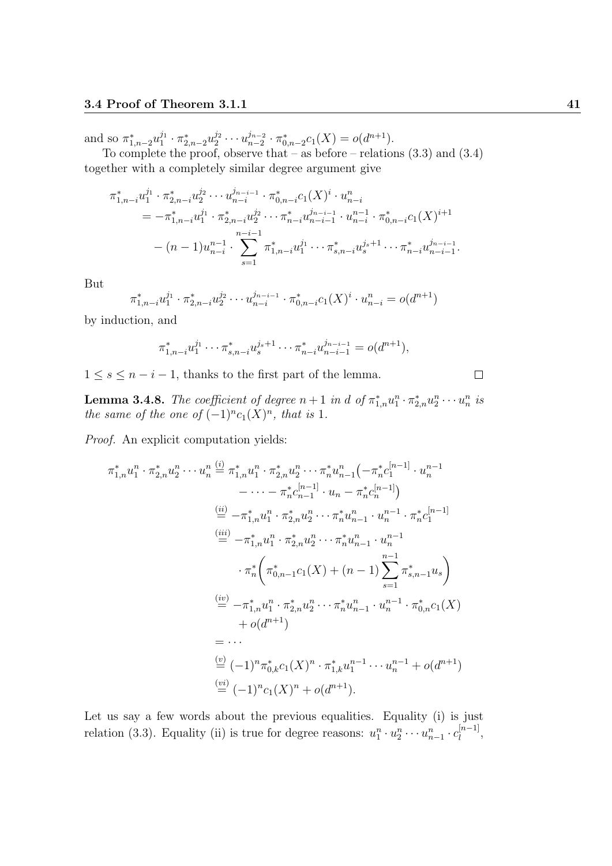and so  $\pi_{1,n-2}^* u_1^{j_1} \cdot \pi_{2,n-2}^* u_2^{j_2} \cdots u_{n-2}^{j_{n-2}}$  $a_{n-2}^{j_{n-2}} \cdot \pi_{0,n-2}^* c_1(X) = o(d^{n+1}).$ 

To complete the proof, observe that – as before – relations (3.3) and (3.4) together with a completely similar degree argument give

$$
\pi_{1,n-i}^* u_1^{j_1} \cdot \pi_{2,n-i}^* u_2^{j_2} \cdots u_{n-i}^{j_{n-i-1}} \cdot \pi_{0,n-i}^* c_1(X)^i \cdot u_{n-i}^n
$$
\n
$$
= -\pi_{1,n-i}^* u_1^{j_1} \cdot \pi_{2,n-i}^* u_2^{j_2} \cdots \pi_{n-i}^* u_{n-i-1}^{j_{n-i-1}} \cdot u_{n-i}^{n-1} \cdot \pi_{0,n-i}^* c_1(X)^{i+1}
$$
\n
$$
- (n-1)u_{n-i}^{n-1} \cdot \sum_{s=1}^{n-i-1} \pi_{1,n-i}^* u_1^{j_1} \cdots \pi_{s,n-i}^* u_s^{j_s+1} \cdots \pi_{n-i}^* u_{n-i-1}^{j_{n-i-1}}.
$$

But

$$
\pi_{1,n-i}^* u_1^{j_1} \cdot \pi_{2,n-i}^* u_2^{j_2} \cdots u_{n-i}^{j_{n-i-1}} \cdot \pi_{0,n-i}^* c_1(X)^i \cdot u_{n-i}^* = o(d^{n+1})
$$

by induction, and

$$
\pi_{1,n-i}^* u_1^{j_1} \cdots \pi_{s,n-i}^* u_s^{j_s+1} \cdots \pi_{n-i}^* u_{n-i-1}^{j_{n-i-1}} = o(d^{n+1}),
$$

 $1 \leq s \leq n-i-1$ , thanks to the first part of the lemma.

**Lemma 3.4.8.** The coefficient of degree  $n+1$  in d of  $\pi_{1,n}^* u_1^n \cdot \pi_{2,n}^* u_2^n \cdots u_n^n$  is the same of the one of  $(-1)^n c_1(X)^n$ , that is 1.

Proof. An explicit computation yields:

$$
\pi_{1,n}^{*} u_{1}^{n} \cdot \pi_{2,n}^{*} u_{2}^{n} \cdots u_{n}^{n} \stackrel{(i)}{=} \pi_{1,n}^{*} u_{1}^{n} \cdot \pi_{2,n}^{*} u_{2}^{n} \cdots \pi_{n}^{*} u_{n-1}^{n} \left( -\pi_{n}^{*} c_{1}^{[n-1]} \cdot u_{n}^{n-1} \right)
$$
\n
$$
\stackrel{(ii)}{=} -\pi_{1,n}^{*} u_{1}^{n} \cdot \pi_{2,n}^{*} u_{2}^{n} \cdots \pi_{n}^{*} u_{n-1}^{n} \cdot u_{n}^{n-1} \cdot \pi_{n}^{*} c_{1}^{[n-1]}
$$
\n
$$
\stackrel{(iii)}{=} -\pi_{1,n}^{*} u_{1}^{n} \cdot \pi_{2,n}^{*} u_{2}^{n} \cdots \pi_{n}^{*} u_{n-1}^{n} \cdot u_{n}^{n-1}
$$
\n
$$
\cdot \pi_{n}^{*} \left( \pi_{0,n-1}^{*} c_{1}(X) + (n-1) \sum_{s=1}^{n-1} \pi_{s,n-1}^{*} u_{s} \right)
$$
\n
$$
\stackrel{(iv)}{=} -\pi_{1,n}^{*} u_{1}^{n} \cdot \pi_{2,n}^{*} u_{2}^{n} \cdots \pi_{n}^{*} u_{n-1}^{n} \cdot u_{n}^{n-1} \cdot \pi_{0,n}^{*} c_{1}(X)
$$
\n
$$
+ o(d^{n+1})
$$
\n
$$
= \cdots
$$
\n
$$
\stackrel{(v)}{=} (-1)^{n} \pi_{0,k}^{*} c_{1}(X)^{n} \cdot \pi_{1,k}^{*} u_{1}^{n-1} \cdots u_{n}^{n-1} + o(d^{n+1})
$$
\n
$$
\stackrel{(vi)}{=} (-1)^{n} c_{1}(X)^{n} + o(d^{n+1}).
$$

Let us say a few words about the previous equalities. Equality (i) is just relation (3.3). Equality (ii) is true for degree reasons:  $u_1^n \cdot u_2^n \cdots u_{n-1}^n \cdot c_l^{[n-1]}$  $l_1^{[n-1]},$ 

$$
\qquad \qquad \Box
$$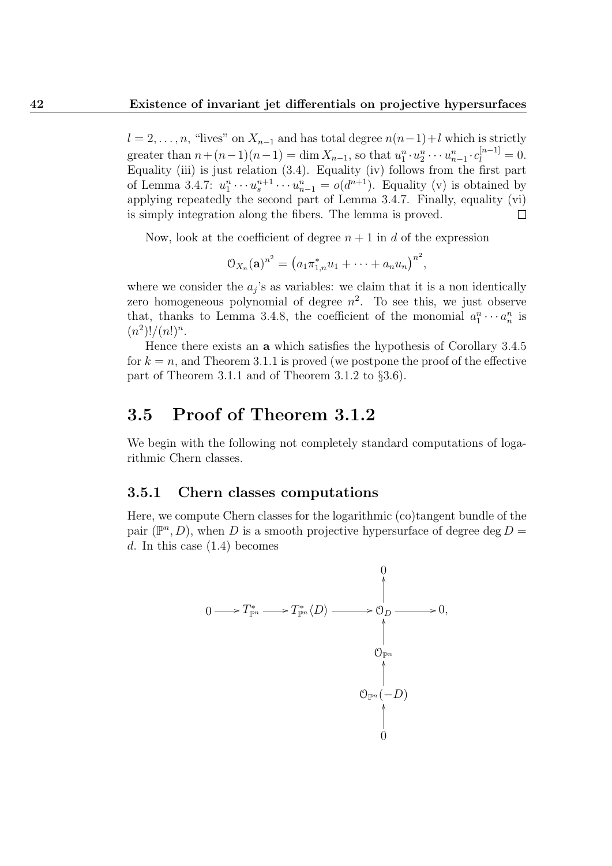$l = 2, \ldots, n$ , "lives" on  $X_{n-1}$  and has total degree  $n(n-1)+l$  which is strictly greater than  $n + (n-1)(n-1) = \dim X_{n-1}$ , so that  $u_1^n \cdot u_2^n \cdots u_{n-1}^n \cdot c_l^{[n-1]} = 0$ . Equality (iii) is just relation  $(3.4)$ . Equality (iv) follows from the first part of Lemma 3.4.7:  $u_1^n \cdots u_s^{n+1} \cdots u_{n-1}^n = o(d^{n+1})$ . Equality (v) is obtained by applying repeatedly the second part of Lemma 3.4.7. Finally, equality (vi) is simply integration along the fibers. The lemma is proved.  $\Box$ 

Now, look at the coefficient of degree  $n+1$  in d of the expression

$$
O_{X_n}(\mathbf{a})^{n^2} = (a_1 \pi_{1,n}^* u_1 + \cdots + a_n u_n)^{n^2},
$$

where we consider the  $a_j$ 's as variables: we claim that it is a non identically zero homogeneous polynomial of degree  $n^2$ . To see this, we just observe that, thanks to Lemma 3.4.8, the coefficient of the monomial  $a_1^n \cdots a_n^n$  is  $(n^2)!/(n!)^n$ .

Hence there exists an a which satisfies the hypothesis of Corollary 3.4.5 for  $k = n$ , and Theorem 3.1.1 is proved (we postpone the proof of the effective part of Theorem 3.1.1 and of Theorem 3.1.2 to §3.6).

## 3.5 Proof of Theorem 3.1.2

We begin with the following not completely standard computations of logarithmic Chern classes.

#### 3.5.1 Chern classes computations

Here, we compute Chern classes for the logarithmic (co)tangent bundle of the pair  $(\mathbb{P}^n, D)$ , when D is a smooth projective hypersurface of degree deg D = d. In this case  $(1.4)$  becomes

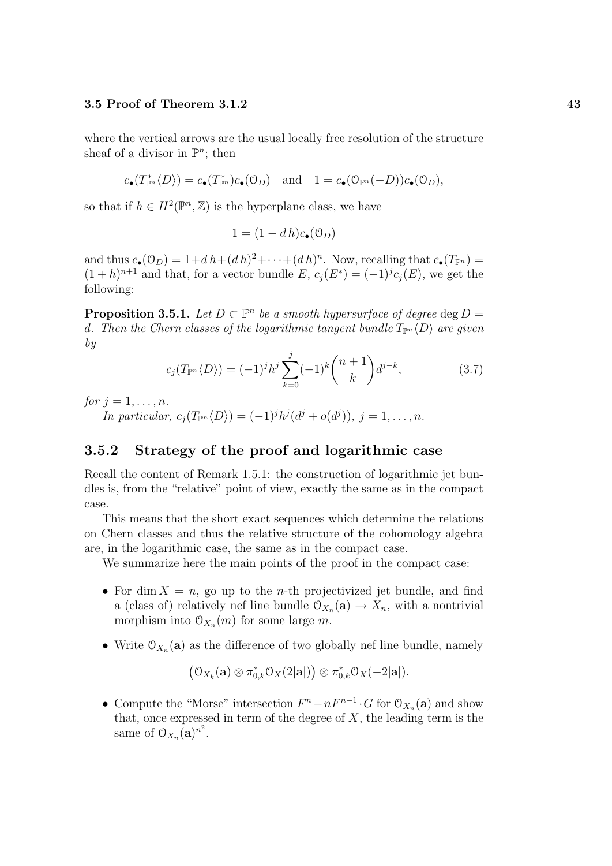where the vertical arrows are the usual locally free resolution of the structure sheaf of a divisor in  $\mathbb{P}^n$ ; then

$$
c_{\bullet}(T_{\mathbb{P}^n}^* \langle D \rangle) = c_{\bullet}(T_{\mathbb{P}^n}^*) c_{\bullet}(\mathcal{O}_D) \quad \text{and} \quad 1 = c_{\bullet}(\mathcal{O}_{\mathbb{P}^n}(-D)) c_{\bullet}(\mathcal{O}_D),
$$

so that if  $h \in H^2(\mathbb{P}^n, \mathbb{Z})$  is the hyperplane class, we have

$$
1 = (1 - d h)c_{\bullet}(\mathcal{O}_D)
$$

and thus  $c_{\bullet}(\mathcal{O}_D) = 1 + dh + (dh)^2 + \cdots + (dh)^n$ . Now, recalling that  $c_{\bullet}(T_{\mathbb{P}^n}) =$  $(1+h)^{n+1}$  and that, for a vector bundle E,  $c_j(E^*) = (-1)^j c_j(E)$ , we get the following:

**Proposition 3.5.1.** Let  $D \subset \mathbb{P}^n$  be a smooth hypersurface of degree deg  $D =$ d. Then the Chern classes of the logarithmic tangent bundle  $T_{\mathbb{P}^n}\langle D \rangle$  are given by

$$
c_j(T_{\mathbb{P}^n} \langle D \rangle) = (-1)^j h^j \sum_{k=0}^j (-1)^k \binom{n+1}{k} d^{j-k}, \tag{3.7}
$$

for  $j = 1, \ldots, n$ .

In particular,  $c_j(T_{\mathbb{P}^n}\langle D \rangle) = (-1)^j h^j(d^j + o(d^j)), j = 1, \ldots, n.$ 

#### 3.5.2 Strategy of the proof and logarithmic case

Recall the content of Remark 1.5.1: the construction of logarithmic jet bundles is, from the "relative" point of view, exactly the same as in the compact case.

This means that the short exact sequences which determine the relations on Chern classes and thus the relative structure of the cohomology algebra are, in the logarithmic case, the same as in the compact case.

We summarize here the main points of the proof in the compact case:

- For dim  $X = n$ , go up to the *n*-th projectivized jet bundle, and find a (class of) relatively nef line bundle  $\mathcal{O}_{X_n}(\mathbf{a}) \to X_n$ , with a nontrivial morphism into  $\mathcal{O}_{X_n}(m)$  for some large m.
- Write  $\mathfrak{O}_{X_n}(\mathbf{a})$  as the difference of two globally nef line bundle, namely

$$
\big(\mathfrak{O}_{X_k}(\mathbf{a})\otimes \pi_{0,k}^*\mathfrak{O}_X(2|\mathbf{a}|)\big)\otimes \pi_{0,k}^*\mathfrak{O}_X(-2|\mathbf{a}|).
$$

• Compute the "Morse" intersection  $F^n - nF^{n-1} \cdot G$  for  $\mathcal{O}_{X_n}(\mathbf{a})$  and show that, once expressed in term of the degree of  $X$ , the leading term is the same of  $\mathfrak{O}_{X_n}(\mathbf{a})^{n^2}$ .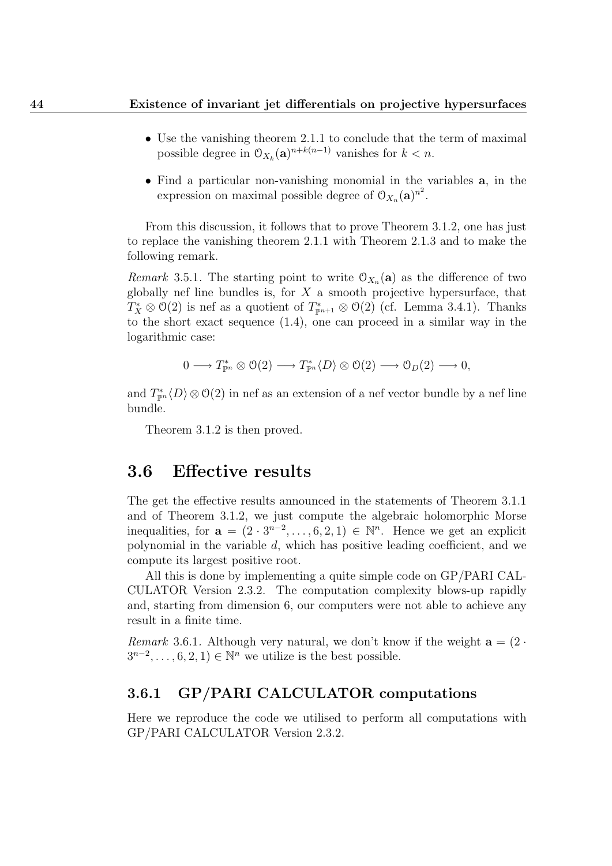- Use the vanishing theorem 2.1.1 to conclude that the term of maximal possible degree in  $\mathcal{O}_{X_k}(\mathbf{a})^{n+k(n-1)}$  vanishes for  $k < n$ .
- Find a particular non-vanishing monomial in the variables a, in the expression on maximal possible degree of  $\mathfrak{O}_{X_n}(\mathbf{a})^{n^2}$ .

From this discussion, it follows that to prove Theorem 3.1.2, one has just to replace the vanishing theorem 2.1.1 with Theorem 2.1.3 and to make the following remark.

Remark 3.5.1. The starting point to write  $\mathcal{O}_{X_n}(\mathbf{a})$  as the difference of two globally nef line bundles is, for  $X$  a smooth projective hypersurface, that  $T_X^* \otimes \mathcal{O}(2)$  is nef as a quotient of  $T_{\mathbb{P}^{n+1}}^* \otimes \mathcal{O}(2)$  (cf. Lemma 3.4.1). Thanks to the short exact sequence (1.4), one can proceed in a similar way in the logarithmic case:

$$
0 \longrightarrow T_{\mathbb{P}^n}^* \otimes \mathcal{O}(2) \longrightarrow T_{\mathbb{P}^n}^* \langle D \rangle \otimes \mathcal{O}(2) \longrightarrow \mathcal{O}_D(2) \longrightarrow 0,
$$

and  $T_{\mathbb{P}^n}^* \langle D \rangle \otimes \mathcal{O}(2)$  in nef as an extension of a nef vector bundle by a nef line bundle.

Theorem 3.1.2 is then proved.

### 3.6 Effective results

The get the effective results announced in the statements of Theorem 3.1.1 and of Theorem 3.1.2, we just compute the algebraic holomorphic Morse inequalities, for  $\mathbf{a} = (2 \cdot 3^{n-2}, \dots, 6, 2, 1) \in \mathbb{N}^n$ . Hence we get an explicit polynomial in the variable  $d$ , which has positive leading coefficient, and we compute its largest positive root.

All this is done by implementing a quite simple code on GP/PARI CAL-CULATOR Version 2.3.2. The computation complexity blows-up rapidly and, starting from dimension 6, our computers were not able to achieve any result in a finite time.

Remark 3.6.1. Although very natural, we don't know if the weight  $a = (2 \cdot$  $3^{n-2}, \ldots, 6, 2, 1) \in \mathbb{N}^n$  we utilize is the best possible.

#### 3.6.1 GP/PARI CALCULATOR computations

Here we reproduce the code we utilised to perform all computations with GP/PARI CALCULATOR Version 2.3.2.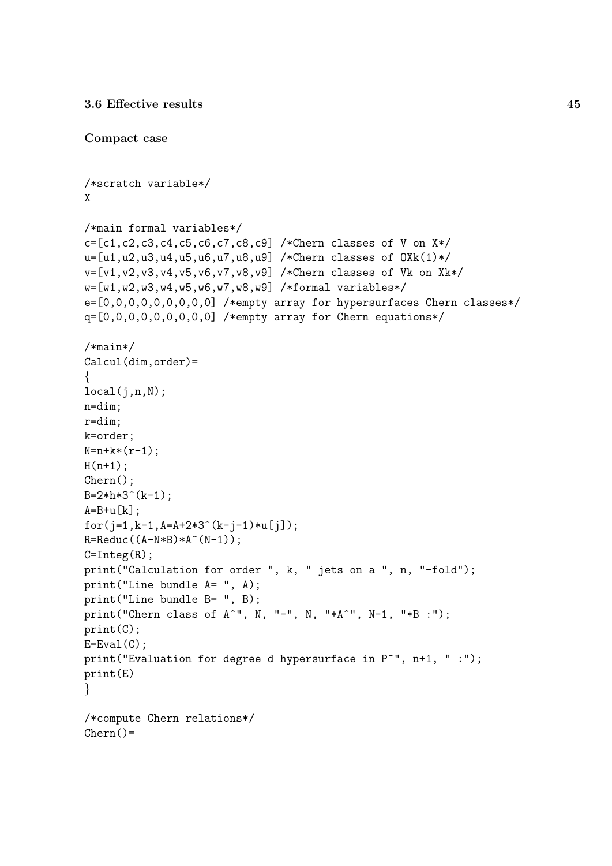Compact case

```
/*scratch variable*/
X
/*main formal variables*/
c=[c1,c2,c3,c4,c5,c6,c7,c8,c9] /*Chern classes of V on X*/
u=[u1,u2,u3,u4,u5,u6,u7,u8,u9] /*Chern classes of OXk(1)*/
v=[v1,v2,v3,v4,v5,v6,v7,v8,v9] /*Chern classes of Vk on Xk*/
w=[w1,w2,w3,w4,w5,w6,w7,w8,w9] /*formal variables*/
e=[0,0,0,0,0,0,0,0,0] /*empty array for hypersurfaces Chern classes*/
q=[0,0,0,0,0,0,0,0,0] /*empty array for Chern equations*/
/*main*/
Calcul(dim,order)=
{
local(i,n,N);n=dim;
r=dim;
k=order;
N=n+k*(r-1);H(n+1);Chern();
B=2*h*3^(k-1):
A=B+u[k];
for(j=1,k-1,A=A+2*3^(k-j-1)*u[j]);
R=Reduc((A-N*B)*A^*(N-1));C=Integ(R);print("Calculation for order ", k, " jets on a ", n, "-fold");
print("Line bundle A= ", A);
print("Line bundle B= ", B);
print("Chern class of A^", N, "-", N, "*A^", N-1, "*B :");
print(C);
E=Eval(C);print("Evaluation for degree d hypersurface in P<sup>^</sup>", n+1, " :");
print(E)
}
/*compute Chern relations*/
Chern() =
```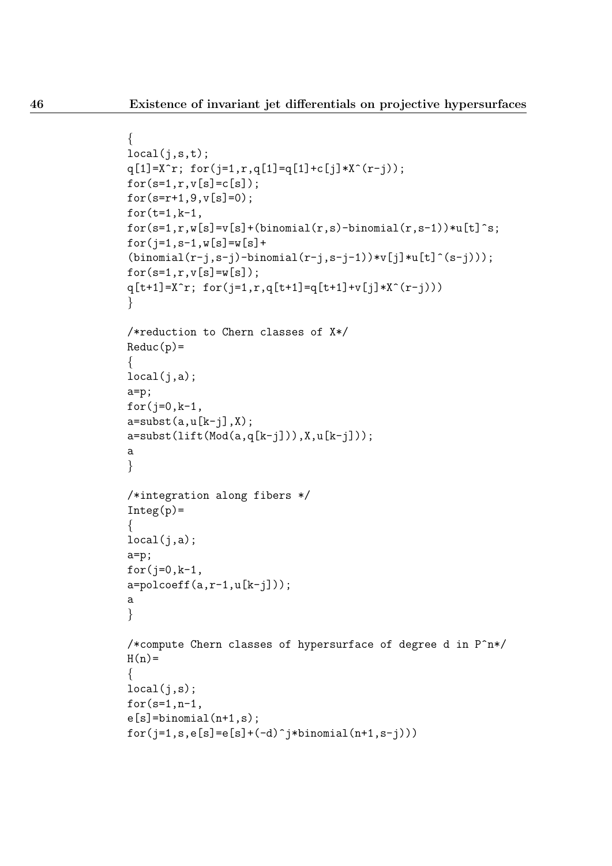```
local(j,s,t);q[1]=X^r; for(j=1,r,q[1]=q[1]+c[j]*X^(r-j));
for(s=1,r,v[s]=c[s]);
for(s=r+1,9,v[s]=0);
for(t=1,k-1,for(s=1,r,w[s]=v[s]+(binomial(r,s)-binomial(r,s-1))*u[t]s;
for(i=1,s-1,w[s]=w[s]+(binomial(r-j,s-j)-binomial(r-j,s-j-1))*v[j]*u[t]^(s-j)));
for(s=1,r,v[s]=w[s]);
q[t+1]=X^r; for(j=1,r,q[t+1]=q[t+1]+v[j]*X^r(r-j)))}
/*reduction to Chern classes of X*/
Reduc(p)=
{
local(i,a);a=p;
for(j=0, k-1,
a=subst(a,u[k-j],X);a=subst(lift(Mod(a,q[k-j])),X,u[k-j]));
a
}
/*integration along fibers */
Integ(p) ={
local(j,a);a=p;
for(j=0,k-1,a = polcoeff(a, r-1, u[k-j]));
a
}
/*compute Chern classes of hypersurface of degree d in P^n*/
H(n)=
{
local(j,s);for(s=1,n-1,e[s]=binomial(n+1,s);
for(j=1,s,e[s]=e[s]+(-d)^{1}+t-1)
```
 $\{$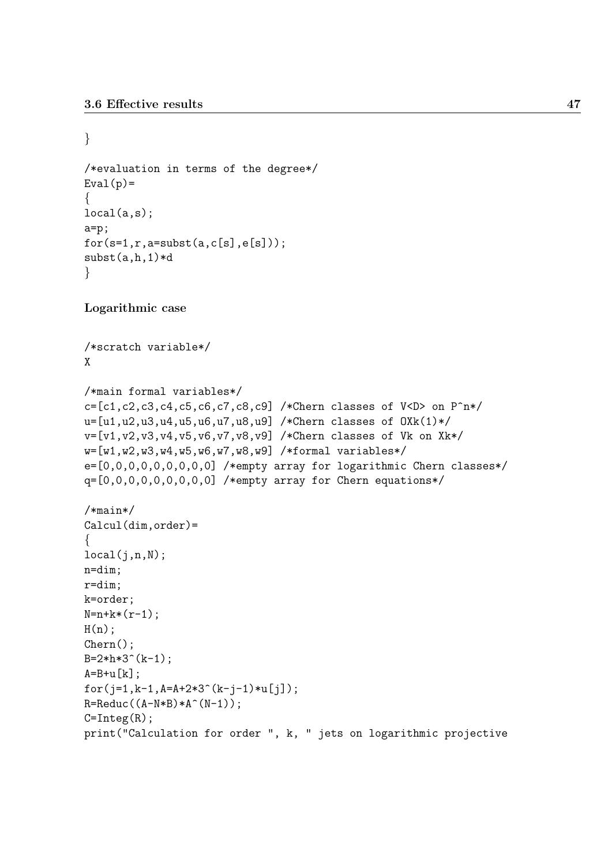```
}
/*evaluation in terms of the degree*/
Eval(p) =\left\{ \right.local(a,s);
a=p;
for(s=1,r,a=subst(a,c[s],e[s]));
subst(a,h,1)*d}
Logarithmic case
/*scratch variable*/
X
/*main formal variables*/
c=[c1,c2,c3,c4,c5,c6,c7,c8,c9] /*Chern classes of V<D> on P^n*/
u=[u1,u2,u3,u4,u5,u6,u7,u8,u9] /*Chern classes of OXk(1)*/
v=[v1,v2,v3,v4,v5,v6,v7,v8,v9] /*Chern classes of Vk on Xk*/
w=[w1,w2,w3,w4,w5,w6,w7,w8,w9] /*formal variables*/
e=[0,0,0,0,0,0,0,0,0] /*empty array for logarithmic Chern classes*/
q=[0,0,0,0,0,0,0,0,0] /*empty array for Chern equations*/
/*main*/
Calcul(dim,order)=
\{local(j,n,N);n=dim;
r=dim;
k=order;
N=n+k*(r-1);H(n);
Chern();
B=2*h*3^(k-1):
A=B+u[k];
for(j=1, k-1, A=A+2*3^(k-j-1)*u[j];R=Reduc((A-N*B)*A^*(N-1));C=Integ(R);print("Calculation for order ", k, " jets on logarithmic projective
```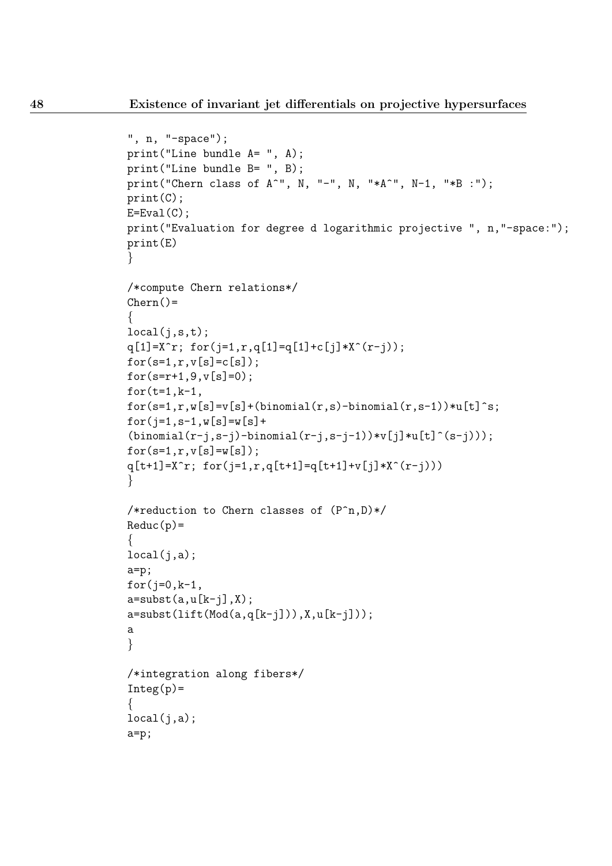```
", n, "-space");
print("Line bundle A= ", A);
print("Line bundle B= ", B);
print("Chern class of A^", N, "-", N, "*A^", N-1, "*B :");
print(C);
E=Eval(C);
print("Evaluation for degree d logarithmic projective ", n,"-space:");
print(E)
}
/*compute Chern relations*/
Chern() ={
local(j,s,t);q[1]=X^r; for(j=1,r,q[1]=q[1]+c[j]*X^r(r-j));for(s=1,r,v[s]=c[s]);
for(s=r+1,9,v[s]=0);for(t=1,k-1,for(s=1,r,w[s]=v[s]+(binomial(r,s)-binomial(r,s-1))*u[t]s;
for(j=1,s-1,w[s]=w[s]+(binomial(r-j,s-j)-binomial(r-j,s-j-1))*v[j]*u[t]^(s-j)));
for(s=1,r,v[s]=w[s]);
q[t+1]=X^r; for(j=1,r,q[t+1]=q[t+1]+v[j]*X^r(r-j)))}
/*reduction to Chern classes of (P^n,D)*/
Reduc(p) =\{local(j,a);a=p;
for(i=0,k-1,a=subst(a,u[k-j],X);a=subst(lift(Mod(a,q[k-j])),X,u[k-j]));
a
}
/*integration along fibers*/
Integ(p)={
local(i,a);a=p;
```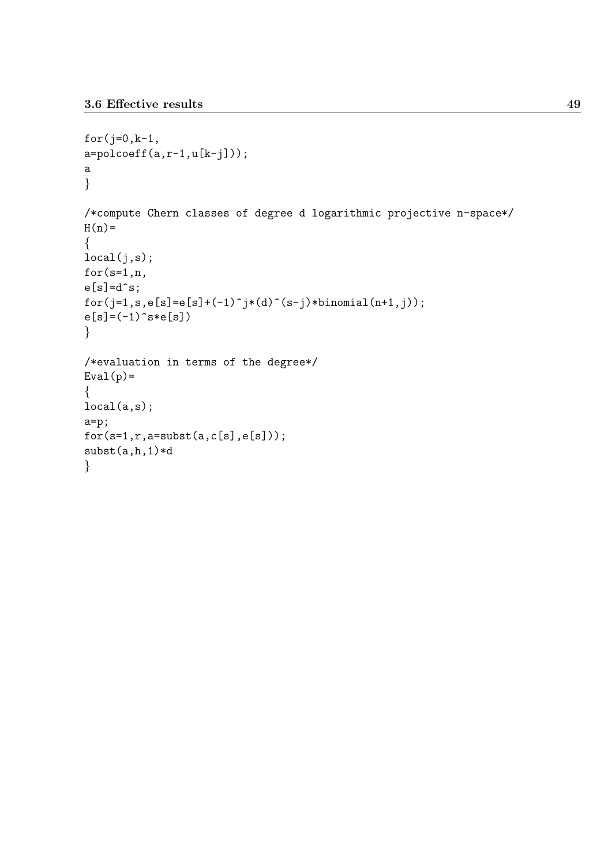```
for(j=0,k-1,a = polcoeff(a, r-1, u[k-j]));
a
}
/*compute Chern classes of degree d logarithmic projective n-space*/
H(n)=
{
local(j,s);
for(s=1,n,
e[s]=d^s;for(j=1,s,e[s]=e[s]+(-1)^{j*(d)^{(s-j)*binomial(n+1,j))};e[s] = (-1)^s s * e[s]}
/*evaluation in terms of the degree*/
Eval(p) ={
local(a,s);
a=p;
for(s=1,r,a=subst(a,c[s],e[s]));
subst(a,h,1)*d
}
```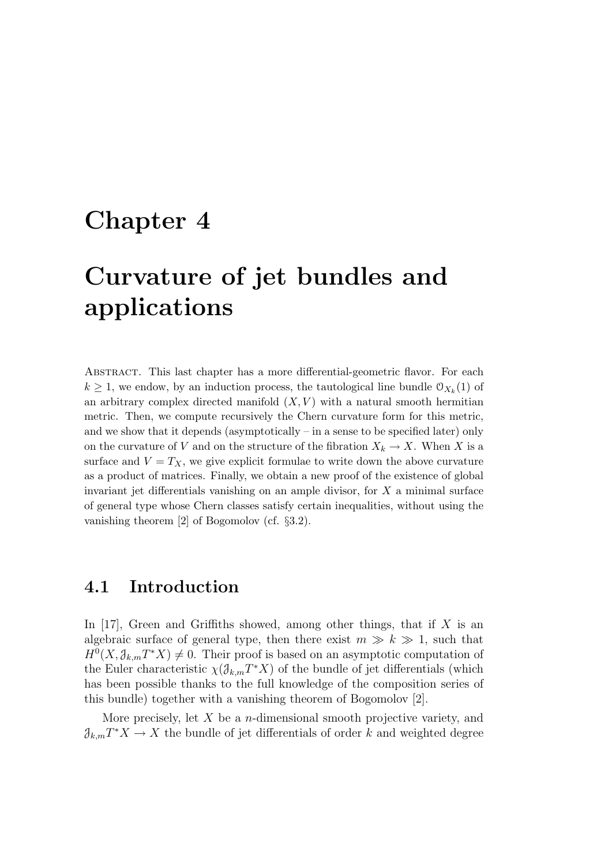## Chapter 4

# Curvature of jet bundles and applications

Abstract. This last chapter has a more differential-geometric flavor. For each  $k \geq 1$ , we endow, by an induction process, the tautological line bundle  $\mathcal{O}_{X_k}(1)$  of an arbitrary complex directed manifold  $(X, V)$  with a natural smooth hermitian metric. Then, we compute recursively the Chern curvature form for this metric, and we show that it depends (asymptotically – in a sense to be specified later) only on the curvature of V and on the structure of the fibration  $X_k \to X$ . When X is a surface and  $V = T_X$ , we give explicit formulae to write down the above curvature as a product of matrices. Finally, we obtain a new proof of the existence of global invariant jet differentials vanishing on an ample divisor, for  $X$  a minimal surface of general type whose Chern classes satisfy certain inequalities, without using the vanishing theorem [2] of Bogomolov (cf. §3.2).

## 4.1 Introduction

In  $[17]$ , Green and Griffiths showed, among other things, that if X is an algebraic surface of general type, then there exist  $m \gg k \gg 1$ , such that  $H^0(X, \mathcal{J}_{k,m}T^*X) \neq 0$ . Their proof is based on an asymptotic computation of the Euler characteristic  $\chi(\mathcal{J}_{k,m}T^*X)$  of the bundle of jet differentials (which has been possible thanks to the full knowledge of the composition series of this bundle) together with a vanishing theorem of Bogomolov [2].

More precisely, let  $X$  be a *n*-dimensional smooth projective variety, and  $\partial_{k,m}T^*X \to X$  the bundle of jet differentials of order k and weighted degree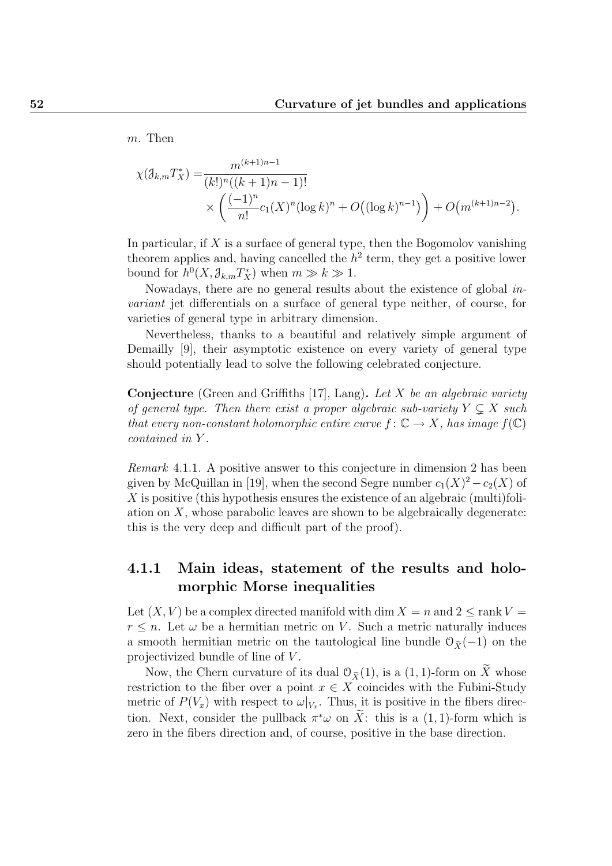m. Then

$$
\chi(\mathcal{J}_{k,m}T_X^*) = \frac{m^{(k+1)n-1}}{(k!)^n((k+1)n-1)!} \times \left(\frac{(-1)^n}{n!}c_1(X)^n(\log k)^n + O((\log k)^{n-1})\right) + O(m^{(k+1)n-2}).
$$

In particular, if  $X$  is a surface of general type, then the Bogomolov vanishing theorem applies and, having cancelled the  $h^2$  term, they get a positive lower bound for  $h^0(X, \mathcal{J}_{k,m}T_X^*)$  when  $m \gg k \gg 1$ .

Nowadays, there are no general results about the existence of global invariant jet differentials on a surface of general type neither, of course, for varieties of general type in arbitrary dimension.

Nevertheless, thanks to a beautiful and relatively simple argument of Demailly [9], their asymptotic existence on every variety of general type should potentially lead to solve the following celebrated conjecture.

**Conjecture** (Green and Griffiths [17], Lang). Let X be an algebraic variety of general type. Then there exist a proper algebraic sub-variety  $Y \subsetneq X$  such that every non-constant holomorphic entire curve  $f: \mathbb{C} \to X$ , has image  $f(\mathbb{C})$ contained in Y .

Remark 4.1.1. A positive answer to this conjecture in dimension 2 has been given by McQuillan in [19], when the second Segre number  $c_1(X)^2 - c_2(X)$  of  $X$  is positive (this hypothesis ensures the existence of an algebraic (multi)foliation on  $X$ , whose parabolic leaves are shown to be algebraically degenerate: this is the very deep and difficult part of the proof).

### 4.1.1 Main ideas, statement of the results and holomorphic Morse inequalities

Let  $(X, V)$  be a complex directed manifold with dim  $X = n$  and  $2 \leq \text{rank } V =$  $r \leq n$ . Let  $\omega$  be a hermitian metric on V. Such a metric naturally induces a smooth hermitian metric on the tautological line bundle  $\mathcal{O}_{\tilde{X}}(-1)$  on the projectivized bundle of line of V .

Now, the Chern curvature of its dual  $\mathcal{O}_{\widetilde{X}}(1)$ , is a  $(1, 1)$ -form on  $\widetilde{X}$  whose restriction to the fiber over a point  $x \in X$  coincides with the Fubini-Study metric of  $P(V_x)$  with respect to  $\omega|_{V_x}$ . Thus, it is positive in the fibers direction. Next, consider the pullback  $\pi^*\omega$  on  $\tilde{X}$ : this is a (1, 1)-form which is zero in the fibers direction and, of course, positive in the base direction.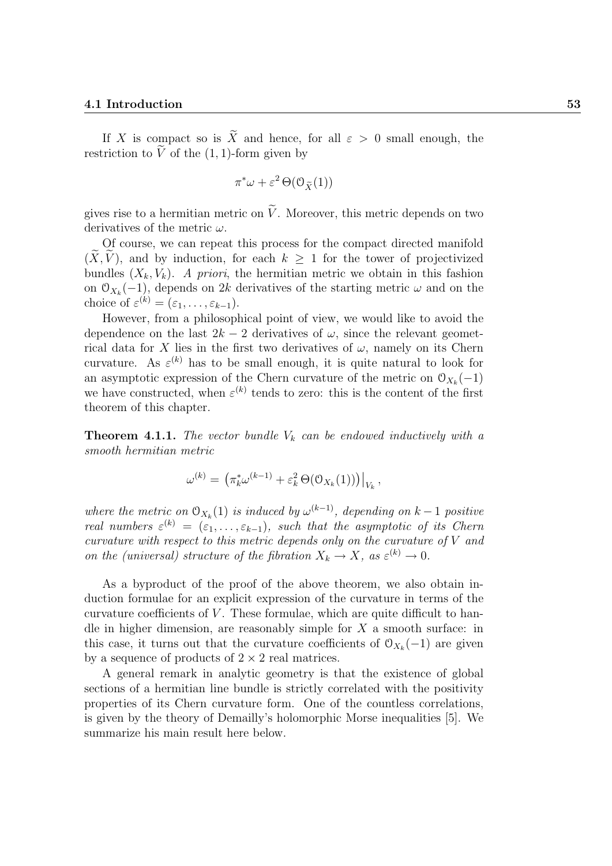#### 4.1 Introduction 53

If X is compact so is  $\widetilde{X}$  and hence, for all  $\varepsilon > 0$  small enough, the restriction to  $\tilde{V}$  of the (1, 1)-form given by

$$
\pi^*\omega + \varepsilon^2 \Theta(\mathcal{O}_{\widetilde{X}}(1))
$$

gives rise to a hermitian metric on  $\tilde{V}$ . Moreover, this metric depends on two derivatives of the metric  $\omega$ .

Of course, we can repeat this process for the compact directed manifold  $(X, V)$ , and by induction, for each  $k \geq 1$  for the tower of projectivized bundles  $(X_k, V_k)$ . A priori, the hermitian metric we obtain in this fashion on  $\mathcal{O}_{X_k}(-1)$ , depends on 2k derivatives of the starting metric  $\omega$  and on the choice of  $\varepsilon^{(k)} = (\varepsilon_1, \ldots, \varepsilon_{k-1}).$ 

However, from a philosophical point of view, we would like to avoid the dependence on the last  $2k - 2$  derivatives of  $\omega$ , since the relevant geometrical data for X lies in the first two derivatives of  $\omega$ , namely on its Chern curvature. As  $\varepsilon^{(k)}$  has to be small enough, it is quite natural to look for an asymptotic expression of the Chern curvature of the metric on  $\mathcal{O}_{X_k}(-1)$ we have constructed, when  $\varepsilon^{(k)}$  tends to zero: this is the content of the first theorem of this chapter.

**Theorem 4.1.1.** The vector bundle  $V_k$  can be endowed inductively with a smooth hermitian metric

$$
\omega^{(k)} = \left( \pi_k^* \omega^{(k-1)} + \varepsilon_k^2 \Theta(\mathcal{O}_{X_k}(1)) \right) \big|_{V_k},
$$

where the metric on  $\mathcal{O}_{X_k}(1)$  is induced by  $\omega^{(k-1)}$ , depending on  $k-1$  positive real numbers  $\varepsilon^{(k)} = (\varepsilon_1, \ldots, \varepsilon_{k-1}),$  such that the asymptotic of its Chern curvature with respect to this metric depends only on the curvature of V and on the (universal) structure of the fibration  $X_k \to X$ , as  $\varepsilon^{(k)} \to 0$ .

As a byproduct of the proof of the above theorem, we also obtain induction formulae for an explicit expression of the curvature in terms of the curvature coefficients of  $V$ . These formulae, which are quite difficult to handle in higher dimension, are reasonably simple for  $X$  a smooth surface: in this case, it turns out that the curvature coefficients of  $\mathcal{O}_{X_k}(-1)$  are given by a sequence of products of  $2 \times 2$  real matrices.

A general remark in analytic geometry is that the existence of global sections of a hermitian line bundle is strictly correlated with the positivity properties of its Chern curvature form. One of the countless correlations, is given by the theory of Demailly's holomorphic Morse inequalities [5]. We summarize his main result here below.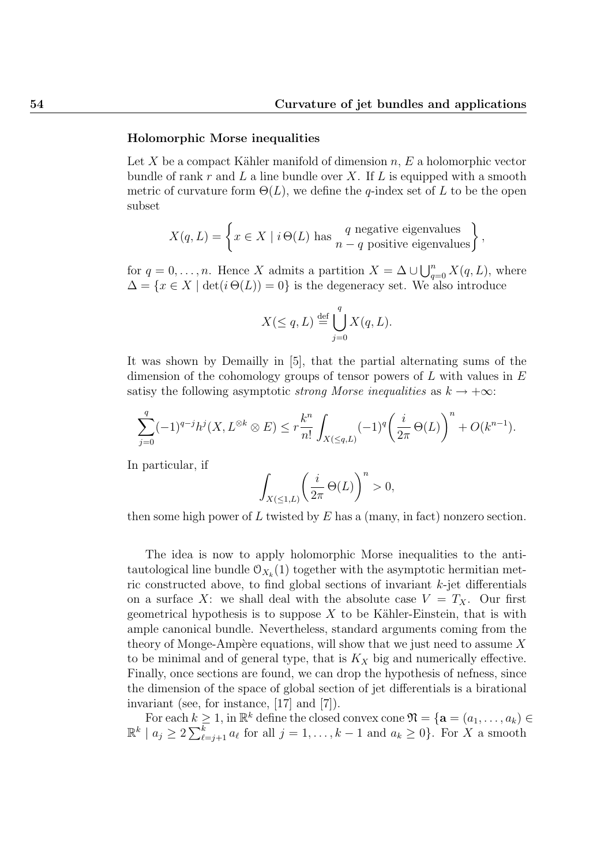#### Holomorphic Morse inequalities

Let X be a compact Kähler manifold of dimension  $n, E$  a holomorphic vector bundle of rank  $r$  and  $L$  a line bundle over  $X$ . If  $L$  is equipped with a smooth metric of curvature form  $\Theta(L)$ , we define the q-index set of L to be the open subset

$$
X(q, L) = \left\{ x \in X \mid i \Theta(L) \text{ has } \begin{cases} q \text{ negative eigenvalues} \\ n - q \text{ positive eigenvalues} \end{cases} \right\},\
$$

for  $q = 0, \ldots, n$ . Hence X admits a partition  $X = \Delta \cup \bigcup_{q=0}^{n} X(q, L)$ , where  $\Delta = \{x \in X \mid \det(i \Theta(L)) = 0\}$  is the degeneracy set. We also introduce

$$
X(\leq q, L) \stackrel{\text{def}}{=} \bigcup_{j=0}^{q} X(q, L).
$$

It was shown by Demailly in [5], that the partial alternating sums of the dimension of the cohomology groups of tensor powers of  $L$  with values in  $E$ satisy the following asymptotic *strong Morse inequalities* as  $k \to +\infty$ :

$$
\sum_{j=0}^{q} (-1)^{q-j} h^j(X, L^{\otimes k} \otimes E) \le r \frac{k^n}{n!} \int_{X(\le q, L)} (-1)^q \left(\frac{i}{2\pi} \Theta(L)\right)^n + O(k^{n-1}).
$$

In particular, if

$$
\int_{X(\leq 1,L)} \left(\frac{i}{2\pi} \,\Theta(L)\right)^n > 0,
$$

then some high power of L twisted by  $E$  has a (many, in fact) nonzero section.

The idea is now to apply holomorphic Morse inequalities to the antitautological line bundle  $\mathcal{O}_{X_k}(1)$  together with the asymptotic hermitian metric constructed above, to find global sections of invariant  $k$ -jet differentials on a surface X: we shall deal with the absolute case  $V = T_X$ . Our first geometrical hypothesis is to suppose  $X$  to be Kähler-Einstein, that is with ample canonical bundle. Nevertheless, standard arguments coming from the theory of Monge-Ampère equations, will show that we just need to assume  $X$ to be minimal and of general type, that is  $K_X$  big and numerically effective. Finally, once sections are found, we can drop the hypothesis of nefness, since the dimension of the space of global section of jet differentials is a birational invariant (see, for instance, [17] and [7]).

For each  $k \geq 1$ , in  $\mathbb{R}^k$  define the closed convex cone  $\mathfrak{N} = {\mathbf{a} = (a_1, \ldots, a_k) \in \mathbb{R}^k}$  $\mathbb{R}^k \mid a_j \geq 2 \sum_{\ell=j+1}^k a_\ell$  for all  $j=1,\ldots,k-1$  and  $a_k \geq 0$ . For X a smooth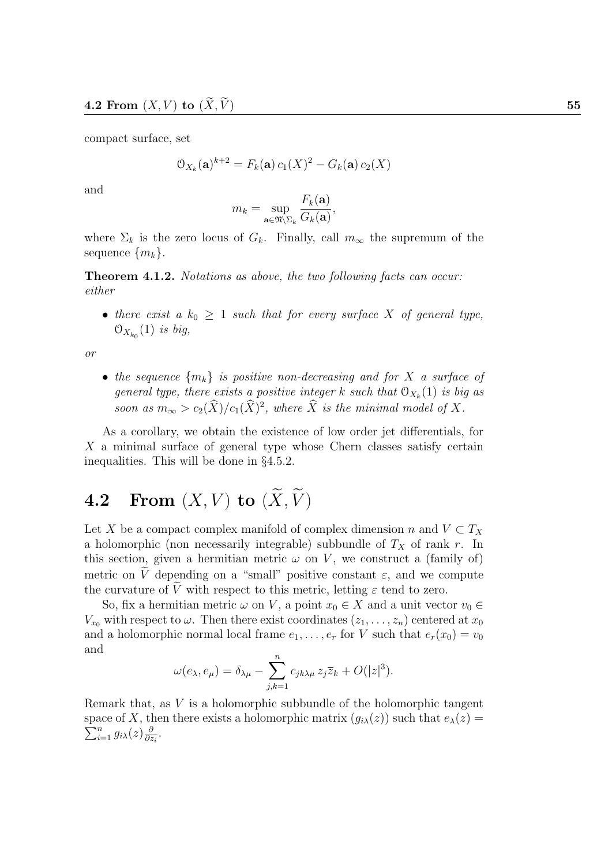compact surface, set

$$
\mathcal{O}_{X_k}(\mathbf{a})^{k+2} = F_k(\mathbf{a}) c_1(X)^2 - G_k(\mathbf{a}) c_2(X)
$$

and

$$
m_k = \sup_{\mathbf{a}\in\mathfrak{N}\backslash\Sigma_k} \frac{F_k(\mathbf{a})}{G_k(\mathbf{a})},
$$

where  $\Sigma_k$  is the zero locus of  $G_k$ . Finally, call  $m_{\infty}$  the supremum of the sequence  $\{m_k\}$ .

Theorem 4.1.2. Notations as above, the two following facts can occur: either

• there exist a  $k_0 \geq 1$  such that for every surface X of general type,  $\mathfrak{O}_{X_{k_0}}(1)$  is big,

or

• the sequence  $\{m_k\}$  is positive non-decreasing and for X a surface of general type, there exists a positive integer k such that  $\mathcal{O}_{X_k}(1)$  is big as soon as  $m_{\infty} > c_2(\hat{X})/c_1(\hat{X})^2$ , where  $\hat{X}$  is the minimal model of X.

As a corollary, we obtain the existence of low order jet differentials, for X a minimal surface of general type whose Chern classes satisfy certain inequalities. This will be done in §4.5.2.

## 4.2 From  $(X, V)$  to  $(\widetilde{X}, \widetilde{V})$

Let X be a compact complex manifold of complex dimension n and  $V \subset T_X$ a holomorphic (non necessarily integrable) subbundle of  $T_X$  of rank r. In this section, given a hermitian metric  $\omega$  on V, we construct a (family of) metric on  $\tilde{V}$  depending on a "small" positive constant  $\varepsilon$ , and we compute the curvature of  $\tilde{V}$  with respect to this metric, letting  $\varepsilon$  tend to zero.

So, fix a hermitian metric  $\omega$  on V, a point  $x_0 \in X$  and a unit vector  $v_0 \in$  $V_{x_0}$  with respect to  $\omega$ . Then there exist coordinates  $(z_1, \ldots, z_n)$  centered at  $x_0$ and a holomorphic normal local frame  $e_1, \ldots, e_r$  for V such that  $e_r(x_0) = v_0$ and

$$
\omega(e_{\lambda}, e_{\mu}) = \delta_{\lambda\mu} - \sum_{j,k=1}^{n} c_{jk\lambda\mu} z_j \overline{z}_k + O(|z|^3).
$$

Remark that, as V is a holomorphic subbundle of the holomorphic tangent  $\sum_{i=1}^n g_{i\lambda}(z) \frac{\partial}{\partial z}$ space of X, then there exists a holomorphic matrix  $(g_{i\lambda}(z))$  such that  $e_{\lambda}(z)$  =  $\frac{\partial}{\partial z_i}$ .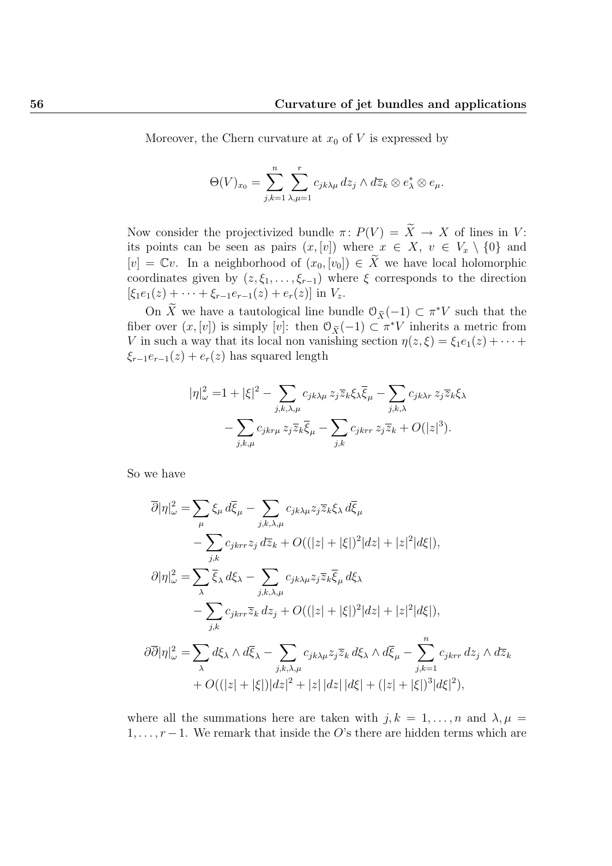Moreover, the Chern curvature at  $x_0$  of V is expressed by

$$
\Theta(V)_{x_0} = \sum_{j,k=1}^n \sum_{\lambda,\mu=1}^r c_{jk\lambda\mu} dz_j \wedge d\overline{z}_k \otimes e_\lambda^* \otimes e_\mu.
$$

Now consider the projectivized bundle  $\pi: P(V) = \widetilde{X} \to X$  of lines in V: its points can be seen as pairs  $(x,[v])$  where  $x \in X$ ,  $v \in V_x \setminus \{0\}$  and  $[v] = \mathbb{C}v$ . In a neighborhood of  $(x_0, [v_0]) \in \widetilde{X}$  we have local holomorphic coordinates given by  $(z, \xi_1, \ldots, \xi_{r-1})$  where  $\xi$  corresponds to the direction  $[\xi_1e_1(z) + \cdots + \xi_{r-1}e_{r-1}(z) + e_r(z)]$  in  $V_z$ .

On X we have a tautological line bundle  $\mathcal{O}_{\tilde{X}}(-1) \subset \pi^*V$  such that the fiber over  $(x, [v])$  is simply  $[v]$ : then  $\mathcal{O}_{\tilde{X}}(-1) \subset \pi^*V$  inherits a metric from V in such a way that its local non vanishing section  $\eta(z,\xi) = \xi_1 e_1(z) + \cdots$  $\xi_{r-1}e_{r-1}(z) + e_r(z)$  has squared length

$$
|\eta|_{\omega}^{2} = 1 + |\xi|^{2} - \sum_{j,k,\lambda,\mu} c_{jk\lambda\mu} z_{j} \overline{z}_{k} \xi_{\lambda} \overline{\xi}_{\mu} - \sum_{j,k,\lambda} c_{jk\lambda r} z_{j} \overline{z}_{k} \xi_{\lambda}
$$

$$
- \sum_{j,k,\mu} c_{jkr\mu} z_{j} \overline{z}_{k} \overline{\xi}_{\mu} - \sum_{j,k} c_{jkr\tau} z_{j} \overline{z}_{k} + O(|z|^{3}).
$$

So we have

$$
\overline{\partial}|\eta|_{\omega}^{2} = \sum_{\mu} \xi_{\mu} d\overline{\xi}_{\mu} - \sum_{j,k,\lambda,\mu} c_{jk\lambda\mu} z_{j} \overline{z}_{k} \xi_{\lambda} d\overline{\xi}_{\mu} \n- \sum_{j,k} c_{jkrr} z_{j} d\overline{z}_{k} + O((|z| + |\xi|)^{2} |dz| + |z|^{2} |d\xi|), \n\partial|\eta|_{\omega}^{2} = \sum_{j,k} \overline{\xi}_{\lambda} d\xi_{\lambda} - \sum_{j,k,\lambda,\mu} c_{jk\lambda\mu} z_{j} \overline{z}_{k} \overline{\xi}_{\mu} d\xi_{\lambda} \n- \sum_{j,k} c_{jkrr} \overline{z}_{k} dz_{j} + O((|z| + |\xi|)^{2} |dz| + |z|^{2} |d\xi|), \n\partial\overline{\partial}|\eta|_{\omega}^{2} = \sum_{\lambda} d\xi_{\lambda} \wedge d\overline{\xi}_{\lambda} - \sum_{j,k,\lambda,\mu} c_{jk\lambda\mu} z_{j} \overline{z}_{k} d\xi_{\lambda} \wedge d\overline{\xi}_{\mu} - \sum_{j,k=1}^{n} c_{jkrr} dz_{j} \wedge d\overline{z}_{k} \n+ O((|z| + |\xi|)|dz|^{2} + |z| |dz| |d\xi| + (|z| + |\xi|)^{3} |d\xi|^{2}),
$$

where all the summations here are taken with  $j, k = 1, \ldots, n$  and  $\lambda, \mu =$  $1, \ldots, r-1$ . We remark that inside the O's there are hidden terms which are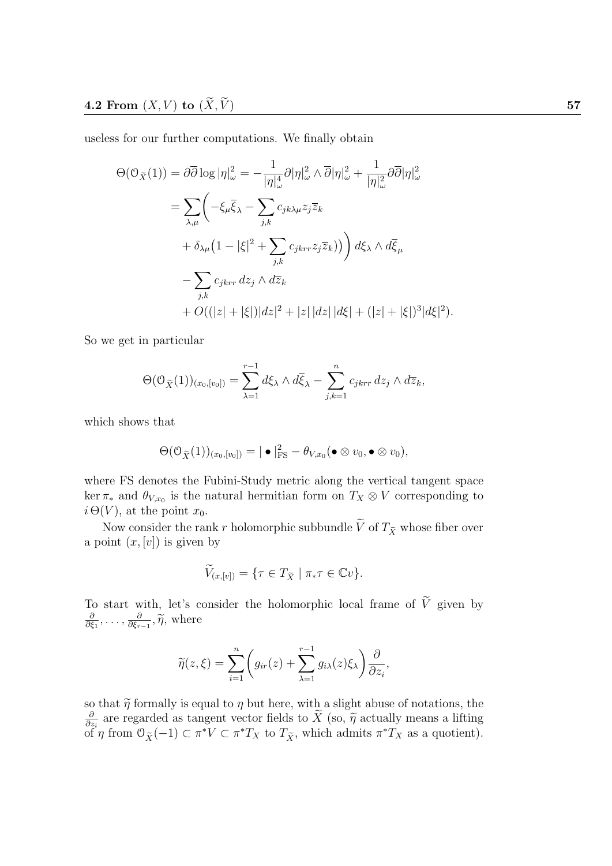useless for our further computations. We finally obtain

$$
\Theta(\mathcal{O}_{\widetilde{X}}(1)) = \partial \overline{\partial} \log |\eta|_{\omega}^{2} = -\frac{1}{|\eta|_{\omega}^{4}} \partial |\eta|_{\omega}^{2} \wedge \overline{\partial} |\eta|_{\omega}^{2} + \frac{1}{|\eta|_{\omega}^{2}} \partial \overline{\partial} |\eta|_{\omega}^{2}
$$

$$
= \sum_{\lambda,\mu} \left( -\xi_{\mu} \overline{\xi}_{\lambda} - \sum_{j,k} c_{jk\lambda\mu} z_{j} \overline{z}_{k} + \delta_{\lambda\mu} (1 - |\xi|^{2} + \sum_{j,k} c_{jkrr} z_{j} \overline{z}_{k}) \right) d\xi_{\lambda} \wedge d\overline{\xi}_{\mu}
$$

$$
- \sum_{j,k} c_{jkrr} dz_{j} \wedge d\overline{z}_{k}
$$

$$
+ O((|z| + |\xi|)|dz|^{2} + |z| |dz| |d\xi| + (|z| + |\xi|)^{3} |d\xi|^{2}).
$$

So we get in particular

$$
\Theta(\mathcal{O}_{\widetilde{X}}(1))_{(x_0,[v_0])}=\sum_{\lambda=1}^{r-1}d\xi_{\lambda}\wedge d\overline{\xi}_{\lambda}-\sum_{j,k=1}^{n}c_{jkrr}\,dz_j\wedge d\overline{z}_k,
$$

which shows that

$$
\Theta(\mathcal{O}_{\widetilde{X}}(1))_{(x_0,[v_0])} = |\bullet|^2_{\text{FS}} - \theta_{V,x_0}(\bullet \otimes v_0, \bullet \otimes v_0),
$$

where FS denotes the Fubini-Study metric along the vertical tangent space  $\ker \pi_*$  and  $\theta_{V,x_0}$  is the natural hermitian form on  $T_X \otimes V$  corresponding to  $i \Theta(V)$ , at the point  $x_0$ .

Now consider the rank r holomorphic subbundle  $\widetilde{V}$  of  $T_{\widetilde{X}}$  whose fiber over a point  $(x,[v])$  is given by

$$
\widetilde{V}_{(x,[v])} = \{ \tau \in T_{\widetilde{X}} \mid \pi_* \tau \in \mathbb{C}v \}.
$$

To start with, let's consider the holomorphic local frame of  $\widetilde{V}$  given by ∂  $\frac{\partial}{\partial \xi_1},\ldots,\frac{\partial}{\partial \xi_r}$  $\frac{\partial}{\partial \xi_{r-1}}, \widetilde{\eta}$ , where

$$
\widetilde{\eta}(z,\xi) = \sum_{i=1}^{n} \left( g_{ir}(z) + \sum_{\lambda=1}^{r-1} g_{i\lambda}(z)\xi_{\lambda} \right) \frac{\partial}{\partial z_i},
$$

so that  $\tilde{\eta}$  formally is equal to  $\eta$  but here, with a slight abuse of notations, the  $\tilde{\theta}$  are regarded as tangent vector fields to  $\tilde{X}$  (so  $\tilde{\theta}$  actually means a lifting  $\frac{\partial}{\partial z_i}$  are regarded as tangent vector fields to X (so,  $\tilde{\eta}$  actually means a lifting  $\frac{\partial}{\partial z_i}$  of rom  $(0, (1) \subset \pi^* V \subset \pi^* T_{\text{ext}}$  to  $T_{\text{ext}}$  which admits  $\pi^* T_{\text{ext}}$  as a quotient)  $\tilde{\text{of}}^*$ η from  $\mathcal{O}_{\tilde{X}}(-1) \subset \pi^*V \subset \pi^*T_X$  to  $T_{\tilde{X}}$ , which admits  $\pi^*T_X$  as a quotient).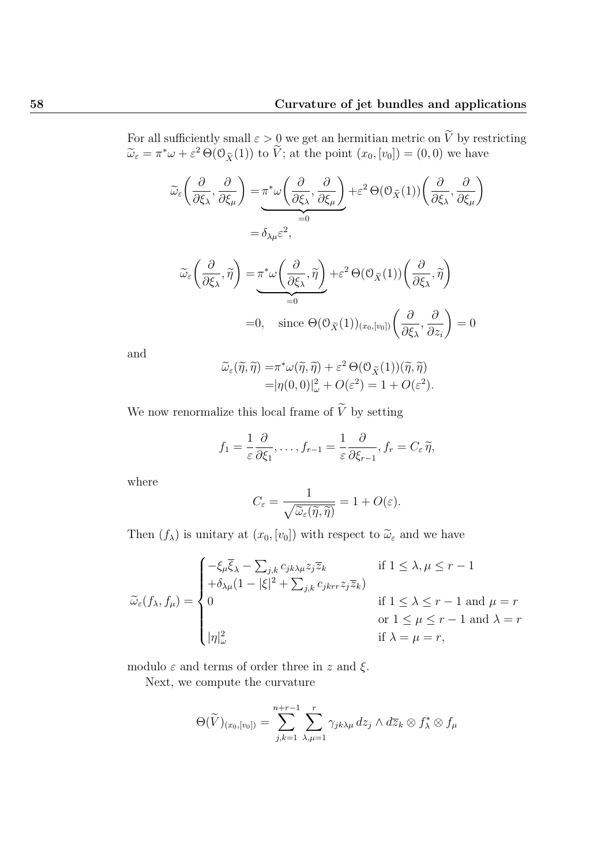For all sufficiently small  $\varepsilon > 0$  we get an hermitian metric on V by restricting  $\widetilde{\omega}_{\varepsilon} = \pi^* \omega + \varepsilon^2 \Theta(\mathcal{O}_{\widetilde{X}}(1))$  to  $\widetilde{V}$ ; at the point  $(x_0, [v_0]) = (0, 0)$  we have

$$
\widetilde{\omega}_{\varepsilon} \left( \frac{\partial}{\partial \xi_{\lambda}}, \frac{\partial}{\partial \xi_{\mu}} \right) = \underbrace{\pi^* \omega \left( \frac{\partial}{\partial \xi_{\lambda}}, \frac{\partial}{\partial \xi_{\mu}} \right)}_{=0} + \varepsilon^2 \Theta(\mathcal{O}_{\widetilde{X}}(1)) \left( \frac{\partial}{\partial \xi_{\lambda}}, \frac{\partial}{\partial \xi_{\mu}} \right)
$$
\n
$$
= \delta_{\lambda \mu} \varepsilon^2,
$$

$$
\widetilde{\omega}_{\varepsilon}\left(\frac{\partial}{\partial \xi_{\lambda}}, \widetilde{\eta}\right) = \underbrace{\pi^* \omega\left(\frac{\partial}{\partial \xi_{\lambda}}, \widetilde{\eta}\right)}_{=0} + \varepsilon^2 \Theta(\mathcal{O}_{\widetilde{X}}(1))\left(\frac{\partial}{\partial \xi_{\lambda}}, \widetilde{\eta}\right)
$$
\n
$$
= 0, \quad \text{since } \Theta(\mathcal{O}_{\widetilde{X}}(1))_{(x_0, [v_0])}\left(\frac{\partial}{\partial \xi_{\lambda}}, \frac{\partial}{\partial z_i}\right) = 0
$$

and

$$
\widetilde{\omega}_{\varepsilon}(\widetilde{\eta},\widetilde{\eta}) = \pi^* \omega(\widetilde{\eta},\widetilde{\eta}) + \varepsilon^2 \Theta(\mathcal{O}_{\widetilde{X}}(1))(\widetilde{\eta},\widetilde{\eta}) \n= |\eta(0,0)|_{\omega}^2 + O(\varepsilon^2) = 1 + O(\varepsilon^2).
$$

We now renormalize this local frame of  $\widetilde{V}$  by setting

$$
f_1 = \frac{1}{\varepsilon} \frac{\partial}{\partial \xi_1}, \dots, f_{r-1} = \frac{1}{\varepsilon} \frac{\partial}{\partial \xi_{r-1}}, f_r = C_{\varepsilon} \widetilde{\eta},
$$

where

$$
C_{\varepsilon} = \frac{1}{\sqrt{\widetilde{\omega}_{\varepsilon}(\widetilde{\eta},\widetilde{\eta})}} = 1 + O(\varepsilon).
$$

Then  $(f_{\lambda})$  is unitary at  $(x_0, [v_0])$  with respect to  $\tilde{\omega}_{\varepsilon}$  and we have

$$
\widetilde{\omega}_{\varepsilon}(f_{\lambda}, f_{\mu}) = \begin{cases}\n-\xi_{\mu}\overline{\xi}_{\lambda} - \sum_{j,k} c_{jk\lambda\mu} z_{j}\overline{z}_{k} & \text{if } 1 \leq \lambda, \mu \leq r - 1 \\
+\delta_{\lambda\mu}(1 - |\xi|^{2} + \sum_{j,k} c_{jkrr} z_{j}\overline{z}_{k}) & \text{if } 1 \leq \lambda \leq r - 1 \text{ and } \mu = r \\
0 & \text{if } 1 \leq \mu \leq r - 1 \text{ and } \lambda = r \\
|\eta|_{\omega}^{2} & \text{if } \lambda = \mu = r,\n\end{cases}
$$

modulo  $\varepsilon$  and terms of order three in z and  $\xi$ .

Next, we compute the curvature

$$
\Theta(\widetilde{V})_{(x_0,[v_0])} = \sum_{j,k=1}^{n+r-1} \sum_{\lambda,\mu=1}^r \gamma_{jk\lambda\mu} dz_j \wedge d\overline{z}_k \otimes f_\lambda^* \otimes f_\mu
$$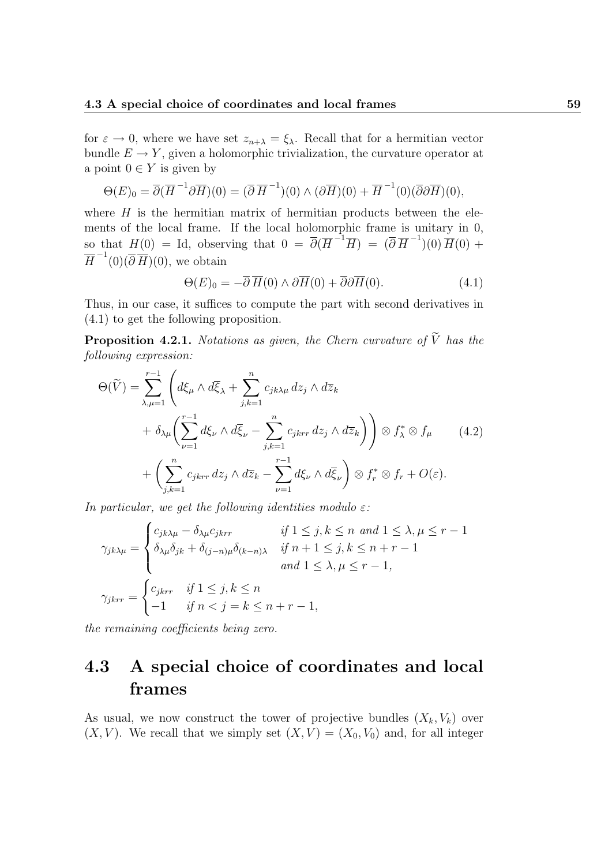for  $\varepsilon \to 0$ , where we have set  $z_{n+\lambda} = \xi_{\lambda}$ . Recall that for a hermitian vector bundle  $E \to Y$ , given a holomorphic trivialization, the curvature operator at a point  $0 \in Y$  is given by

$$
\Theta(E)_0 = \overline{\partial}(\overline{H}^{-1}\partial\overline{H})(0) = (\overline{\partial}\overline{H}^{-1})(0) \wedge (\partial\overline{H})(0) + \overline{H}^{-1}(0)(\overline{\partial}\partial\overline{H})(0),
$$

where  $H$  is the hermitian matrix of hermitian products between the elements of the local frame. If the local holomorphic frame is unitary in 0, so that  $H(0) = \text{Id}$ , observing that  $0 = \overline{\partial}(\overline{H}^{-1}\overline{H}) = (\overline{\partial}\overline{H}^{-1})(0)\overline{H}(0) +$  $\overline{H}^{-1}(0) (\overline{\partial} \overline{H})(0)$ , we obtain

$$
\Theta(E)_0 = -\overline{\partial}\,\overline{H}(0) \wedge \partial\overline{H}(0) + \overline{\partial}\partial\overline{H}(0). \tag{4.1}
$$

Thus, in our case, it suffices to compute the part with second derivatives in (4.1) to get the following proposition.

**Proposition 4.2.1.** Notations as given, the Chern curvature of  $\widetilde{V}$  has the following expression:

$$
\Theta(\widetilde{V}) = \sum_{\lambda,\mu=1}^{r-1} \left( d\xi_{\mu} \wedge d\overline{\xi}_{\lambda} + \sum_{j,k=1}^{n} c_{jk\lambda\mu} dz_j \wedge d\overline{z}_k \n+ \delta_{\lambda\mu} \left( \sum_{\nu=1}^{r-1} d\xi_{\nu} \wedge d\overline{\xi}_{\nu} - \sum_{j,k=1}^{n} c_{jkrr} dz_j \wedge d\overline{z}_k \right) \right) \otimes f_{\lambda}^* \otimes f_{\mu} \qquad (4.2) \n+ \left( \sum_{j,k=1}^{n} c_{jkrr} dz_j \wedge d\overline{z}_k - \sum_{\nu=1}^{r-1} d\xi_{\nu} \wedge d\overline{\xi}_{\nu} \right) \otimes f_r^* \otimes f_r + O(\varepsilon).
$$

In particular, we get the following identities modulo  $\varepsilon$ :

$$
\gamma_{jk\lambda\mu} = \begin{cases}\nc_{jk\lambda\mu} - \delta_{\lambda\mu}c_{jkrr} & \text{if } 1 \le j, k \le n \text{ and } 1 \le \lambda, \mu \le r - 1 \\
\delta_{\lambda\mu}\delta_{jk} + \delta_{(j-n)\mu}\delta_{(k-n)\lambda} & \text{if } n + 1 \le j, k \le n + r - 1 \\
\text{and } 1 \le \lambda, \mu \le r - 1,\n\end{cases}
$$
\n
$$
\gamma_{jkrr} = \begin{cases}\nc_{jkrr} & \text{if } 1 \le j, k \le n \\
-1 & \text{if } n < j = k \le n + r - 1,\n\end{cases}
$$

the remaining coefficients being zero.

# 4.3 A special choice of coordinates and local frames

As usual, we now construct the tower of projective bundles  $(X_k, V_k)$  over  $(X, V)$ . We recall that we simply set  $(X, V) = (X_0, V_0)$  and, for all integer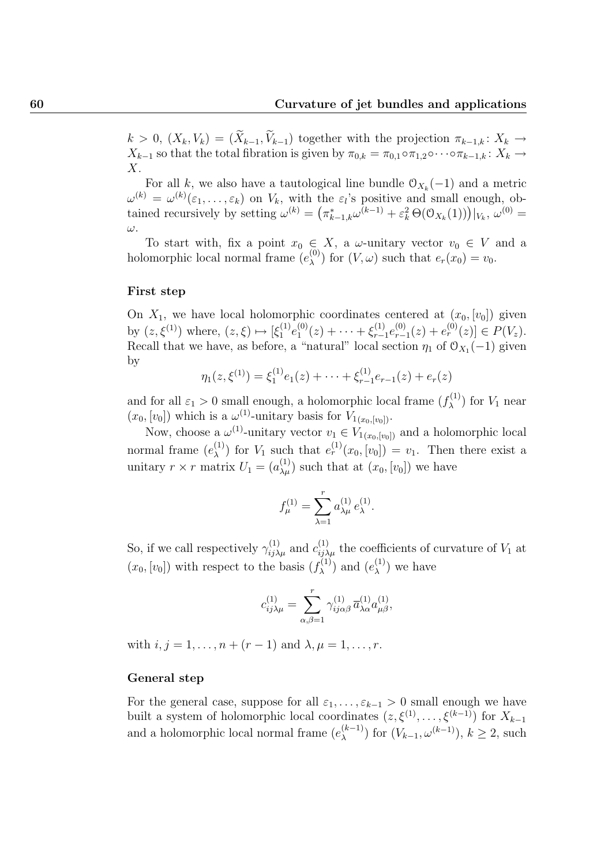$k > 0$ ,  $(X_k, V_k) = (\widetilde{X}_{k-1}, \widetilde{V}_{k-1})$  together with the projection  $\pi_{k-1,k} : X_k \to$  $X_{k-1}$  so that the total fibration is given by  $\pi_{0,k} = \pi_{0,1} \circ \pi_{1,2} \circ \cdots \circ \pi_{k-1,k} : X_k \to$  $X_{\cdot}$ 

For all k, we also have a tautological line bundle  $\mathcal{O}_{X_k}(-1)$  and a metric  $\omega^{(k)} = \omega^{(k)}(\varepsilon_1, \ldots, \varepsilon_k)$  on  $V_k$ , with the  $\varepsilon_l$ 's positive and small enough, obtained recursively by setting  $\omega^{(k)} = (\pi_{k-1,k}^* \omega^{(k-1)} + \varepsilon_k^2 \Theta(\mathcal{O}_{X_k}(1)))|_{V_k}, \omega^{(0)} =$ ω.

To start with, fix a point  $x_0 \in X$ , a  $\omega$ -unitary vector  $v_0 \in V$  and a holomorphic local normal frame  $(e_{\lambda}^{(0)})$  $\chi^{(0)}$  for  $(V, \omega)$  such that  $e_r(x_0) = v_0$ .

#### First step

On  $X_1$ , we have local holomorphic coordinates centered at  $(x_0, [v_0])$  given by  $(z, \xi^{(1)})$  where,  $(z, \xi) \mapsto [\xi_1^{(1)}]$  $\stackrel{(1)}{1}e_1^{(0)}$  $\zeta_1^{(0)}(z) + \cdots + \xi_{r-1}^{(1)}$  $e_{r-1}^{(1)}e_{r-1}^{(0)}$  $e_{r-1}^{(0)}(z) + e_r^{(0)}(z) \in P(V_z).$ Recall that we have, as before, a "natural" local section  $\eta_1$  of  $\mathcal{O}_{X_1}(-1)$  given by

$$
\eta_1(z,\xi^{(1)}) = \xi_1^{(1)}e_1(z) + \cdots + \xi_{r-1}^{(1)}e_{r-1}(z) + e_r(z)
$$

and for all  $\varepsilon_1 > 0$  small enough, a holomorphic local frame  $(f_{\lambda}^{(1)})$  $\lambda^{(1)}$  for  $V_1$  near  $(x_0, [v_0])$  which is a  $\omega^{(1)}$ -unitary basis for  $V_{1(x_0, [v_0])}$ .

Now, choose a  $\omega^{(1)}$ -unitary vector  $v_1 \in V_{1(x_0,[v_0])}$  and a holomorphic local normal frame  $(e_{\lambda}^{(1)})$ (1) for  $V_1$  such that  $e_r^{(1)}(x_0,[v_0]) = v_1$ . Then there exist a unitary  $r \times r$  matrix  $U_1 = (a_{\lambda\mu}^{(1)})$  such that at  $(x_0, [v_0])$  we have

$$
f_{\mu}^{(1)} = \sum_{\lambda=1}^{r} a_{\lambda\mu}^{(1)} e_{\lambda}^{(1)}.
$$

So, if we call respectively  $\gamma_{ij\lambda\mu}^{(1)}$  and  $c_{ij\lambda\mu}^{(1)}$  the coefficients of curvature of  $V_1$  at  $(x_0, [v_0])$  with respect to the basis  $(f_\lambda^{(1)})$  $(e_{\lambda}^{(1)})$  and  $(e_{\lambda}^{(1)})$  $\lambda^{(1)}$ ) we have

$$
c^{(1)}_{ij\lambda\mu} = \sum_{\alpha,\beta=1}^r \gamma^{(1)}_{ij\alpha\beta} \, \overline{a}^{(1)}_{\lambda\alpha} a^{(1)}_{\mu\beta},
$$

with  $i, j = 1, ..., n + (r - 1)$  and  $\lambda, \mu = 1, ..., r$ .

#### General step

For the general case, suppose for all  $\varepsilon_1, \ldots, \varepsilon_{k-1} > 0$  small enough we have built a system of holomorphic local coordinates  $(z, \xi^{(1)}, \ldots, \xi^{(k-1)})$  for  $X_{k-1}$ and a holomorphic local normal frame  $(e_{\lambda}^{(k-1)})$  $\lambda^{(k-1)}$  for  $(V_{k-1}, \omega^{(k-1)}), k \ge 2$ , such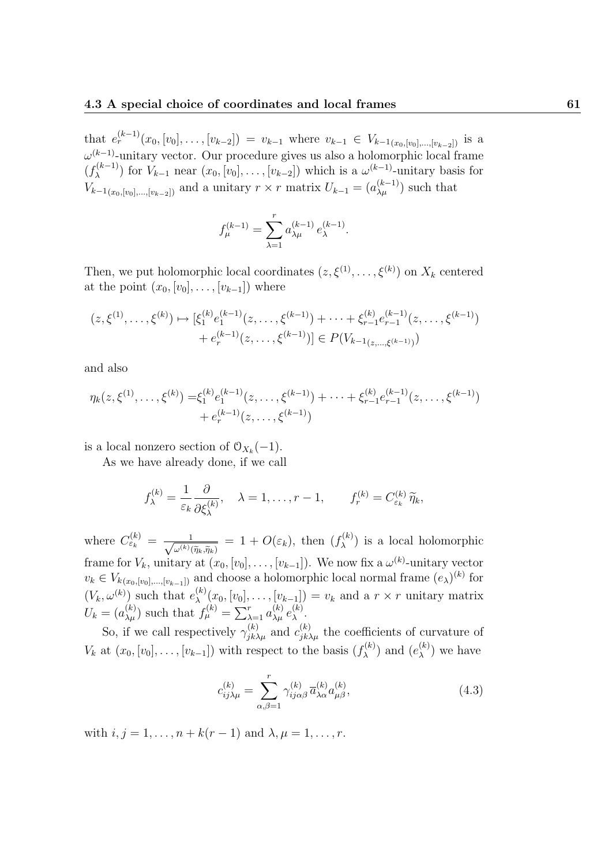that  $e_r^{(k-1)}(x_0,[v_0],\ldots,[v_{k-2}]) = v_{k-1}$  where  $v_{k-1} \in V_{k-1}(x_0,[v_0],\ldots,[v_{k-2}])$  is a  $\omega^{(k-1)}$ -unitary vector. Our procedure gives us also a holomorphic local frame  $(f_\lambda^{(k-1)}$  $\mathcal{L}_{\lambda}^{(k-1)}$ ) for  $V_{k-1}$  near  $(x_0, [v_0], \ldots, [v_{k-2}]$ ) which is a  $\omega^{(k-1)}$ -unitary basis for  $V_{k-1(x_0,[v_0],...,[v_{k-2}])}$  and a unitary  $r \times r$  matrix  $U_{k-1} = (a_{\lambda\mu}^{(k-1)})$  such that

$$
f_{\mu}^{(k-1)} = \sum_{\lambda=1}^{r} a_{\lambda\mu}^{(k-1)} e_{\lambda}^{(k-1)}.
$$

Then, we put holomorphic local coordinates  $(z, \xi^{(1)}, \ldots, \xi^{(k)})$  on  $X_k$  centered at the point  $(x_0, [v_0], \ldots, [v_{k-1}])$  where

$$
(z, \xi^{(1)}, \dots, \xi^{(k)}) \mapsto [\xi_1^{(k)} e_1^{(k-1)}(z, \dots, \xi^{(k-1)}) + \dots + \xi_{r-1}^{(k)} e_{r-1}^{(k-1)}(z, \dots, \xi^{(k-1)})
$$
  
 
$$
+ e_r^{(k-1)}(z, \dots, \xi^{(k-1)})] \in P(V_{k-1(z, \dots, \xi^{(k-1)})})
$$

and also

$$
\eta_k(z,\xi^{(1)},\ldots,\xi^{(k)}) = \xi_1^{(k)} e_1^{(k-1)}(z,\ldots,\xi^{(k-1)}) + \cdots + \xi_{r-1}^{(k)} e_{r-1}^{(k-1)}(z,\ldots,\xi^{(k-1)}) + e_r^{(k-1)}(z,\ldots,\xi^{(k-1)})
$$

is a local nonzero section of  $\mathcal{O}_{X_k}(-1)$ .

As we have already done, if we call

$$
f_{\lambda}^{(k)} = \frac{1}{\varepsilon_k} \frac{\partial}{\partial \xi_{\lambda}^{(k)}}, \quad \lambda = 1, \dots, r-1, \qquad f_r^{(k)} = C_{\varepsilon_k}^{(k)} \widetilde{\eta}_k,
$$

where  $C_{\varepsilon_k}^{(k)} = \frac{1}{\sqrt{-(k)}}$  $\omega^{(k)}(\widetilde\eta_k,\widetilde\eta_k)$  $= 1 + O(\varepsilon_k)$ , then  $(f_{\lambda}^{(k)})$  $\lambda^{(k)}$ ) is a local holomorphic frame for  $V_k$ , unitary at  $(x_0, [v_0], \ldots, [v_{k-1}])$ . We now fix a  $\omega^{(k)}$ -unitary vector  $v_k \in V_{k(x_0, [v_0], \dots, [v_{k-1}])}$  and choose a holomorphic local normal frame  $(e_{\lambda})^{(k)}$  for  $(V_k, \omega^{(k)})$  such that  $e_{\lambda}^{(k)}$  $\lambda^{(k)}(x_0,[v_0],\ldots,[v_{k-1}]) = v_k$  and a  $r \times r$  unitary matrix  $U_k = (a_{\lambda\mu}^{(k)})$  such that  $f_{\mu}^{(k)} = \sum_{\lambda=1}^{r} a_{\lambda\mu}^{(k)} e_{\lambda}^{(k)}$ λ .

So, if we call respectively  $\gamma_{jk\lambda\mu}^{(k)}$  and  $c_{jk\lambda\mu}^{(k)}$  the coefficients of curvature of  $V_k$  at  $(x_0, [v_0], \ldots, [v_{k-1}])$  with respect to the basis  $(f_\lambda^{(k)})$  $(e_{\lambda}^{(k)})$  and  $(e_{\lambda}^{(k)})$  $\lambda^{(\kappa)}$ ) we have

$$
c_{ij\lambda\mu}^{(k)} = \sum_{\alpha,\beta=1}^{r} \gamma_{ij\alpha\beta}^{(k)} \overline{a}_{\lambda\alpha}^{(k)} a_{\mu\beta}^{(k)},
$$
\n(4.3)

with  $i, j = 1, ..., n + k(r - 1)$  and  $\lambda, \mu = 1, ..., r$ .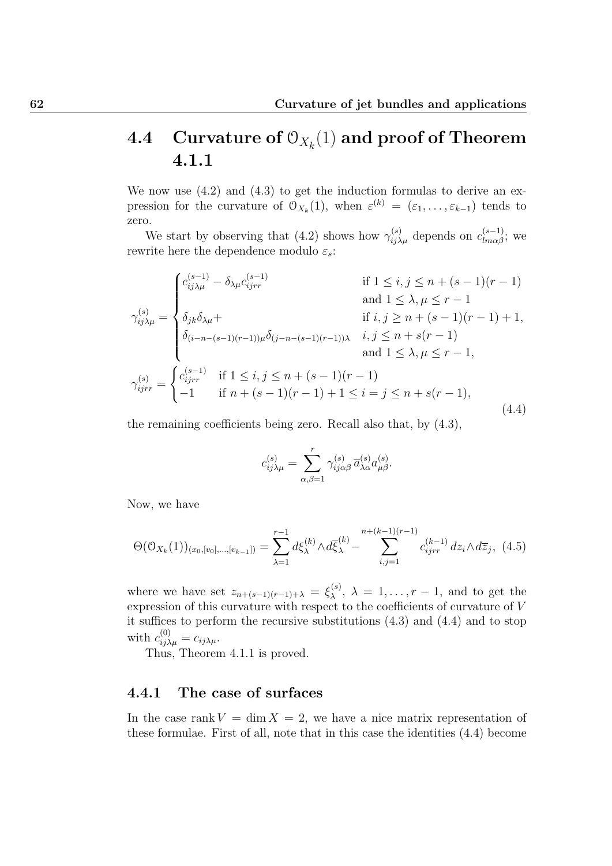# $\operatorname{\mathbf{4.4}} \quad \textbf{Curvature of } \mathbb{O}_{X_k}(1) \text{ and proof of Theorem}$ 4.1.1

We now use  $(4.2)$  and  $(4.3)$  to get the induction formulas to derive an expression for the curvature of  $\mathcal{O}_{X_k}(1)$ , when  $\varepsilon^{(k)} = (\varepsilon_1, \ldots, \varepsilon_{k-1})$  tends to zero.

We start by observing that (4.2) shows how  $\gamma_{ij\lambda\mu}^{(s)}$  depends on  $c_{lm\alpha\beta}^{(s-1)}$ ; we rewrite here the dependence modulo  $\varepsilon_s$ :

$$
\gamma_{ij\lambda\mu}^{(s)} = \begin{cases}\nc_{ij\lambda\mu}^{(s-1)} - \delta_{\lambda\mu}c_{ijrr}^{(s-1)} & \text{if } 1 \leq i, j \leq n + (s-1)(r-1) \\
\delta_{jk}\delta_{\lambda\mu} + & \text{if } i, j \geq n + (s-1)(r-1) + 1, \\
\delta_{(i-n-(s-1)(r-1))\mu}\delta_{(j-n-(s-1)(r-1))\lambda} & i, j \leq n + s(r-1) \\
\delta_{ijrr} = \begin{cases}\nc_{ijrr}^{(s-1)} & \text{if } 1 \leq i, j \leq n + (s-1)(r-1) \\
-1 & \text{if } n + (s-1)(r-1) + 1 \leq i = j \leq n + s(r-1),\n\end{cases} \\
\gamma_{ijrr}^{(s)} = \begin{cases}\nc_{ijrr}^{(s-1)} & \text{if } 1 \leq i, j \leq n + (s-1)(r-1) \\
-1 & \text{if } n + (s-1)(r-1) + 1 \leq i = j \leq n + s(r-1),\n\end{cases} (4.4)
$$

the remaining coefficients being zero. Recall also that, by (4.3),

$$
c_{ij\lambda\mu}^{(s)} = \sum_{\alpha,\beta=1}^r \gamma_{ij\alpha\beta}^{(s)} \overline{a}_{\lambda\alpha}^{(s)} a_{\mu\beta}^{(s)}.
$$

Now, we have

$$
\Theta(\mathcal{O}_{X_k}(1))_{(x_0,[v_0],\ldots,[v_{k-1}])} = \sum_{\lambda=1}^{r-1} d\xi_{\lambda}^{(k)} \wedge d\overline{\xi}_{\lambda}^{(k)} - \sum_{i,j=1}^{n+(k-1)(r-1)} c_{ijrr}^{(k-1)} dz_i \wedge d\overline{z}_j, \tag{4.5}
$$

where we have set  $z_{n+(s-1)(r-1)+\lambda} = \xi_{\lambda}^{(s)}$  $\lambda^{(s)}$ ,  $\lambda = 1, \ldots, r-1$ , and to get the expression of this curvature with respect to the coefficients of curvature of V it suffices to perform the recursive substitutions (4.3) and (4.4) and to stop with  $c_{ij\lambda\mu}^{(0)} = c_{ij\lambda\mu}$ .

Thus, Theorem 4.1.1 is proved.

## 4.4.1 The case of surfaces

In the case rank  $V = \dim X = 2$ , we have a nice matrix representation of these formulae. First of all, note that in this case the identities (4.4) become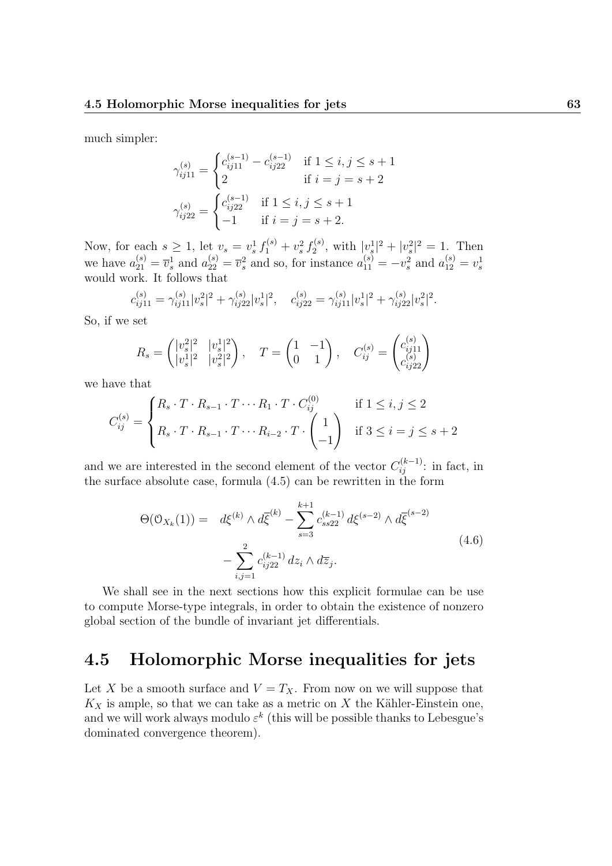much simpler:

$$
\gamma_{ij11}^{(s)} = \begin{cases}\nc_{ij11}^{(s-1)} - c_{ij22}^{(s-1)} & \text{if } 1 \le i, j \le s+1 \\
2 & \text{if } i = j = s+2\n\end{cases}
$$
\n
$$
\gamma_{ij22}^{(s)} = \begin{cases}\nc_{ij22}^{(s-1)} & \text{if } 1 \le i, j \le s+1 \\
-1 & \text{if } i = j = s+2.\n\end{cases}
$$

Now, for each  $s \geq 1$ , let  $v_s = v_s^1 f_1^{(s)} + v_s^2 f_2^{(s)}$  $|v_s^{(s)},\>$  with  $|v_s^1|^2 + |v_s^2|^2 = 1$ . Then we have  $a_{21}^{(s)} = \bar{v}_s^1$  and  $a_{22}^{(s)} = \bar{v}_s^2$  and so, for instance  $a_{11}^{(s)} = -v_s^2$  and  $a_{12}^{(s)} = v_s^1$ would work. It follows that

$$
c_{ij11}^{(s)} = \gamma_{ij11}^{(s)} |v_s^2|^2 + \gamma_{ij22}^{(s)} |v_s^1|^2, \quad c_{ij22}^{(s)} = \gamma_{ij11}^{(s)} |v_s^1|^2 + \gamma_{ij22}^{(s)} |v_s^2|^2.
$$

So, if we set

$$
R_s = \begin{pmatrix} |v_s^2|^2 & |v_s^1|^2 \\ |v_s^1|^2 & |v_s^2|^2 \end{pmatrix}, \quad T = \begin{pmatrix} 1 & -1 \\ 0 & 1 \end{pmatrix}, \quad C_{ij}^{(s)} = \begin{pmatrix} c_{ij11}^{(s)} \\ c_{ij22}^{(s)} \end{pmatrix}
$$

we have that

$$
C_{ij}^{(s)} = \begin{cases} R_s \cdot T \cdot R_{s-1} \cdot T \cdots R_1 \cdot T \cdot C_{ij}^{(0)} & \text{if } 1 \le i, j \le 2 \\ R_s \cdot T \cdot R_{s-1} \cdot T \cdots R_{i-2} \cdot T \cdot \begin{pmatrix} 1 \\ -1 \end{pmatrix} & \text{if } 3 \le i = j \le s+2 \end{cases}
$$

and we are interested in the second element of the vector  $C_{ij}^{(k-1)}$ : in fact, in the surface absolute case, formula (4.5) can be rewritten in the form

$$
\Theta(\mathcal{O}_{X_k}(1)) = d\xi^{(k)} \wedge d\overline{\xi}^{(k)} - \sum_{s=3}^{k+1} c_{ss22}^{(k-1)} d\xi^{(s-2)} \wedge d\overline{\xi}^{(s-2)} \n- \sum_{i,j=1}^2 c_{ij22}^{(k-1)} dz_i \wedge d\overline{z}_j.
$$
\n(4.6)

We shall see in the next sections how this explicit formulae can be use to compute Morse-type integrals, in order to obtain the existence of nonzero global section of the bundle of invariant jet differentials.

## 4.5 Holomorphic Morse inequalities for jets

Let X be a smooth surface and  $V = T_X$ . From now on we will suppose that  $K_X$  is ample, so that we can take as a metric on X the Kähler-Einstein one, and we will work always modulo  $\varepsilon^k$  (this will be possible thanks to Lebesgue's dominated convergence theorem).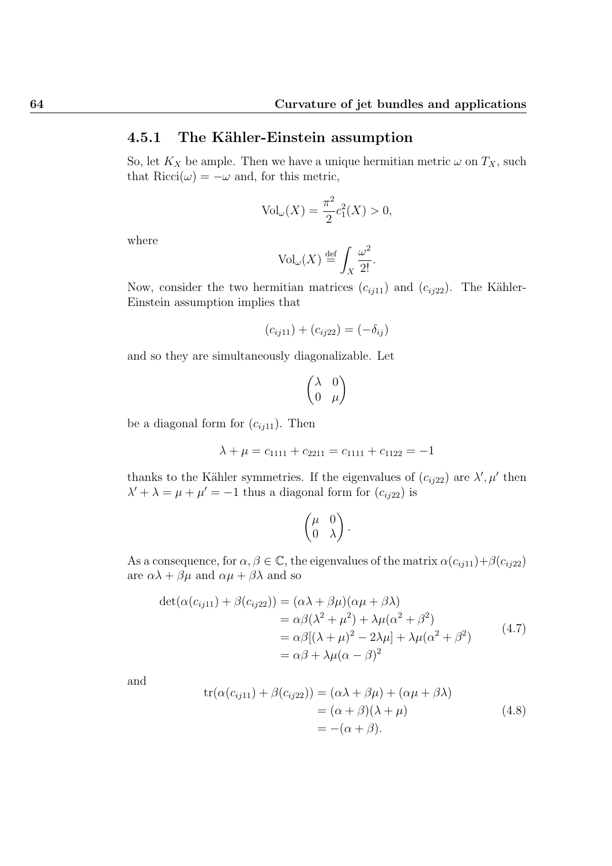## 4.5.1 The Kähler-Einstein assumption

So, let  $K_X$  be ample. Then we have a unique hermitian metric  $\omega$  on  $T_X$ , such that  $Ricci(\omega) = -\omega$  and, for this metric,

$$
Vol_{\omega}(X) = \frac{\pi^2}{2}c_1^2(X) > 0,
$$

where

$$
\text{Vol}_{\omega}(X) \stackrel{\text{def}}{=} \int_X \frac{\omega^2}{2!}.
$$

Now, consider the two hermitian matrices  $(c_{ij11})$  and  $(c_{ij22})$ . The Kähler-Einstein assumption implies that

$$
(c_{ij11}) + (c_{ij22}) = (-\delta_{ij})
$$

and so they are simultaneously diagonalizable. Let

$$
\begin{pmatrix} \lambda & 0 \\ 0 & \mu \end{pmatrix}
$$

be a diagonal form for  $(c_{ij11})$ . Then

$$
\lambda + \mu = c_{1111} + c_{2211} = c_{1111} + c_{1122} = -1
$$

thanks to the Kähler symmetries. If the eigenvalues of  $(c_{ij22})$  are  $\lambda', \mu'$  then  $\lambda' + \lambda = \mu + \mu' = -1$  thus a diagonal form for  $(c_{ij22})$  is

$$
\begin{pmatrix} \mu & 0 \\ 0 & \lambda \end{pmatrix}.
$$

As a consequence, for  $\alpha, \beta \in \mathbb{C}$ , the eigenvalues of the matrix  $\alpha(c_{ij11})+\beta(c_{ij22})$ are  $\alpha\lambda + \beta\mu$  and  $\alpha\mu + \beta\lambda$  and so

$$
\det(\alpha(c_{ij11}) + \beta(c_{ij22})) = (\alpha \lambda + \beta \mu)(\alpha \mu + \beta \lambda)
$$
  
=  $\alpha \beta (\lambda^2 + \mu^2) + \lambda \mu (\alpha^2 + \beta^2)$   
=  $\alpha \beta [(\lambda + \mu)^2 - 2\lambda \mu] + \lambda \mu (\alpha^2 + \beta^2)$  (4.7)  
=  $\alpha \beta + \lambda \mu (\alpha - \beta)^2$ 

and

$$
tr(\alpha(c_{ij11}) + \beta(c_{ij22})) = (\alpha \lambda + \beta \mu) + (\alpha \mu + \beta \lambda)
$$
  
= (\alpha + \beta)(\lambda + \mu)  
= -(\alpha + \beta). (4.8)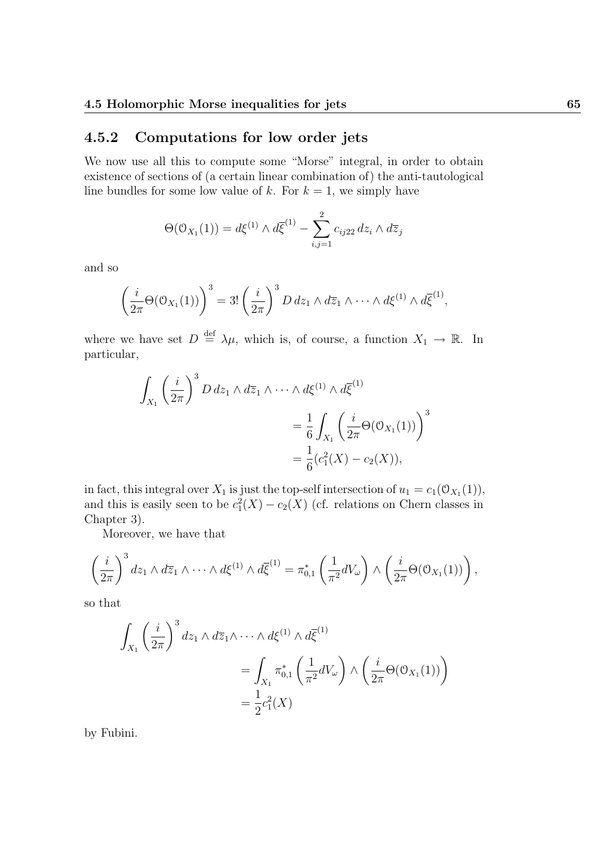## 4.5.2 Computations for low order jets

We now use all this to compute some "Morse" integral, in order to obtain existence of sections of (a certain linear combination of) the anti-tautological line bundles for some low value of k. For  $k = 1$ , we simply have

$$
\Theta(\mathcal{O}_{X_1}(1)) = d\xi^{(1)} \wedge d\overline{\xi}^{(1)} - \sum_{i,j=1}^2 c_{ij22} \, dz_i \wedge d\overline{z}_j
$$

and so

$$
\left(\frac{i}{2\pi}\Theta(\mathcal{O}_{X_1}(1))\right)^3=3!\left(\frac{i}{2\pi}\right)^3D\,dz_1\wedge d\overline{z}_1\wedge\cdots\wedge d\xi^{(1)}\wedge d\overline{\xi}^{(1)},
$$

where we have set  $D \stackrel{\text{def}}{=} \lambda \mu$ , which is, of course, a function  $X_1 \to \mathbb{R}$ . In particular,

$$
\int_{X_1} \left(\frac{i}{2\pi}\right)^3 D dz_1 \wedge d\overline{z}_1 \wedge \cdots \wedge d\xi^{(1)} \wedge d\overline{\xi}^{(1)}
$$
\n
$$
= \frac{1}{6} \int_{X_1} \left(\frac{i}{2\pi} \Theta(\mathcal{O}_{X_1}(1))\right)^3
$$
\n
$$
= \frac{1}{6} (c_1^2(X) - c_2(X)),
$$

in fact, this integral over  $X_1$  is just the top-self intersection of  $u_1 = c_1(\mathcal{O}_{X_1}(1)),$ and this is easily seen to be  $c_1^2(X) - c_2(X)$  (cf. relations on Chern classes in Chapter 3).

Moreover, we have that

$$
\left(\frac{i}{2\pi}\right)^3 dz_1 \wedge d\overline{z}_1 \wedge \cdots \wedge d\xi^{(1)} \wedge d\overline{\xi}^{(1)} = \pi_{0,1}^* \left(\frac{1}{\pi^2} dV_\omega\right) \wedge \left(\frac{i}{2\pi} \Theta(\mathcal{O}_{X_1}(1))\right),
$$

so that

$$
\int_{X_1} \left(\frac{i}{2\pi}\right)^3 dz_1 \wedge d\overline{z}_1 \wedge \cdots \wedge d\xi^{(1)} \wedge d\overline{\xi}^{(1)} \n= \int_{X_1} \pi_{0,1}^* \left(\frac{1}{\pi^2} dV_\omega\right) \wedge \left(\frac{i}{2\pi} \Theta(\mathcal{O}_{X_1}(1))\right) \n= \frac{1}{2} c_1^2(X)
$$

by Fubini.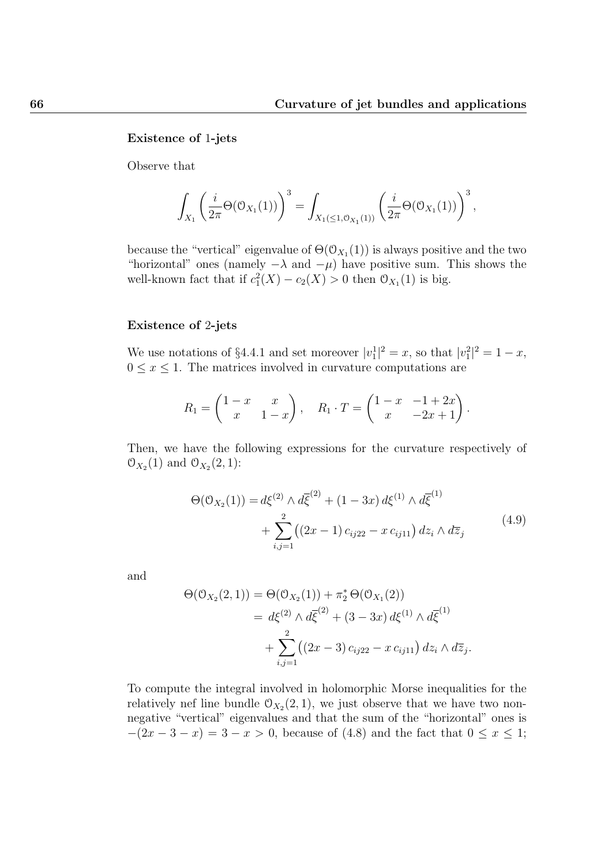#### Existence of 1-jets

Observe that

$$
\int_{X_1} \left( \frac{i}{2\pi} \Theta(\mathcal{O}_{X_1}(1)) \right)^3 = \int_{X_1(\leq 1, \mathcal{O}_{X_1}(1))} \left( \frac{i}{2\pi} \Theta(\mathcal{O}_{X_1}(1)) \right)^3,
$$

because the "vertical" eigenvalue of  $\Theta(\mathcal{O}_{X_1}(1))$  is always positive and the two "horizontal" ones (namely  $-\lambda$  and  $-\mu$ ) have positive sum. This shows the well-known fact that if  $c_1^2(X) - c_2(X) > 0$  then  $\mathcal{O}_{X_1}(1)$  is big.

### Existence of 2-jets

We use notations of §4.4.1 and set moreover  $|v_1|^2 = x$ , so that  $|v_1|^2 = 1 - x$ ,  $0 \leq x \leq 1$ . The matrices involved in curvature computations are

$$
R_1 = \begin{pmatrix} 1-x & x \\ x & 1-x \end{pmatrix}, \quad R_1 \cdot T = \begin{pmatrix} 1-x & -1+2x \\ x & -2x+1 \end{pmatrix}.
$$

Then, we have the following expressions for the curvature respectively of  $\mathcal{O}_{X_2}(1)$  and  $\mathcal{O}_{X_2}(2, 1)$ :

$$
\Theta(\mathcal{O}_{X_2}(1)) = d\xi^{(2)} \wedge d\overline{\xi}^{(2)} + (1 - 3x) d\xi^{(1)} \wedge d\overline{\xi}^{(1)} + \sum_{i,j=1}^2 ((2x - 1) c_{ij22} - x c_{ij11}) dz_i \wedge d\overline{z}_j
$$
(4.9)

and

$$
\Theta(\mathcal{O}_{X_2}(2,1)) = \Theta(\mathcal{O}_{X_2}(1)) + \pi_2^* \Theta(\mathcal{O}_{X_1}(2))
$$
  
=  $d\xi^{(2)} \wedge d\overline{\xi}^{(2)} + (3 - 3x) d\xi^{(1)} \wedge d\overline{\xi}^{(1)}$   
+  $\sum_{i,j=1}^2 ((2x - 3) c_{ij22} - x c_{ij11}) dz_i \wedge d\overline{z}_j.$ 

To compute the integral involved in holomorphic Morse inequalities for the relatively nef line bundle  $\mathcal{O}_{X_2}(2,1)$ , we just observe that we have two nonnegative "vertical" eigenvalues and that the sum of the "horizontal" ones is  $-(2x-3-x) = 3-x > 0$ , because of (4.8) and the fact that  $0 \le x \le 1$ ;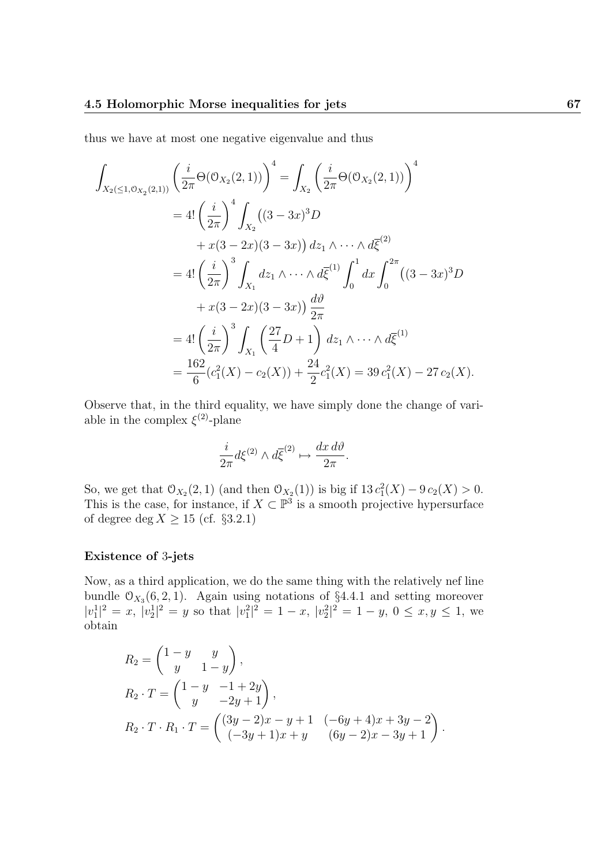thus we have at most one negative eigenvalue and thus

$$
\int_{X_2(\leq 1,0_{X_2}(2,1))} \left(\frac{i}{2\pi} \Theta(\mathcal{O}_{X_2}(2,1))\right)^4 = \int_{X_2} \left(\frac{i}{2\pi} \Theta(\mathcal{O}_{X_2}(2,1))\right)^4
$$
  
\n
$$
= 4! \left(\frac{i}{2\pi}\right)^4 \int_{X_2} ((3-3x)^3 D
$$
  
\n
$$
+ x(3-2x)(3-3x)) dz_1 \wedge \cdots \wedge d\overline{\xi}^{(2)}
$$
  
\n
$$
= 4! \left(\frac{i}{2\pi}\right)^3 \int_{X_1} dz_1 \wedge \cdots \wedge d\overline{\xi}^{(1)} \int_0^1 dx \int_0^{2\pi} ((3-3x)^3 D
$$
  
\n
$$
+ x(3-2x)(3-3x)) \frac{d\vartheta}{2\pi}
$$
  
\n
$$
= 4! \left(\frac{i}{2\pi}\right)^3 \int_{X_1} \left(\frac{27}{4} D + 1\right) dz_1 \wedge \cdots \wedge d\overline{\xi}^{(1)}
$$
  
\n
$$
= \frac{162}{6} (c_1^2(X) - c_2(X)) + \frac{24}{2} c_1^2(X) = 39 c_1^2(X) - 27 c_2(X).
$$

Observe that, in the third equality, we have simply done the change of variable in the complex  $\xi^{(2)}$ -plane

$$
\frac{i}{2\pi}d\xi^{(2)}\wedge d\overline{\xi}^{(2)}\mapsto \frac{dx\,d\vartheta}{2\pi}.
$$

So, we get that  $O_{X_2}(2, 1)$  (and then  $O_{X_2}(1)$ ) is big if  $13 c_1^2(X) - 9 c_2(X) > 0$ . This is the case, for instance, if  $X \subset \mathbb{P}^3$  is a smooth projective hypersurface of degree deg $X \geq 15$  (cf.  $\S 3.2.1)$ 

### Existence of 3-jets

Now, as a third application, we do the same thing with the relatively nef line bundle  $\mathcal{O}_{X_3}(6, 2, 1)$ . Again using notations of §4.4.1 and setting moreover  $|v_1|^2 = x, |v_2|^2 = y$  so that  $|v_1|^2 = 1 - x, |v_2|^2 = 1 - y, 0 \le x, y \le 1$ , we obtain

$$
R_2 = \begin{pmatrix} 1 - y & y \\ y & 1 - y \end{pmatrix},
$$
  
\n
$$
R_2 \cdot T = \begin{pmatrix} 1 - y & -1 + 2y \\ y & -2y + 1 \end{pmatrix},
$$
  
\n
$$
R_2 \cdot T \cdot R_1 \cdot T = \begin{pmatrix} (3y - 2)x - y + 1 & (-6y + 4)x + 3y - 2 \\ (-3y + 1)x + y & (6y - 2)x - 3y + 1 \end{pmatrix}.
$$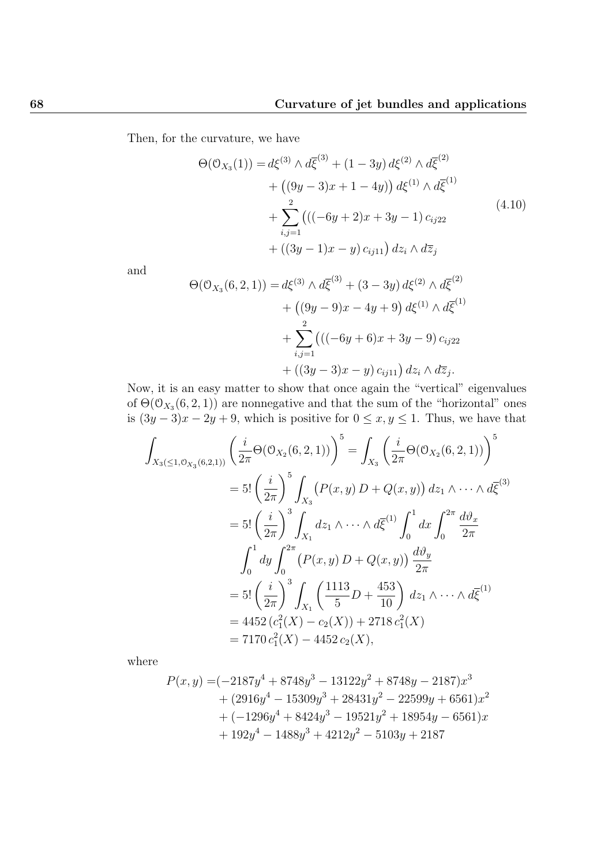Then, for the curvature, we have

$$
\Theta(\mathcal{O}_{X_3}(1)) = d\xi^{(3)} \wedge d\overline{\xi}^{(3)} + (1 - 3y) d\xi^{(2)} \wedge d\overline{\xi}^{(2)} + ((9y - 3)x + 1 - 4y)) d\xi^{(1)} \wedge d\overline{\xi}^{(1)} + \sum_{i,j=1}^{2} (((-6y + 2)x + 3y - 1) c_{ij22} + ((3y - 1)x - y) c_{ij11}) dz_i \wedge d\overline{z}_j
$$
(4.10)

and

$$
\Theta(\mathcal{O}_{X_3}(6,2,1)) = d\xi^{(3)} \wedge d\overline{\xi}^{(3)} + (3-3y) d\xi^{(2)} \wedge d\overline{\xi}^{(2)} + ((9y-9)x - 4y + 9) d\xi^{(1)} \wedge d\overline{\xi}^{(1)} + \sum_{i,j=1}^{2} (((-6y+6)x + 3y - 9) c_{ij22} + ((3y-3)x - y) c_{ij11}) dz_i \wedge d\overline{z}_j.
$$

Now, it is an easy matter to show that once again the "vertical" eigenvalues of  $\Theta(\mathcal{O}_{X_3}(6,2,1))$  are nonnegative and that the sum of the "horizontal" ones is  $(3y-3)x - 2y + 9$ , which is positive for  $0 \le x, y \le 1$ . Thus, we have that

$$
\int_{X_3(\leq 1,0_{X_3}(6,2,1))} \left(\frac{i}{2\pi} \Theta(\mathcal{O}_{X_2}(6,2,1))\right)^5 = \int_{X_3} \left(\frac{i}{2\pi} \Theta(\mathcal{O}_{X_2}(6,2,1))\right)^5
$$
  
\n
$$
= 5! \left(\frac{i}{2\pi}\right)^5 \int_{X_3} \left(P(x,y) D + Q(x,y)\right) dz_1 \wedge \cdots \wedge d\overline{\xi}^{(3)}
$$
  
\n
$$
= 5! \left(\frac{i}{2\pi}\right)^3 \int_{X_1} dz_1 \wedge \cdots \wedge d\overline{\xi}^{(1)} \int_0^1 dx \int_0^{2\pi} \frac{d\vartheta_x}{2\pi}
$$
  
\n
$$
\int_0^1 dy \int_0^{2\pi} \left(P(x,y) D + Q(x,y)\right) \frac{d\vartheta_y}{2\pi}
$$
  
\n
$$
= 5! \left(\frac{i}{2\pi}\right)^3 \int_{X_1} \left(\frac{1113}{5} D + \frac{453}{10}\right) dz_1 \wedge \cdots \wedge d\overline{\xi}^{(1)}
$$
  
\n
$$
= 4452 (c_1^2(X) - c_2(X)) + 2718 c_1^2(X)
$$
  
\n
$$
= 7170 c_1^2(X) - 4452 c_2(X),
$$

where

$$
P(x,y) = (-2187y^{4} + 8748y^{3} - 13122y^{2} + 8748y - 2187)x^{3}
$$
  
+ 
$$
(2916y^{4} - 15309y^{3} + 28431y^{2} - 22599y + 6561)x^{2}
$$
  
+ 
$$
(-1296y^{4} + 8424y^{3} - 19521y^{2} + 18954y - 6561)x
$$
  
+ 
$$
192y^{4} - 1488y^{3} + 4212y^{2} - 5103y + 2187
$$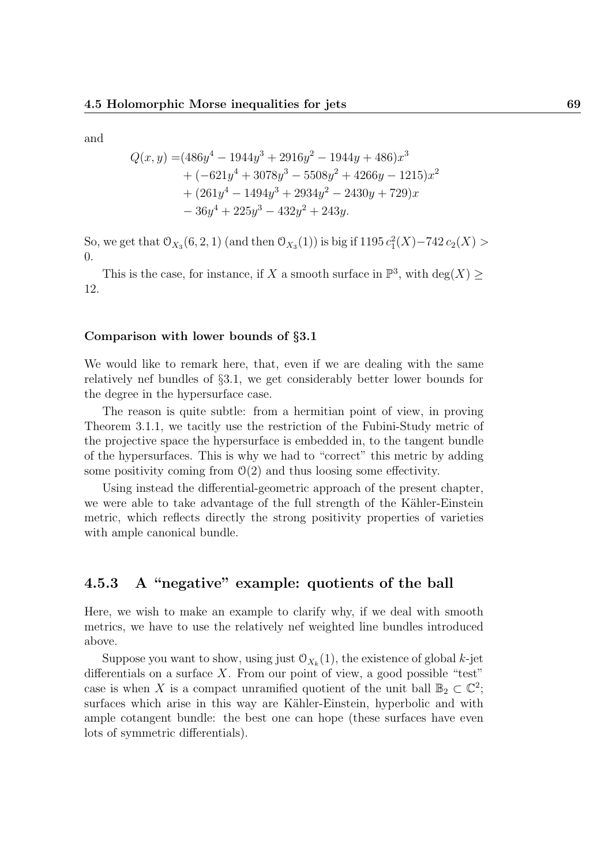and

$$
Q(x,y) = (486y4 - 1944y3 + 2916y2 - 1944y + 486)x3 + (-621y4 + 3078y3 - 5508y2 + 4266y - 1215)x2 + (261y4 - 1494y3 + 2934y2 - 2430y + 729)x - 36y4 + 225y3 - 432y2 + 243y.
$$

So, we get that  $\mathcal{O}_{X_3}(6, 2, 1)$  (and then  $\mathcal{O}_{X_3}(1)$ ) is big if  $1195 c_1^2(X) - 742 c_2(X) >$ 0.

This is the case, for instance, if X a smooth surface in  $\mathbb{P}^3$ , with  $\deg(X) \ge$ 12.

### Comparison with lower bounds of §3.1

We would like to remark here, that, even if we are dealing with the same relatively nef bundles of §3.1, we get considerably better lower bounds for the degree in the hypersurface case.

The reason is quite subtle: from a hermitian point of view, in proving Theorem 3.1.1, we tacitly use the restriction of the Fubini-Study metric of the projective space the hypersurface is embedded in, to the tangent bundle of the hypersurfaces. This is why we had to "correct" this metric by adding some positivity coming from  $\mathcal{O}(2)$  and thus loosing some effectivity.

Using instead the differential-geometric approach of the present chapter, we were able to take advantage of the full strength of the Kähler-Einstein metric, which reflects directly the strong positivity properties of varieties with ample canonical bundle.

## 4.5.3 A "negative" example: quotients of the ball

Here, we wish to make an example to clarify why, if we deal with smooth metrics, we have to use the relatively nef weighted line bundles introduced above.

Suppose you want to show, using just  $\mathfrak{O}_{X_k}(1)$ , the existence of global k-jet differentials on a surface  $X$ . From our point of view, a good possible "test" case is when X is a compact unramified quotient of the unit ball  $\mathbb{B}_2 \subset \mathbb{C}^2$ ; surfaces which arise in this way are Kähler-Einstein, hyperbolic and with ample cotangent bundle: the best one can hope (these surfaces have even lots of symmetric differentials).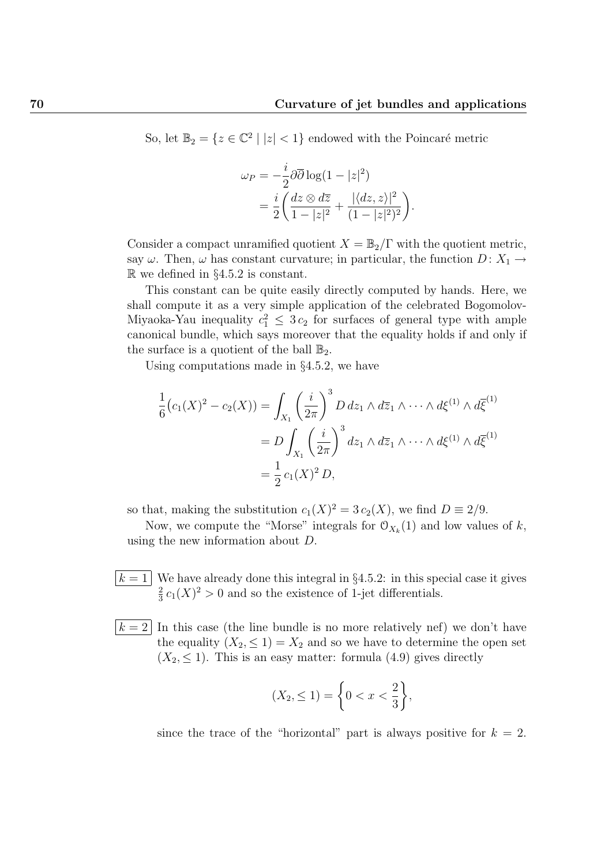So, let  $\mathbb{B}_2 = \{z \in \mathbb{C}^2 \mid |z| < 1\}$  endowed with the Poincaré metric

$$
\omega_P = -\frac{i}{2}\partial\overline{\partial}\log(1-|z|^2)
$$
  
= 
$$
\frac{i}{2}\left(\frac{dz\otimes d\overline{z}}{1-|z|^2} + \frac{|\langle dz, z\rangle|^2}{(1-|z|^2)^2}\right).
$$

Consider a compact unramified quotient  $X = \mathbb{B}_2/\Gamma$  with the quotient metric, say  $\omega$ . Then,  $\omega$  has constant curvature; in particular, the function  $D: X_1 \rightarrow$  $\mathbb{R}$  we defined in §4.5.2 is constant.

This constant can be quite easily directly computed by hands. Here, we shall compute it as a very simple application of the celebrated Bogomolov-Miyaoka-Yau inequality  $c_1^2 \leq 3c_2$  for surfaces of general type with ample canonical bundle, which says moreover that the equality holds if and only if the surface is a quotient of the ball  $\mathbb{B}_2$ .

Using computations made in §4.5.2, we have

$$
\frac{1}{6}(c_1(X)^2 - c_2(X)) = \int_{X_1} \left(\frac{i}{2\pi}\right)^3 D \, dz_1 \wedge d\overline{z}_1 \wedge \cdots \wedge d\xi^{(1)} \wedge d\overline{\xi}^{(1)}
$$
\n
$$
= D \int_{X_1} \left(\frac{i}{2\pi}\right)^3 dz_1 \wedge d\overline{z}_1 \wedge \cdots \wedge d\xi^{(1)} \wedge d\overline{\xi}^{(1)}
$$
\n
$$
= \frac{1}{2} c_1(X)^2 D,
$$

so that, making the substitution  $c_1(X)^2 = 3 c_2(X)$ , we find  $D \equiv 2/9$ .

Now, we compute the "Morse" integrals for  $\mathcal{O}_{X_k}(1)$  and low values of k, using the new information about D.

- $k = 1$  We have already done this integral in §4.5.2: in this special case it gives 2  $\frac{2}{3}c_1(X)^2 > 0$  and so the existence of 1-jet differentials.
- $k = 2$  In this case (the line bundle is no more relatively nef) we don't have the equality  $(X_2, \leq 1) = X_2$  and so we have to determine the open set  $(X_2, \leq 1)$ . This is an easy matter: formula  $(4.9)$  gives directly

$$
(X_2, \le 1) = \bigg\{ 0 < x < \frac{2}{3} \bigg\},
$$

since the trace of the "horizontal" part is always positive for  $k = 2$ .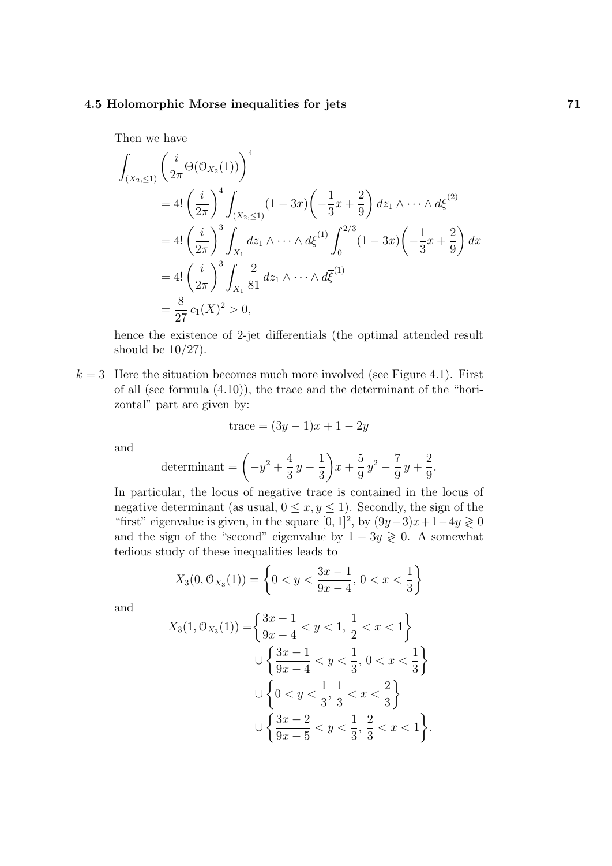Then we have

$$
\int_{(X_2,\leq 1)} \left( \frac{i}{2\pi} \Theta(\mathcal{O}_{X_2}(1)) \right)^4
$$
\n
$$
= 4! \left( \frac{i}{2\pi} \right)^4 \int_{(X_2,\leq 1)} (1 - 3x) \left( -\frac{1}{3}x + \frac{2}{9} \right) dz_1 \wedge \dots \wedge d\bar{\xi}^{(2)}
$$
\n
$$
= 4! \left( \frac{i}{2\pi} \right)^3 \int_{X_1} dz_1 \wedge \dots \wedge d\bar{\xi}^{(1)} \int_0^{2/3} (1 - 3x) \left( -\frac{1}{3}x + \frac{2}{9} \right) dx
$$
\n
$$
= 4! \left( \frac{i}{2\pi} \right)^3 \int_{X_1} \frac{2}{81} dz_1 \wedge \dots \wedge d\bar{\xi}^{(1)}
$$
\n
$$
= \frac{8}{27} c_1(X)^2 > 0,
$$

hence the existence of 2-jet differentials (the optimal attended result should be  $10/27$ .

 $k = 3$  Here the situation becomes much more involved (see Figure 4.1). First of all (see formula (4.10)), the trace and the determinant of the "horizontal" part are given by:

$$
trace = (3y - 1)x + 1 - 2y
$$

and

determinant = 
$$
\left(-y^2 + \frac{4}{3}y - \frac{1}{3}\right)x + \frac{5}{9}y^2 - \frac{7}{9}y + \frac{2}{9}.
$$

In particular, the locus of negative trace is contained in the locus of negative determinant (as usual,  $0 \le x, y \le 1$ ). Secondly, the sign of the "first" eigenvalue is given, in the square  $[0, 1]^2$ , by  $(9y-3)x+1-4y \ge 0$ and the sign of the "second" eigenvalue by  $1 - 3y \ge 0$ . A somewhat tedious study of these inequalities leads to

$$
X_3(0, \mathcal{O}_{X_3}(1)) = \left\{0 < y < \frac{3x - 1}{9x - 4}, \, 0 < x < \frac{1}{3}\right\}
$$

and

$$
X_3(1, 0_{X_3}(1)) = \left\{ \frac{3x - 1}{9x - 4} < y < 1, \frac{1}{2} < x < 1 \right\}
$$
\n
$$
\cup \left\{ \frac{3x - 1}{9x - 4} < y < \frac{1}{3}, 0 < x < \frac{1}{3} \right\}
$$
\n
$$
\cup \left\{ 0 < y < \frac{1}{3}, \frac{1}{3} < x < \frac{2}{3} \right\}
$$
\n
$$
\cup \left\{ \frac{3x - 2}{9x - 5} < y < \frac{1}{3}, \frac{2}{3} < x < 1 \right\}.
$$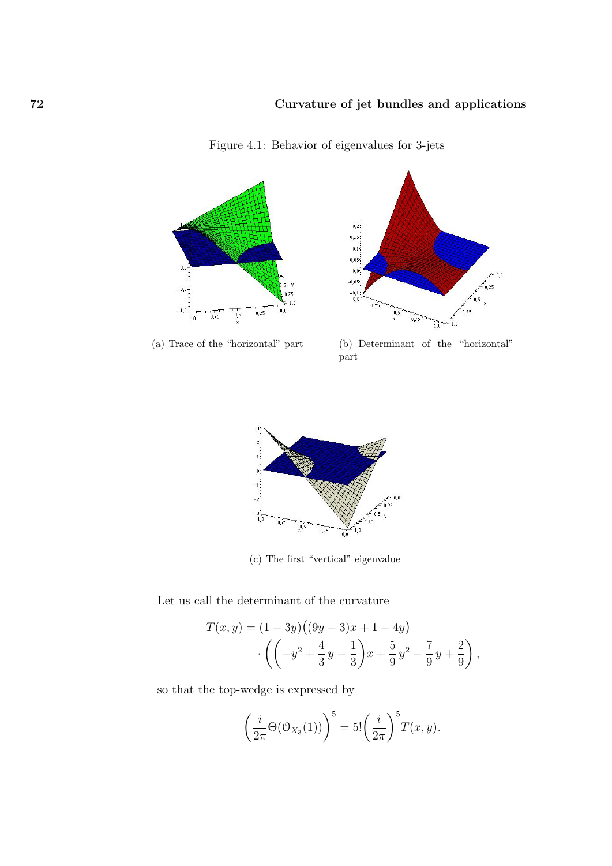

Figure 4.1: Behavior of eigenvalues for 3-jets



(a) Trace of the "horizontal" part (b) Determinant of the "horizontal" part



(c) The first "vertical" eigenvalue

Let us call the determinant of the curvature

$$
T(x,y) = (1-3y)((9y-3)x + 1 - 4y)
$$

$$
\cdot \left( \left( -y^2 + \frac{4}{3}y - \frac{1}{3} \right) x + \frac{5}{9}y^2 - \frac{7}{9}y + \frac{2}{9} \right),
$$

so that the top-wedge is expressed by

$$
\left(\frac{i}{2\pi}\Theta(\mathcal{O}_{X_3}(1))\right)^5 = 5!\left(\frac{i}{2\pi}\right)^5 T(x,y).
$$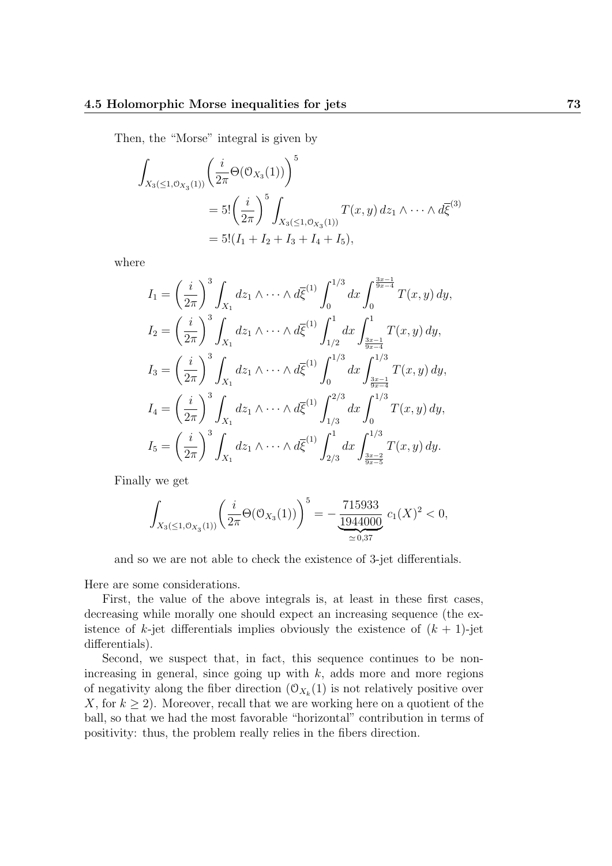Then, the "Morse" integral is given by

$$
\int_{X_3(\leq 1, \mathcal{O}_{X_3}(1))} \left(\frac{i}{2\pi} \Theta(\mathcal{O}_{X_3}(1))\right)^5
$$
\n
$$
= 5! \left(\frac{i}{2\pi}\right)^5 \int_{X_3(\leq 1, \mathcal{O}_{X_3}(1))} T(x, y) \, dz_1 \wedge \dots \wedge d\overline{\xi}^{(3)}
$$
\n
$$
= 5! (I_1 + I_2 + I_3 + I_4 + I_5),
$$

where

$$
I_{1} = \left(\frac{i}{2\pi}\right)^{3} \int_{X_{1}} dz_{1} \wedge \cdots \wedge d\overline{\xi}^{(1)} \int_{0}^{1/3} dx \int_{0}^{\frac{3x-1}{9x-4}} T(x, y) dy,
$$
  
\n
$$
I_{2} = \left(\frac{i}{2\pi}\right)^{3} \int_{X_{1}} dz_{1} \wedge \cdots \wedge d\overline{\xi}^{(1)} \int_{1/2}^{1} dx \int_{\frac{3x-1}{9x-4}}^{1} T(x, y) dy,
$$
  
\n
$$
I_{3} = \left(\frac{i}{2\pi}\right)^{3} \int_{X_{1}} dz_{1} \wedge \cdots \wedge d\overline{\xi}^{(1)} \int_{0}^{1/3} dx \int_{\frac{3x-1}{9x-4}}^{1/3} T(x, y) dy,
$$
  
\n
$$
I_{4} = \left(\frac{i}{2\pi}\right)^{3} \int_{X_{1}} dz_{1} \wedge \cdots \wedge d\overline{\xi}^{(1)} \int_{1/3}^{2/3} dx \int_{0}^{1/3} T(x, y) dy,
$$
  
\n
$$
I_{5} = \left(\frac{i}{2\pi}\right)^{3} \int_{X_{1}} dz_{1} \wedge \cdots \wedge d\overline{\xi}^{(1)} \int_{2/3}^{1} dx \int_{\frac{3x-2}{9x-5}}^{1/3} T(x, y) dy.
$$

Finally we get

$$
\int_{X_3(\leq 1, \mathcal{O}_{X_3}(1))} \left( \frac{i}{2\pi} \Theta(\mathcal{O}_{X_3}(1)) \right)^5 = -\frac{715933}{\underbrace{1944000}} c_1(X)^2 < 0,
$$

and so we are not able to check the existence of 3-jet differentials.

Here are some considerations.

First, the value of the above integrals is, at least in these first cases, decreasing while morally one should expect an increasing sequence (the existence of  $k$ -jet differentials implies obviously the existence of  $(k + 1)$ -jet differentials).

Second, we suspect that, in fact, this sequence continues to be nonincreasing in general, since going up with  $k$ , adds more and more regions of negativity along the fiber direction  $(\mathcal{O}_{X_k}(1))$  is not relatively positive over X, for  $k \geq 2$ ). Moreover, recall that we are working here on a quotient of the ball, so that we had the most favorable "horizontal" contribution in terms of positivity: thus, the problem really relies in the fibers direction.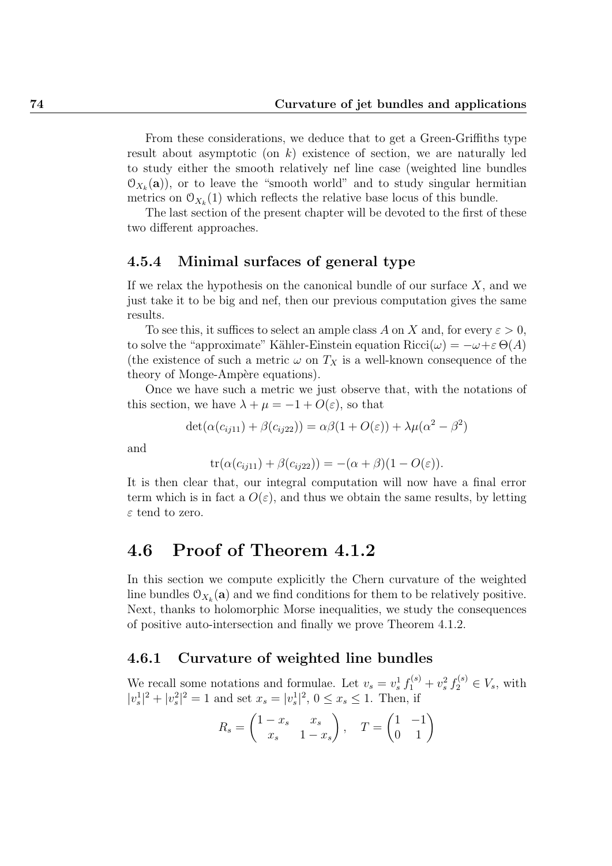From these considerations, we deduce that to get a Green-Griffiths type result about asymptotic (on  $k$ ) existence of section, we are naturally led to study either the smooth relatively nef line case (weighted line bundles  $\mathfrak{O}_{X_k}(\mathbf{a})$ , or to leave the "smooth world" and to study singular hermitian metrics on  $\mathfrak{O}_{X_k}(1)$  which reflects the relative base locus of this bundle.

The last section of the present chapter will be devoted to the first of these two different approaches.

## 4.5.4 Minimal surfaces of general type

If we relax the hypothesis on the canonical bundle of our surface  $X$ , and we just take it to be big and nef, then our previous computation gives the same results.

To see this, it suffices to select an ample class A on X and, for every  $\varepsilon > 0$ , to solve the "approximate" Kähler-Einstein equation  $Ricci(\omega) = -\omega + \varepsilon \Theta(A)$ (the existence of such a metric  $\omega$  on  $T_X$  is a well-known consequence of the theory of Monge-Ampère equations).

Once we have such a metric we just observe that, with the notations of this section, we have  $\lambda + \mu = -1 + O(\varepsilon)$ , so that

$$
\det(\alpha(c_{ij11}) + \beta(c_{ij22})) = \alpha\beta(1 + O(\varepsilon)) + \lambda\mu(\alpha^2 - \beta^2)
$$

and

$$
\operatorname{tr}(\alpha(c_{ij11}) + \beta(c_{ij22})) = -(\alpha + \beta)(1 - O(\varepsilon)).
$$

It is then clear that, our integral computation will now have a final error term which is in fact a  $O(\varepsilon)$ , and thus we obtain the same results, by letting  $\varepsilon$  tend to zero.

## 4.6 Proof of Theorem 4.1.2

In this section we compute explicitly the Chern curvature of the weighted line bundles  $\mathcal{O}_{X_k}(\mathbf{a})$  and we find conditions for them to be relatively positive. Next, thanks to holomorphic Morse inequalities, we study the consequences of positive auto-intersection and finally we prove Theorem 4.1.2.

## 4.6.1 Curvature of weighted line bundles

We recall some notations and formulae. Let  $v_s = v_s^1 f_1^{(s)} + v_s^2 f_2^{(s)} \in V_s$ , with  $|v_s^1|^2 + |v_s^2|^2 = 1$  and set  $x_s = |v_s^1|^2$ ,  $0 \le x_s \le 1$ . Then, if

$$
R_s = \begin{pmatrix} 1 - x_s & x_s \\ x_s & 1 - x_s \end{pmatrix}, \quad T = \begin{pmatrix} 1 & -1 \\ 0 & 1 \end{pmatrix}
$$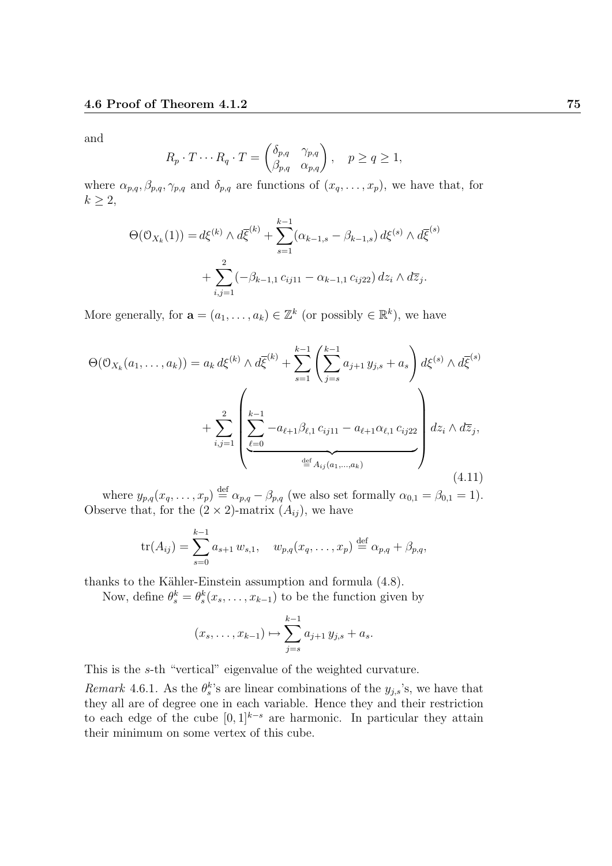and

$$
R_p \cdot T \cdots R_q \cdot T = \begin{pmatrix} \delta_{p,q} & \gamma_{p,q} \\ \beta_{p,q} & \alpha_{p,q} \end{pmatrix}, \quad p \ge q \ge 1,
$$

where  $\alpha_{p,q}, \beta_{p,q}, \gamma_{p,q}$  and  $\delta_{p,q}$  are functions of  $(x_q, \ldots, x_p)$ , we have that, for  $k \geq 2$ ,

$$
\Theta(\mathcal{O}_{X_k}(1)) = d\xi^{(k)} \wedge d\overline{\xi}^{(k)} + \sum_{s=1}^{k-1} (\alpha_{k-1,s} - \beta_{k-1,s}) d\xi^{(s)} \wedge d\overline{\xi}^{(s)} + \sum_{i,j=1}^2 (-\beta_{k-1,1} c_{ij11} - \alpha_{k-1,1} c_{ij22}) dz_i \wedge d\overline{z}_j.
$$

More generally, for  $\mathbf{a} = (a_1, \dots, a_k) \in \mathbb{Z}^k$  (or possibly  $\in \mathbb{R}^k$ ), we have

$$
\Theta(\mathcal{O}_{X_k}(a_1,\ldots,a_k)) = a_k d\xi^{(k)} \wedge d\overline{\xi}^{(k)} + \sum_{s=1}^{k-1} \left( \sum_{j=s}^{k-1} a_{j+1} y_{j,s} + a_s \right) d\xi^{(s)} \wedge d\overline{\xi}^{(s)} + \sum_{i,j=1}^2 \left( \underbrace{\sum_{\ell=0}^{k-1} -a_{\ell+1} \beta_{\ell,1} c_{ij11} - a_{\ell+1} \alpha_{\ell,1} c_{ij22}}_{\stackrel{\text{def}}{=} A_{ij}(a_1,\ldots,a_k)} \right) dz_i \wedge d\overline{z}_j,
$$
\n(4.11)

where  $y_{p,q}(x_q,\ldots,x_p) \stackrel{\text{def}}{=} \alpha_{p,q} - \beta_{p,q}$  (we also set formally  $\alpha_{0,1} = \beta_{0,1} = 1$ ). Observe that, for the  $(2 \times 2)$ -matrix  $(A_{ij})$ , we have

$$
\text{tr}(A_{ij}) = \sum_{s=0}^{k-1} a_{s+1} w_{s,1}, \quad w_{p,q}(x_q, \dots, x_p) \stackrel{\text{def}}{=} \alpha_{p,q} + \beta_{p,q},
$$

thanks to the Kähler-Einstein assumption and formula  $(4.8)$ .

Now, define  $\theta_s^k = \theta_s^k(x_s, \dots, x_{k-1})$  to be the function given by

$$
(x_s, \ldots, x_{k-1}) \mapsto \sum_{j=s}^{k-1} a_{j+1} y_{j,s} + a_s.
$$

This is the s-th "vertical" eigenvalue of the weighted curvature.

Remark 4.6.1. As the  $\theta_s^k$ 's are linear combinations of the  $y_{j,s}$ 's, we have that they all are of degree one in each variable. Hence they and their restriction to each edge of the cube  $[0, 1]^{k-s}$  are harmonic. In particular they attain their minimum on some vertex of this cube.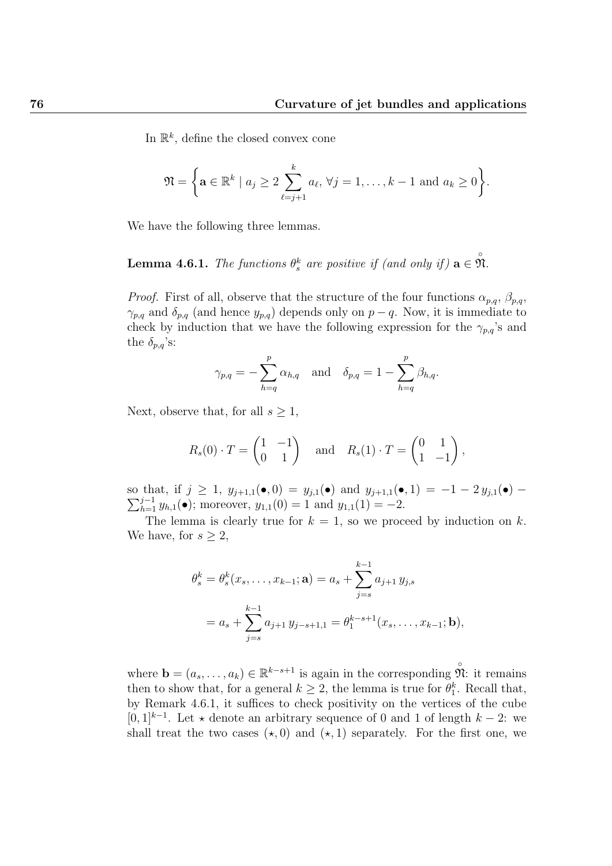In  $\mathbb{R}^k$ , define the closed convex cone

$$
\mathfrak{N} = \left\{ \mathbf{a} \in \mathbb{R}^k \mid a_j \geq 2 \sum_{\ell=j+1}^k a_\ell, \, \forall j = 1, \ldots, k-1 \text{ and } a_k \geq 0 \right\}.
$$

We have the following three lemmas.

# **Lemma 4.6.1.** The functions  $\theta_s^k$  are positive if (and only if)  $\mathbf{a} \in \mathring{\mathfrak{N}}$ .

*Proof.* First of all, observe that the structure of the four functions  $\alpha_{p,q}$ ,  $\beta_{p,q}$ ,  $\gamma_{p,q}$  and  $\delta_{p,q}$  (and hence  $y_{p,q}$ ) depends only on  $p-q$ . Now, it is immediate to check by induction that we have the following expression for the  $\gamma_{p,q}$ 's and the  $\delta_{p,q}$ 's:

$$
\gamma_{p,q} = -\sum_{h=q}^{p} \alpha_{h,q}
$$
 and  $\delta_{p,q} = 1 - \sum_{h=q}^{p} \beta_{h,q}.$ 

Next, observe that, for all  $s \geq 1$ ,

$$
R_s(0) \cdot T = \begin{pmatrix} 1 & -1 \\ 0 & 1 \end{pmatrix}
$$
 and  $R_s(1) \cdot T = \begin{pmatrix} 0 & 1 \\ 1 & -1 \end{pmatrix}$ ,

 $\sum_{h=1}^{j-1} y_{h,1}(\bullet)$ ; moreover,  $y_{1,1}(0) = 1$  and  $y_{1,1}(1) = -2$ . so that, if  $j \ge 1$ ,  $y_{j+1,1}(\bullet,0) = y_{j,1}(\bullet)$  and  $y_{j+1,1}(\bullet,1) = -1 - 2 y_{j,1}(\bullet) -$ 

The lemma is clearly true for  $k = 1$ , so we proceed by induction on k. We have, for  $s \geq 2$ ,

$$
\theta_s^k = \theta_s^k(x_s, \dots, x_{k-1}; \mathbf{a}) = a_s + \sum_{j=s}^{k-1} a_{j+1} y_{j,s}
$$
  
=  $a_s + \sum_{j=s}^{k-1} a_{j+1} y_{j-s+1,1} = \theta_1^{k-s+1}(x_s, \dots, x_{k-1}; \mathbf{b}),$ 

where  $\mathbf{b} = (a_s, \ldots, a_k) \in \mathbb{R}^{k-s+1}$  is again in the corresponding  $\hat{\mathfrak{N}}$ : it remains then to show that, for a general  $k \geq 2$ , the lemma is true for  $\theta_1^k$ . Recall that, by Remark 4.6.1, it suffices to check positivity on the vertices of the cube [0, 1]<sup>k-1</sup>. Let  $\star$  denote an arbitrary sequence of 0 and 1 of length k – 2: we shall treat the two cases  $(\star, 0)$  and  $(\star, 1)$  separately. For the first one, we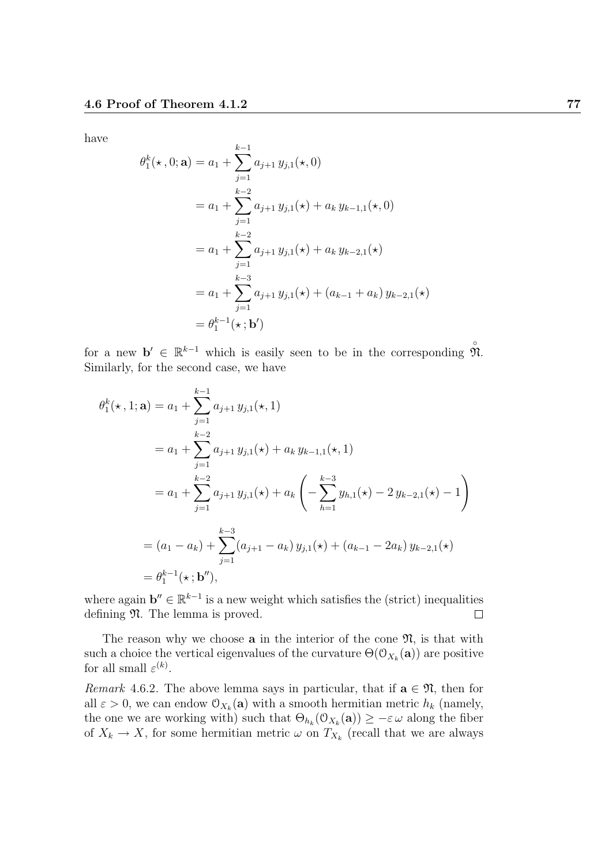have

$$
\theta_1^k(\star, 0; \mathbf{a}) = a_1 + \sum_{j=1}^{k-1} a_{j+1} y_{j,1}(\star, 0)
$$
  
=  $a_1 + \sum_{j=1}^{k-2} a_{j+1} y_{j,1}(\star) + a_k y_{k-1,1}(\star, 0)$   
=  $a_1 + \sum_{j=1}^{k-2} a_{j+1} y_{j,1}(\star) + a_k y_{k-2,1}(\star)$   
=  $a_1 + \sum_{j=1}^{k-3} a_{j+1} y_{j,1}(\star) + (a_{k-1} + a_k) y_{k-2,1}(\star)$   
=  $\theta_1^{k-1}(\star; \mathbf{b}')$ 

for a new  $\mathbf{b}' \in \mathbb{R}^{k-1}$  which is easily seen to be in the corresponding  $\mathcal{M}$ . Similarly, for the second case, we have

$$
\theta_1^k(\star, 1; \mathbf{a}) = a_1 + \sum_{j=1}^{k-1} a_{j+1} y_{j,1}(\star, 1)
$$
  
=  $a_1 + \sum_{j=1}^{k-2} a_{j+1} y_{j,1}(\star) + a_k y_{k-1,1}(\star, 1)$   
=  $a_1 + \sum_{j=1}^{k-2} a_{j+1} y_{j,1}(\star) + a_k \left( - \sum_{h=1}^{k-3} y_{h,1}(\star) - 2 y_{k-2,1}(\star) - 1 \right)$   
=  $(a_1 - a_k) + \sum_{j=1}^{k-3} (a_{j+1} - a_k) y_{j,1}(\star) + (a_{k-1} - 2a_k) y_{k-2,1}(\star)$   
=  $\theta_1^{k-1}(\star; \mathbf{b}'')$ ,

where again  $\mathbf{b}'' \in \mathbb{R}^{k-1}$  is a new weight which satisfies the (strict) inequalities defining  $\mathfrak{N}$ . The lemma is proved.  $\Box$ 

The reason why we choose  $a$  in the interior of the cone  $\mathfrak{N}$ , is that with such a choice the vertical eigenvalues of the curvature  $\Theta(\mathcal{O}_{X_k}(\mathbf{a}))$  are positive for all small  $\varepsilon^{(k)}$ .

Remark 4.6.2. The above lemma says in particular, that if  $\mathbf{a} \in \mathfrak{N}$ , then for all  $\varepsilon > 0$ , we can endow  $\mathcal{O}_{X_k}(\mathbf{a})$  with a smooth hermitian metric  $h_k$  (namely, the one we are working with) such that  $\Theta_{h_k}(\mathcal{O}_{X_k}(\mathbf{a})) \geq -\varepsilon \omega$  along the fiber of  $X_k \to X$ , for some hermitian metric  $\omega$  on  $T_{X_k}$  (recall that we are always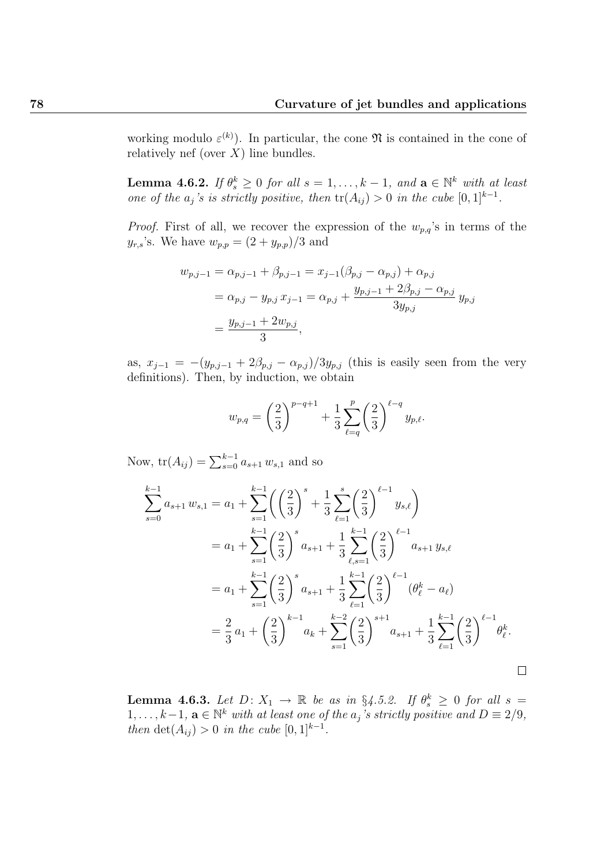working modulo  $\varepsilon^{(k)}$ ). In particular, the cone  $\mathfrak N$  is contained in the cone of relatively nef (over  $X$ ) line bundles.

**Lemma 4.6.2.** If  $\theta_s^k \geq 0$  for all  $s = 1, ..., k - 1$ , and  $\mathbf{a} \in \mathbb{N}^k$  with at least one of the  $a_j$ 's is strictly positive, then  $tr(A_{ij}) > 0$  in the cube  $[0,1]^{k-1}$ .

*Proof.* First of all, we recover the expression of the  $w_{p,q}$ 's in terms of the  $y_{r,s}$ 's. We have  $w_{p,p} = (2 + y_{p,p})/3$  and

$$
w_{p,j-1} = \alpha_{p,j-1} + \beta_{p,j-1} = x_{j-1}(\beta_{p,j} - \alpha_{p,j}) + \alpha_{p,j}
$$
  
=  $\alpha_{p,j} - y_{p,j} x_{j-1} = \alpha_{p,j} + \frac{y_{p,j-1} + 2\beta_{p,j} - \alpha_{p,j}}{3y_{p,j}} y_{p,j}$   
=  $\frac{y_{p,j-1} + 2w_{p,j}}{3}$ ,

as,  $x_{j-1} = -(y_{p,j-1} + 2\beta_{p,j} - \alpha_{p,j})/3y_{p,j}$  (this is easily seen from the very definitions). Then, by induction, we obtain

$$
w_{p,q} = \left(\frac{2}{3}\right)^{p-q+1} + \frac{1}{3} \sum_{\ell=q}^{p} \left(\frac{2}{3}\right)^{\ell-q} y_{p,\ell}.
$$

Now,  $tr(A_{ij}) = \sum_{s=0}^{k-1} a_{s+1} w_{s,1}$  and so

$$
\sum_{s=0}^{k-1} a_{s+1} w_{s,1} = a_1 + \sum_{s=1}^{k-1} \left( \left( \frac{2}{3} \right)^s + \frac{1}{3} \sum_{\ell=1}^s \left( \frac{2}{3} \right)^{\ell-1} y_{s,\ell} \right)
$$
  
\n
$$
= a_1 + \sum_{s=1}^{k-1} \left( \frac{2}{3} \right)^s a_{s+1} + \frac{1}{3} \sum_{\ell,s=1}^{k-1} \left( \frac{2}{3} \right)^{\ell-1} a_{s+1} y_{s,\ell}
$$
  
\n
$$
= a_1 + \sum_{s=1}^{k-1} \left( \frac{2}{3} \right)^s a_{s+1} + \frac{1}{3} \sum_{\ell=1}^{k-1} \left( \frac{2}{3} \right)^{\ell-1} (\theta_{\ell}^k - a_{\ell})
$$
  
\n
$$
= \frac{2}{3} a_1 + \left( \frac{2}{3} \right)^{k-1} a_k + \sum_{s=1}^{k-2} \left( \frac{2}{3} \right)^{s+1} a_{s+1} + \frac{1}{3} \sum_{\ell=1}^{k-1} \left( \frac{2}{3} \right)^{\ell-1} \theta_{\ell}^k.
$$

**Lemma 4.6.3.** Let  $D: X_1 \rightarrow \mathbb{R}$  be as in §4.5.2. If  $\theta_s^k \geq 0$  for all  $s =$ 1, ...,  $k-1$ ,  $\mathbf{a} \in \mathbb{N}^k$  with at least one of the  $a_j$ 's strictly positive and  $D \equiv 2/9$ , then  $\det(A_{ij}) > 0$  in the cube  $[0,1]^{k-1}$ .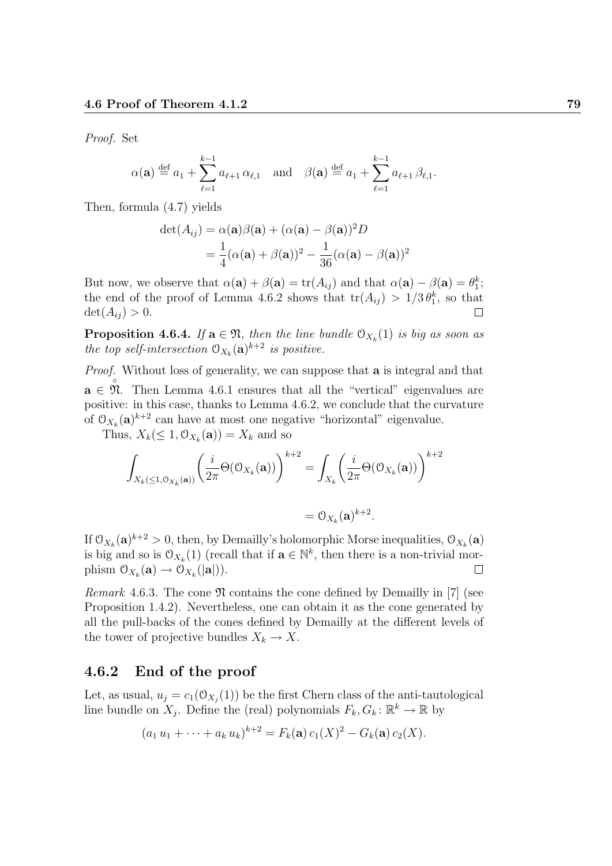Proof. Set

$$
\alpha(\mathbf{a}) \stackrel{\text{def}}{=} a_1 + \sum_{\ell=1}^{k-1} a_{\ell+1} \alpha_{\ell,1} \quad \text{and} \quad \beta(\mathbf{a}) \stackrel{\text{def}}{=} a_1 + \sum_{\ell=1}^{k-1} a_{\ell+1} \beta_{\ell,1}.
$$

Then, formula (4.7) yields

$$
\det(A_{ij}) = \alpha(\mathbf{a})\beta(\mathbf{a}) + (\alpha(\mathbf{a}) - \beta(\mathbf{a}))^2 D
$$
  
=  $\frac{1}{4}(\alpha(\mathbf{a}) + \beta(\mathbf{a}))^2 - \frac{1}{36}(\alpha(\mathbf{a}) - \beta(\mathbf{a}))^2$ 

But now, we observe that  $\alpha(\mathbf{a}) + \beta(\mathbf{a}) = \text{tr}(A_{ij})$  and that  $\alpha(\mathbf{a}) - \beta(\mathbf{a}) = \theta_1^k$ ; the end of the proof of Lemma 4.6.2 shows that  $tr(A_{ij}) > 1/3 \theta_1^k$ , so that  $\det(A_{ij}) > 0.$ 

**Proposition 4.6.4.** If  $\mathbf{a} \in \mathfrak{N}$ , then the line bundle  $\mathfrak{O}_{X_k}(1)$  is big as soon as the top self-intersection  $\mathcal{O}_{X_k}(\mathbf{a})^{k+2}$  is positive.

*Proof.* Without loss of generality, we can suppose that **a** is integral and that  $a \in \mathfrak{N}$ . Then Lemma 4.6.1 ensures that all the "vertical" eigenvalues are positive: in this case, thanks to Lemma 4.6.2, we conclude that the curvature of  $\mathfrak{O}_{X_k}(\mathbf{a})^{k+2}$  can have at most one negative "horizontal" eigenvalue.

Thus,  $X_k(\leq 1, \mathcal{O}_{X_k}(\mathbf{a})) = X_k$  and so

$$
\int_{X_k(\leq 1,\mathcal{O}_{X_k}(\mathbf{a}))} \left(\frac{i}{2\pi} \Theta(\mathcal{O}_{X_k}(\mathbf{a}))\right)^{k+2} = \int_{X_k} \left(\frac{i}{2\pi} \Theta(\mathcal{O}_{X_k}(\mathbf{a}))\right)^{k+2}
$$

$$
= \mathcal{O}_{X_k}(\mathbf{a})^{k+2}.
$$

If  $\mathfrak{O}_{X_k}(\mathbf{a})^{k+2} > 0$ , then, by Demailly's holomorphic Morse inequalities,  $\mathfrak{O}_{X_k}(\mathbf{a})$ is big and so is  $\mathcal{O}_{X_k}(1)$  (recall that if  $\mathbf{a} \in \mathbb{N}^k$ , then there is a non-trivial morphism  $\mathcal{O}_{X_k}(\mathbf{a}) \to \mathcal{O}_{X_k}(|\mathbf{a}|)).$  $\Box$ 

Remark 4.6.3. The cone  $\mathfrak N$  contains the cone defined by Demailly in [7] (see Proposition 1.4.2). Nevertheless, one can obtain it as the cone generated by all the pull-backs of the cones defined by Demailly at the different levels of the tower of projective bundles  $X_k \to X$ .

## 4.6.2 End of the proof

Let, as usual,  $u_j = c_1(\mathcal{O}_{X_j}(1))$  be the first Chern class of the anti-tautological line bundle on  $X_j$ . Define the (real) polynomials  $F_k, G_k : \mathbb{R}^k \to \mathbb{R}$  by

$$
(a_1 u_1 + \cdots + a_k u_k)^{k+2} = F_k(\mathbf{a}) c_1(X)^2 - G_k(\mathbf{a}) c_2(X).
$$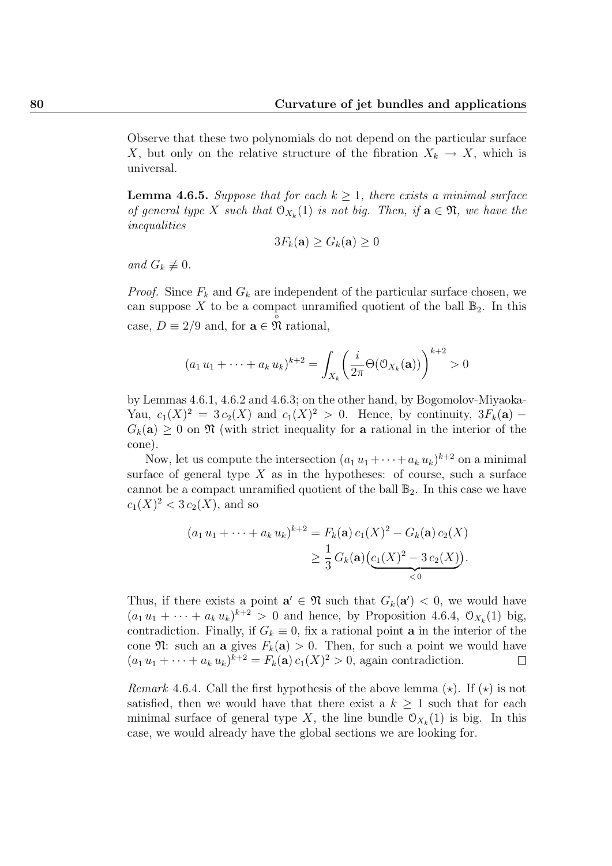Observe that these two polynomials do not depend on the particular surface X, but only on the relative structure of the fibration  $X_k \to X$ , which is universal.

**Lemma 4.6.5.** Suppose that for each  $k \geq 1$ , there exists a minimal surface of general type X such that  $\mathcal{O}_{X_k}(1)$  is not big. Then, if  $\mathbf{a} \in \mathfrak{N}$ , we have the inequalities

$$
3F_k(\mathbf{a}) \ge G_k(\mathbf{a}) \ge 0
$$

and  $G_k \not\equiv 0$ .

*Proof.* Since  $F_k$  and  $G_k$  are independent of the particular surface chosen, we can suppose X to be a compact unramified quotient of the ball  $\mathbb{B}_2$ . In this case,  $D \equiv 2/9$  and, for  $\mathbf{a} \in \mathcal{M}$  rational,

$$
(a_1 u_1 + \dots + a_k u_k)^{k+2} = \int_{X_k} \left(\frac{i}{2\pi} \Theta(\mathcal{O}_{X_k}(\mathbf{a}))\right)^{k+2} > 0
$$

by Lemmas 4.6.1, 4.6.2 and 4.6.3; on the other hand, by Bogomolov-Miyaoka-Yau,  $c_1(X)^2 = 3c_2(X)$  and  $c_1(X)^2 > 0$ . Hence, by continuity,  $3F_k(\mathbf{a})$  –  $G_k(\mathbf{a}) \geq 0$  on  $\mathfrak{N}$  (with strict inequality for **a** rational in the interior of the cone).

Now, let us compute the intersection  $(a_1 u_1 + \cdots + a_k u_k)^{k+2}$  on a minimal surface of general type  $X$  as in the hypotheses: of course, such a surface cannot be a compact unramified quotient of the ball  $\mathbb{B}_2$ . In this case we have  $c_1(X)^2 < 3 c_2(X)$ , and so

$$
(a_1 u_1 + \dots + a_k u_k)^{k+2} = F_k(\mathbf{a}) c_1(X)^2 - G_k(\mathbf{a}) c_2(X)
$$
  
 
$$
\geq \frac{1}{3} G_k(\mathbf{a}) (\underbrace{c_1(X)^2 - 3 c_2(X)}_{\leq 0}).
$$

Thus, if there exists a point  $\mathbf{a}' \in \mathfrak{N}$  such that  $G_k(\mathbf{a}') < 0$ , we would have  $(a_1u_1 + \cdots + a_ku_k)^{k+2} > 0$  and hence, by Proposition 4.6.4,  $\mathcal{O}_{X_k}(1)$  big, contradiction. Finally, if  $G_k \equiv 0$ , fix a rational point **a** in the interior of the cone  $\mathfrak{N}$ : such an a gives  $F_k(\mathbf{a}) > 0$ . Then, for such a point we would have  $(a_1 u_1 + \cdots + a_k u_k)^{k+2} = F_k(\mathbf{a}) c_1(X)^2 > 0$ , again contradiction.  $\Box$ 

*Remark* 4.6.4. Call the first hypothesis of the above lemma  $(\star)$ . If  $(\star)$  is not satisfied, then we would have that there exist a  $k \geq 1$  such that for each minimal surface of general type X, the line bundle  $\mathcal{O}_{X_k}(1)$  is big. In this case, we would already have the global sections we are looking for.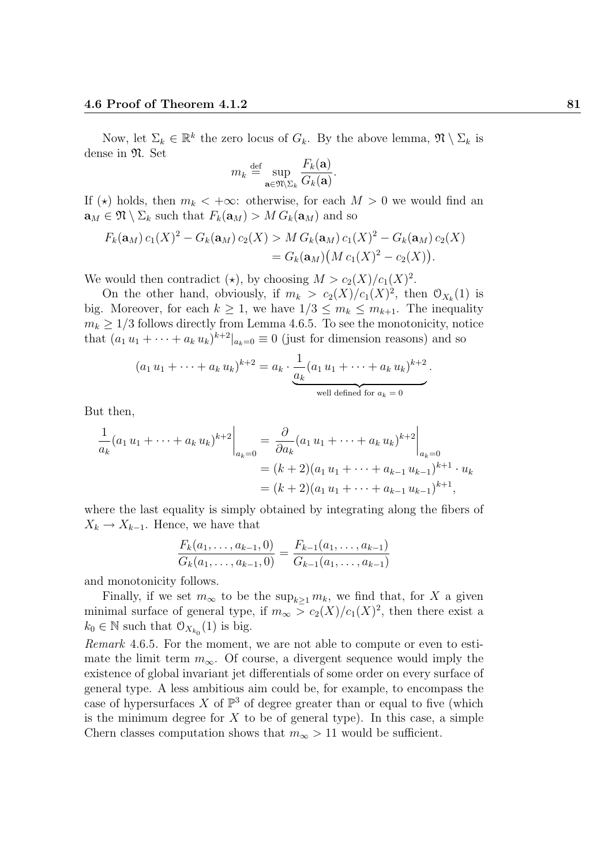Now, let  $\Sigma_k \in \mathbb{R}^k$  the zero locus of  $G_k$ . By the above lemma,  $\mathfrak{N} \setminus \Sigma_k$  is dense in  $\mathfrak{N}$ . Set

$$
m_k \stackrel{\text{def}}{=} \sup_{\mathbf{a}\in \mathfrak{N}\setminus \Sigma_k} \frac{F_k(\mathbf{a})}{G_k(\mathbf{a})}.
$$

If ( $\star$ ) holds, then  $m_k < +\infty$ : otherwise, for each  $M > 0$  we would find an  $\mathbf{a}_M \in \mathfrak{N} \setminus \Sigma_k$  such that  $F_k(\mathbf{a}_M) > M G_k(\mathbf{a}_M)$  and so

$$
F_k(\mathbf{a}_M) c_1(X)^2 - G_k(\mathbf{a}_M) c_2(X) > M G_k(\mathbf{a}_M) c_1(X)^2 - G_k(\mathbf{a}_M) c_2(X)
$$
  
=  $G_k(\mathbf{a}_M) (M c_1(X)^2 - c_2(X)).$ 

We would then contradict  $(\star)$ , by choosing  $M > c_2(X)/c_1(X)^2$ .

On the other hand, obviously, if  $m_k > c_2(X)/c_1(X)^2$ , then  $\mathcal{O}_{X_k}(1)$  is big. Moreover, for each  $k \geq 1$ , we have  $1/3 \leq m_k \leq m_{k+1}$ . The inequality  $m_k \geq 1/3$  follows directly from Lemma 4.6.5. To see the monotonicity, notice that  $(a_1 u_1 + \cdots + a_k u_k)^{k+2}|_{a_k=0} \equiv 0$  (just for dimension reasons) and so

$$
(a_1 u_1 + \dots + a_k u_k)^{k+2} = a_k \cdot \underbrace{\frac{1}{a_k} (a_1 u_1 + \dots + a_k u_k)^{k+2}}_{\text{well defined for } a_k = 0}.
$$

But then,

$$
\frac{1}{a_k}(a_1 u_1 + \dots + a_k u_k)^{k+2}\Big|_{a_k=0} = \frac{\partial}{\partial a_k}(a_1 u_1 + \dots + a_k u_k)^{k+2}\Big|_{a_k=0}
$$
  
=  $(k+2)(a_1 u_1 + \dots + a_{k-1} u_{k-1})^{k+1} \cdot u_k$   
=  $(k+2)(a_1 u_1 + \dots + a_{k-1} u_{k-1})^{k+1},$ 

where the last equality is simply obtained by integrating along the fibers of  $X_k \to X_{k-1}$ . Hence, we have that

$$
\frac{F_k(a_1,\ldots,a_{k-1},0)}{G_k(a_1,\ldots,a_{k-1},0)} = \frac{F_{k-1}(a_1,\ldots,a_{k-1})}{G_{k-1}(a_1,\ldots,a_{k-1})}
$$

and monotonicity follows.

Finally, if we set  $m_{\infty}$  to be the sup<sub>k>1</sub>  $m_k$ , we find that, for X a given minimal surface of general type, if  $m_{\infty} > c_2(X)/c_1(X)^2$ , then there exist a  $k_0 \in \mathbb{N}$  such that  $\mathcal{O}_{X_{k_0}}(1)$  is big.

Remark 4.6.5. For the moment, we are not able to compute or even to estimate the limit term  $m_{\infty}$ . Of course, a divergent sequence would imply the existence of global invariant jet differentials of some order on every surface of general type. A less ambitious aim could be, for example, to encompass the case of hypersurfaces X of  $\mathbb{P}^3$  of degree greater than or equal to five (which is the minimum degree for  $X$  to be of general type). In this case, a simple Chern classes computation shows that  $m_{\infty} > 11$  would be sufficient.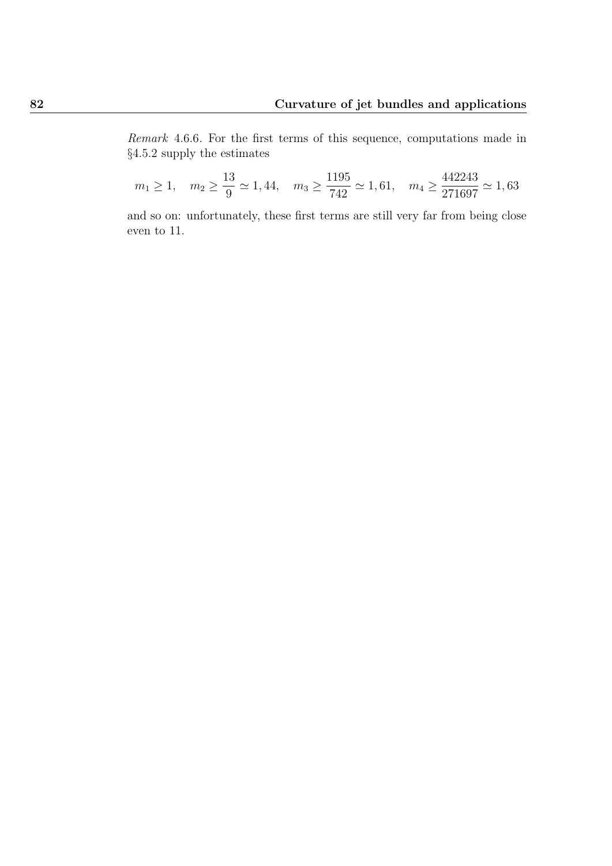Remark 4.6.6. For the first terms of this sequence, computations made in §4.5.2 supply the estimates

$$
m_1 \ge 1
$$
,  $m_2 \ge \frac{13}{9} \approx 1,44$ ,  $m_3 \ge \frac{1195}{742} \approx 1,61$ ,  $m_4 \ge \frac{442243}{271697} \approx 1,63$ 

and so on: unfortunately, these first terms are still very far from being close even to 11.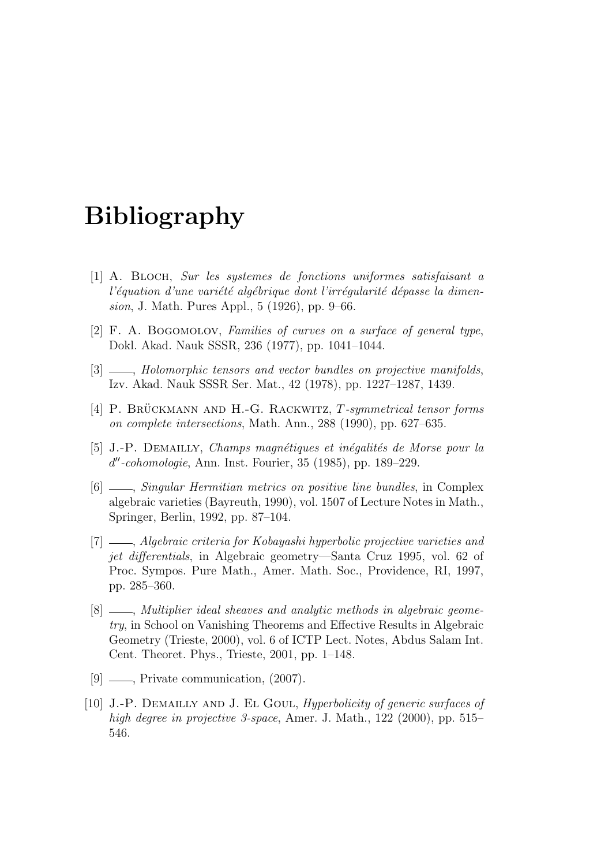# Bibliography

- [1] A. Bloch, Sur les systemes de fonctions uniformes satisfaisant a l'équation d'une variété algébrique dont l'irrégularité dépasse la dimension, J. Math. Pures Appl., 5 (1926), pp. 9–66.
- [2] F. A. BOGOMOLOV, Families of curves on a surface of general type, Dokl. Akad. Nauk SSSR, 236 (1977), pp. 1041–1044.
- [3] \_\_, Holomorphic tensors and vector bundles on projective manifolds, Izv. Akad. Nauk SSSR Ser. Mat., 42 (1978), pp. 1227–1287, 1439.
- [4] P. BRÜCKMANN AND H.-G. RACKWITZ,  $T$ -symmetrical tensor forms on complete intersections, Math. Ann., 288 (1990), pp. 627–635.
- [5] J.-P. DEMAILLY, Champs magnétiques et inégalités de Morse pour la d"-cohomologie, Ann. Inst. Fourier, 35 (1985), pp. 189-229.
- $[6]$   $\_\_\_\_\$  Singular Hermitian metrics on positive line bundles, in Complex algebraic varieties (Bayreuth, 1990), vol. 1507 of Lecture Notes in Math., Springer, Berlin, 1992, pp. 87–104.
- [7]  $\ldots$ , Algebraic criteria for Kobayashi hyperbolic projective varieties and jet differentials, in Algebraic geometry—Santa Cruz 1995, vol. 62 of Proc. Sympos. Pure Math., Amer. Math. Soc., Providence, RI, 1997, pp. 285–360.
- [8]  $\_\_\_\_\$ n Multiplier ideal sheaves and analytic methods in algebraic geometry, in School on Vanishing Theorems and Effective Results in Algebraic Geometry (Trieste, 2000), vol. 6 of ICTP Lect. Notes, Abdus Salam Int. Cent. Theoret. Phys., Trieste, 2001, pp. 1–148.
- [9]  $\_\_\_\_\$  Private communication,  $(2007)$ .
- [10] J.-P. Demailly and J. El Goul, Hyperbolicity of generic surfaces of high degree in projective 3-space, Amer. J. Math., 122 (2000), pp. 515– 546.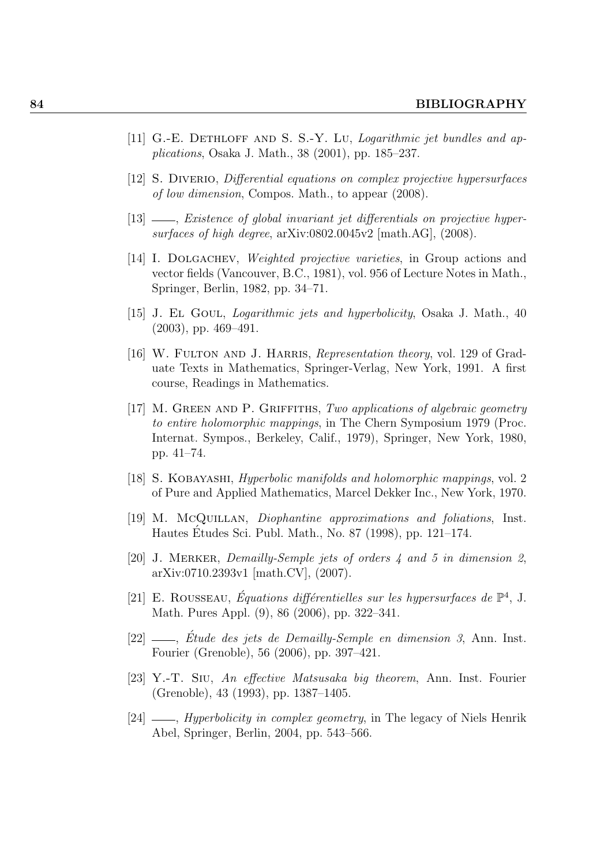- [11] G.-E. DETHLOFF AND S. S.-Y. LU, *Logarithmic jet bundles and ap*plications, Osaka J. Math., 38 (2001), pp. 185–237.
- [12] S. Diverio, Differential equations on complex projective hypersurfaces of low dimension, Compos. Math., to appear (2008).
- $[13]$  , Existence of global invariant jet differentials on projective hypersurfaces of high degree, arXiv:0802.0045v2 [math.AG], (2008).
- [14] I. Dolgachev, Weighted projective varieties, in Group actions and vector fields (Vancouver, B.C., 1981), vol. 956 of Lecture Notes in Math., Springer, Berlin, 1982, pp. 34–71.
- [15] J. El Goul, Logarithmic jets and hyperbolicity, Osaka J. Math., 40 (2003), pp. 469–491.
- [16] W. FULTON AND J. HARRIS, *Representation theory*, vol. 129 of Graduate Texts in Mathematics, Springer-Verlag, New York, 1991. A first course, Readings in Mathematics.
- [17] M. Green and P. Griffiths, Two applications of algebraic geometry to entire holomorphic mappings, in The Chern Symposium 1979 (Proc. Internat. Sympos., Berkeley, Calif., 1979), Springer, New York, 1980, pp. 41–74.
- [18] S. Kobayashi, Hyperbolic manifolds and holomorphic mappings, vol. 2 of Pure and Applied Mathematics, Marcel Dekker Inc., New York, 1970.
- [19] M. McQuillan, Diophantine approximations and foliations, Inst. Hautes Etudes Sci. Publ. Math., No. 87 (1998), pp. 121–174. ´
- [20] J. Merker, Demailly-Semple jets of orders 4 and 5 in dimension 2, arXiv:0710.2393v1 [math.CV], (2007).
- [21] E. ROUSSEAU, Équations différentielles sur les hypersurfaces de  $\mathbb{P}^4$ , J. Math. Pures Appl. (9), 86 (2006), pp. 322–341.
- $[22] \longrightarrow$ , Etude des jets de Demailly-Semple en dimension 3, Ann. Inst. Fourier (Grenoble), 56 (2006), pp. 397–421.
- [23] Y.-T. Siu, An effective Matsusaka big theorem, Ann. Inst. Fourier (Grenoble), 43 (1993), pp. 1387–1405.
- $[24]$  —, *Hyperbolicity in complex geometry*, in The legacy of Niels Henrik Abel, Springer, Berlin, 2004, pp. 543–566.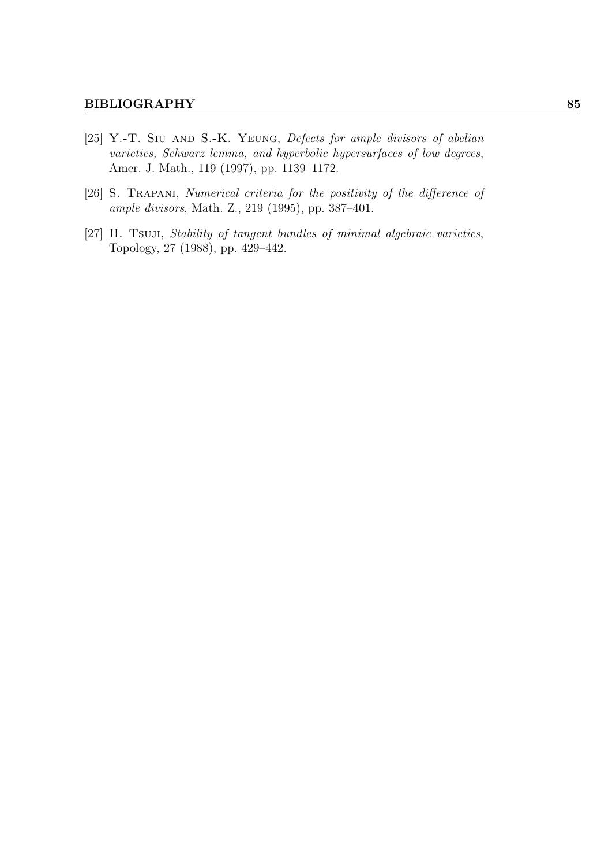- [25] Y.-T. SIU AND S.-K. YEUNG, Defects for ample divisors of abelian varieties, Schwarz lemma, and hyperbolic hypersurfaces of low degrees, Amer. J. Math., 119 (1997), pp. 1139–1172.
- [26] S. Trapani, Numerical criteria for the positivity of the difference of ample divisors, Math. Z., 219 (1995), pp. 387–401.
- [27] H. Tsuji, Stability of tangent bundles of minimal algebraic varieties, Topology, 27 (1988), pp. 429–442.